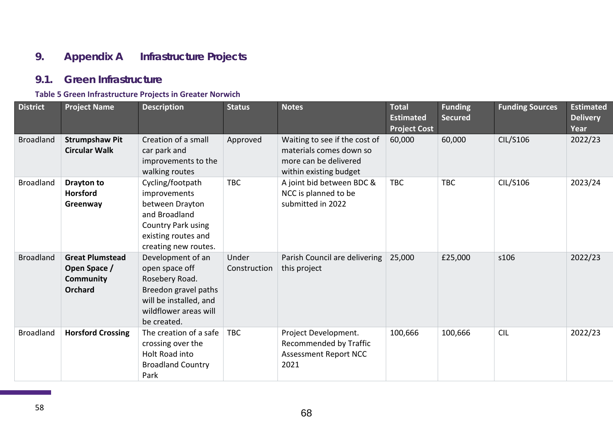# **9. Appendix A Infrastructure Projects**

### **9.1. Green Infrastructure**

#### **Table 5 Green Infrastructure Projects in Greater Norwich**

| <b>District</b>  | <b>Project Name</b>                                                          | <b>Description</b>                                                                                                                              | <b>Status</b>         | <b>Notes</b>                                                                                                | <b>Total</b><br><b>Estimated</b><br><b>Project Cost</b> | <b>Funding</b><br><b>Secured</b> | <b>Funding Sources</b> | <b>Estimated</b><br><b>Delivery</b><br>Year |
|------------------|------------------------------------------------------------------------------|-------------------------------------------------------------------------------------------------------------------------------------------------|-----------------------|-------------------------------------------------------------------------------------------------------------|---------------------------------------------------------|----------------------------------|------------------------|---------------------------------------------|
| <b>Broadland</b> | <b>Strumpshaw Pit</b><br><b>Circular Walk</b>                                | Creation of a small<br>car park and<br>improvements to the<br>walking routes                                                                    | Approved              | Waiting to see if the cost of<br>materials comes down so<br>more can be delivered<br>within existing budget | 60,000                                                  | 60,000                           | <b>CIL/S106</b>        | 2022/23                                     |
| <b>Broadland</b> | Drayton to<br><b>Horsford</b><br>Greenway                                    | Cycling/footpath<br>improvements<br>between Drayton<br>and Broadland<br>Country Park using<br>existing routes and<br>creating new routes.       | <b>TBC</b>            | A joint bid between BDC &<br>NCC is planned to be<br>submitted in 2022                                      | <b>TBC</b>                                              | <b>TBC</b>                       | CIL/S106               | 2023/24                                     |
| <b>Broadland</b> | <b>Great Plumstead</b><br>Open Space /<br><b>Community</b><br><b>Orchard</b> | Development of an<br>open space off<br>Rosebery Road.<br>Breedon gravel paths<br>will be installed, and<br>wildflower areas will<br>be created. | Under<br>Construction | Parish Council are delivering<br>this project                                                               | 25,000                                                  | £25,000                          | s106                   | 2022/23                                     |
| <b>Broadland</b> | <b>Horsford Crossing</b>                                                     | The creation of a safe<br>crossing over the<br>Holt Road into<br><b>Broadland Country</b><br>Park                                               | <b>TBC</b>            | Project Development.<br>Recommended by Traffic<br><b>Assessment Report NCC</b><br>2021                      | 100,666                                                 | 100,666                          | <b>CIL</b>             | 2022/23                                     |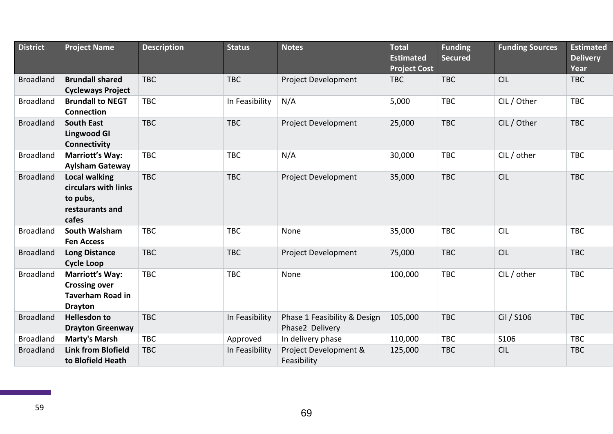| <b>District</b>  | <b>Project Name</b>                                                                         | <b>Description</b> | <b>Status</b>  | <b>Notes</b>                                    | <b>Total</b><br><b>Estimated</b><br><b>Project Cost</b> | <b>Funding</b><br><b>Secured</b> | <b>Funding Sources</b> | <b>Estimated</b><br><b>Delivery</b><br>Year |
|------------------|---------------------------------------------------------------------------------------------|--------------------|----------------|-------------------------------------------------|---------------------------------------------------------|----------------------------------|------------------------|---------------------------------------------|
| <b>Broadland</b> | <b>Brundall shared</b><br><b>Cycleways Project</b>                                          | <b>TBC</b>         | <b>TBC</b>     | Project Development                             | <b>TBC</b>                                              | <b>TBC</b>                       | <b>CIL</b>             | <b>TBC</b>                                  |
| <b>Broadland</b> | <b>Brundall to NEGT</b><br><b>Connection</b>                                                | <b>TBC</b>         | In Feasibility | N/A                                             | 5,000                                                   | <b>TBC</b>                       | CIL / Other            | <b>TBC</b>                                  |
| <b>Broadland</b> | <b>South East</b><br><b>Lingwood GI</b><br>Connectivity                                     | <b>TBC</b>         | <b>TBC</b>     | Project Development                             | 25,000                                                  | <b>TBC</b>                       | CIL / Other            | <b>TBC</b>                                  |
| <b>Broadland</b> | <b>Marriott's Way:</b><br><b>Aylsham Gateway</b>                                            | <b>TBC</b>         | <b>TBC</b>     | N/A                                             | 30,000                                                  | <b>TBC</b>                       | CIL / other            | <b>TBC</b>                                  |
| <b>Broadland</b> | <b>Local walking</b><br>circulars with links<br>to pubs,<br>restaurants and<br>cafes        | <b>TBC</b>         | <b>TBC</b>     | Project Development                             | 35,000                                                  | <b>TBC</b>                       | <b>CIL</b>             | <b>TBC</b>                                  |
| <b>Broadland</b> | <b>South Walsham</b><br><b>Fen Access</b>                                                   | <b>TBC</b>         | <b>TBC</b>     | None                                            | 35,000                                                  | <b>TBC</b>                       | <b>CIL</b>             | <b>TBC</b>                                  |
| <b>Broadland</b> | <b>Long Distance</b><br><b>Cycle Loop</b>                                                   | <b>TBC</b>         | <b>TBC</b>     | Project Development                             | 75,000                                                  | <b>TBC</b>                       | <b>CIL</b>             | <b>TBC</b>                                  |
| <b>Broadland</b> | <b>Marriott's Way:</b><br><b>Crossing over</b><br><b>Taverham Road in</b><br><b>Drayton</b> | <b>TBC</b>         | <b>TBC</b>     | None                                            | 100,000                                                 | <b>TBC</b>                       | CIL / other            | <b>TBC</b>                                  |
| <b>Broadland</b> | <b>Hellesdon to</b><br><b>Drayton Greenway</b>                                              | <b>TBC</b>         | In Feasibility | Phase 1 Feasibility & Design<br>Phase2 Delivery | 105,000                                                 | <b>TBC</b>                       | Cil / S106             | <b>TBC</b>                                  |
| <b>Broadland</b> | <b>Marty's Marsh</b>                                                                        | <b>TBC</b>         | Approved       | In delivery phase                               | 110,000                                                 | <b>TBC</b>                       | S106                   | <b>TBC</b>                                  |
| <b>Broadland</b> | <b>Link from Blofield</b><br>to Blofield Heath                                              | <b>TBC</b>         | In Feasibility | Project Development &<br>Feasibility            | 125,000                                                 | <b>TBC</b>                       | <b>CIL</b>             | <b>TBC</b>                                  |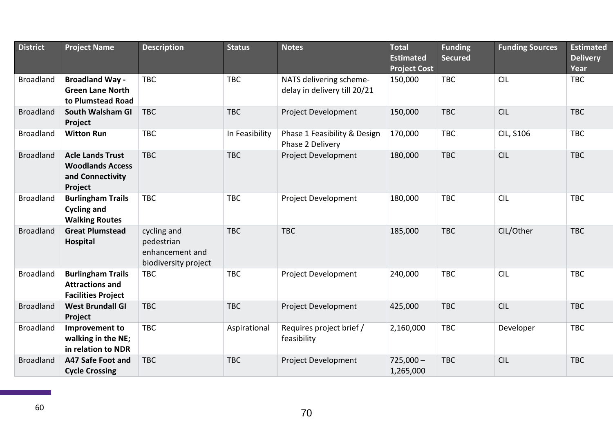| <b>District</b>  | <b>Project Name</b>                                                               | <b>Description</b>                                                   | <b>Status</b>  | <b>Notes</b>                                            | <b>Total</b><br><b>Estimated</b> | <b>Funding</b><br><b>Secured</b> | <b>Funding Sources</b> | <b>Estimated</b><br><b>Delivery</b> |
|------------------|-----------------------------------------------------------------------------------|----------------------------------------------------------------------|----------------|---------------------------------------------------------|----------------------------------|----------------------------------|------------------------|-------------------------------------|
|                  |                                                                                   |                                                                      |                |                                                         | <b>Project Cost</b>              |                                  |                        | Year                                |
| <b>Broadland</b> | <b>Broadland Way -</b><br><b>Green Lane North</b><br>to Plumstead Road            | <b>TBC</b>                                                           | <b>TBC</b>     | NATS delivering scheme-<br>delay in delivery till 20/21 | 150,000                          | <b>TBC</b>                       | <b>CIL</b>             | <b>TBC</b>                          |
| <b>Broadland</b> | South Walsham GI<br>Project                                                       | <b>TBC</b>                                                           | <b>TBC</b>     | Project Development                                     | 150,000                          | <b>TBC</b>                       | <b>CIL</b>             | <b>TBC</b>                          |
| <b>Broadland</b> | <b>Witton Run</b>                                                                 | <b>TBC</b>                                                           | In Feasibility | Phase 1 Feasibility & Design<br>Phase 2 Delivery        | 170,000                          | <b>TBC</b>                       | <b>CIL, S106</b>       | <b>TBC</b>                          |
| <b>Broadland</b> | <b>Acle Lands Trust</b><br><b>Woodlands Access</b><br>and Connectivity<br>Project | <b>TBC</b>                                                           | <b>TBC</b>     | Project Development                                     | 180,000                          | <b>TBC</b>                       | <b>CIL</b>             | <b>TBC</b>                          |
| <b>Broadland</b> | <b>Burlingham Trails</b><br><b>Cycling and</b><br><b>Walking Routes</b>           | <b>TBC</b>                                                           | <b>TBC</b>     | <b>Project Development</b>                              | 180,000                          | <b>TBC</b>                       | <b>CIL</b>             | <b>TBC</b>                          |
| <b>Broadland</b> | <b>Great Plumstead</b><br><b>Hospital</b>                                         | cycling and<br>pedestrian<br>enhancement and<br>biodiversity project | <b>TBC</b>     | <b>TBC</b>                                              | 185,000                          | <b>TBC</b>                       | CIL/Other              | <b>TBC</b>                          |
| <b>Broadland</b> | <b>Burlingham Trails</b><br><b>Attractions and</b><br><b>Facilities Project</b>   | <b>TBC</b>                                                           | <b>TBC</b>     | <b>Project Development</b>                              | 240,000                          | <b>TBC</b>                       | <b>CIL</b>             | <b>TBC</b>                          |
| <b>Broadland</b> | <b>West Brundall GI</b><br>Project                                                | <b>TBC</b>                                                           | <b>TBC</b>     | Project Development                                     | 425,000                          | <b>TBC</b>                       | <b>CIL</b>             | <b>TBC</b>                          |
| <b>Broadland</b> | Improvement to<br>walking in the NE;<br>in relation to NDR                        | <b>TBC</b>                                                           | Aspirational   | Requires project brief /<br>feasibility                 | 2,160,000                        | <b>TBC</b>                       | Developer              | <b>TBC</b>                          |
| <b>Broadland</b> | A47 Safe Foot and<br><b>Cycle Crossing</b>                                        | <b>TBC</b>                                                           | <b>TBC</b>     | <b>Project Development</b>                              | $725,000 -$<br>1,265,000         | <b>TBC</b>                       | <b>CIL</b>             | <b>TBC</b>                          |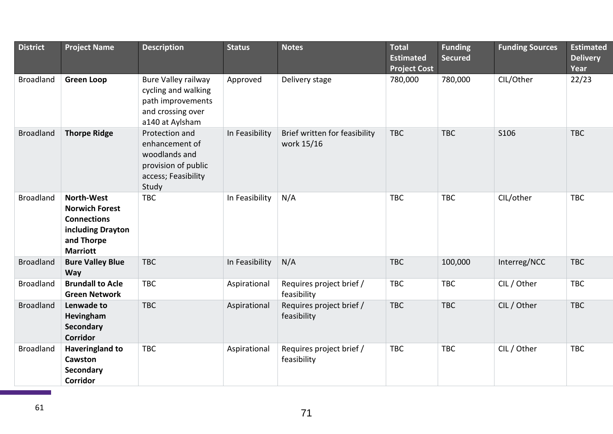| <b>District</b>  | <b>Project Name</b>                                                                                                    | <b>Description</b>                                                                                             | <b>Status</b>  | <b>Notes</b>                                | <b>Total</b><br><b>Estimated</b><br><b>Project Cost</b> | <b>Funding</b><br><b>Secured</b> | <b>Funding Sources</b> | <b>Estimated</b><br><b>Delivery</b><br>Year |
|------------------|------------------------------------------------------------------------------------------------------------------------|----------------------------------------------------------------------------------------------------------------|----------------|---------------------------------------------|---------------------------------------------------------|----------------------------------|------------------------|---------------------------------------------|
| <b>Broadland</b> | <b>Green Loop</b>                                                                                                      | <b>Bure Valley railway</b><br>cycling and walking<br>path improvements<br>and crossing over<br>a140 at Aylsham | Approved       | Delivery stage                              | 780,000                                                 | 780,000                          | CIL/Other              | 22/23                                       |
| <b>Broadland</b> | <b>Thorpe Ridge</b>                                                                                                    | Protection and<br>enhancement of<br>woodlands and<br>provision of public<br>access; Feasibility<br>Study       | In Feasibility | Brief written for feasibility<br>work 15/16 | <b>TBC</b>                                              | <b>TBC</b>                       | S106                   | <b>TBC</b>                                  |
| <b>Broadland</b> | <b>North-West</b><br><b>Norwich Forest</b><br><b>Connections</b><br>including Drayton<br>and Thorpe<br><b>Marriott</b> | <b>TBC</b>                                                                                                     | In Feasibility | N/A                                         | <b>TBC</b>                                              | <b>TBC</b>                       | CIL/other              | <b>TBC</b>                                  |
| <b>Broadland</b> | <b>Bure Valley Blue</b><br><b>Way</b>                                                                                  | <b>TBC</b>                                                                                                     | In Feasibility | N/A                                         | <b>TBC</b>                                              | 100,000                          | Interreg/NCC           | <b>TBC</b>                                  |
| <b>Broadland</b> | <b>Brundall to Acle</b><br><b>Green Network</b>                                                                        | <b>TBC</b>                                                                                                     | Aspirational   | Requires project brief /<br>feasibility     | <b>TBC</b>                                              | <b>TBC</b>                       | CIL / Other            | <b>TBC</b>                                  |
| <b>Broadland</b> | Lenwade to<br>Hevingham<br><b>Secondary</b><br><b>Corridor</b>                                                         | <b>TBC</b>                                                                                                     | Aspirational   | Requires project brief /<br>feasibility     | <b>TBC</b>                                              | <b>TBC</b>                       | CIL / Other            | <b>TBC</b>                                  |
| <b>Broadland</b> | Haveringland to<br>Cawston<br>Secondary<br><b>Corridor</b>                                                             | <b>TBC</b>                                                                                                     | Aspirational   | Requires project brief /<br>feasibility     | <b>TBC</b>                                              | <b>TBC</b>                       | CIL / Other            | <b>TBC</b>                                  |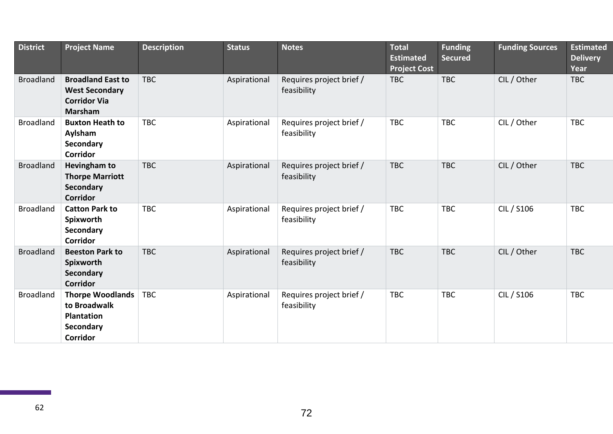| <b>District</b>  | <b>Project Name</b>                                                                          | <b>Description</b> | <b>Status</b> | <b>Notes</b>                            | <b>Total</b><br><b>Estimated</b><br><b>Project Cost</b> | <b>Funding</b><br><b>Secured</b> | <b>Funding Sources</b> | <b>Estimated</b><br><b>Delivery</b><br>Year |
|------------------|----------------------------------------------------------------------------------------------|--------------------|---------------|-----------------------------------------|---------------------------------------------------------|----------------------------------|------------------------|---------------------------------------------|
| <b>Broadland</b> | <b>Broadland East to</b><br><b>West Secondary</b><br><b>Corridor Via</b><br><b>Marsham</b>   | <b>TBC</b>         | Aspirational  | Requires project brief /<br>feasibility | <b>TBC</b>                                              | <b>TBC</b>                       | CIL / Other            | <b>TBC</b>                                  |
| <b>Broadland</b> | <b>Buxton Heath to</b><br>Aylsham<br><b>Secondary</b><br><b>Corridor</b>                     | <b>TBC</b>         | Aspirational  | Requires project brief /<br>feasibility | <b>TBC</b>                                              | <b>TBC</b>                       | CIL / Other            | <b>TBC</b>                                  |
| <b>Broadland</b> | <b>Hevingham to</b><br><b>Thorpe Marriott</b><br><b>Secondary</b><br><b>Corridor</b>         | <b>TBC</b>         | Aspirational  | Requires project brief /<br>feasibility | <b>TBC</b>                                              | <b>TBC</b>                       | CIL / Other            | <b>TBC</b>                                  |
| <b>Broadland</b> | <b>Catton Park to</b><br>Spixworth<br><b>Secondary</b><br><b>Corridor</b>                    | <b>TBC</b>         | Aspirational  | Requires project brief /<br>feasibility | <b>TBC</b>                                              | <b>TBC</b>                       | CIL / S106             | <b>TBC</b>                                  |
| <b>Broadland</b> | <b>Beeston Park to</b><br>Spixworth<br><b>Secondary</b><br><b>Corridor</b>                   | <b>TBC</b>         | Aspirational  | Requires project brief /<br>feasibility | <b>TBC</b>                                              | <b>TBC</b>                       | CIL / Other            | <b>TBC</b>                                  |
| <b>Broadland</b> | <b>Thorpe Woodlands</b><br>to Broadwalk<br><b>Plantation</b><br>Secondary<br><b>Corridor</b> | <b>TBC</b>         | Aspirational  | Requires project brief /<br>feasibility | <b>TBC</b>                                              | <b>TBC</b>                       | CIL / S106             | <b>TBC</b>                                  |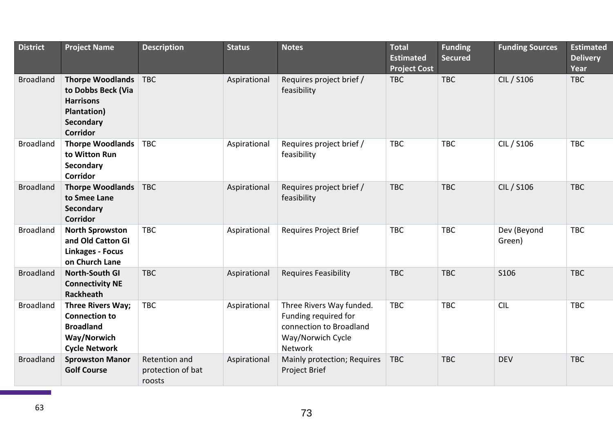| <b>District</b>  | <b>Project Name</b>                                                                                       | <b>Description</b>                           | <b>Status</b> | <b>Notes</b>                                                                                                       | $To$ tal<br><b>Estimated</b><br><b>Project Cost</b> | <b>Funding</b><br><b>Secured</b> | <b>Funding Sources</b> | <b>Estimated</b><br><b>Delivery</b><br>Year |
|------------------|-----------------------------------------------------------------------------------------------------------|----------------------------------------------|---------------|--------------------------------------------------------------------------------------------------------------------|-----------------------------------------------------|----------------------------------|------------------------|---------------------------------------------|
| <b>Broadland</b> | <b>Thorpe Woodlands</b><br>to Dobbs Beck (Via<br><b>Harrisons</b><br>Plantation)<br>Secondary<br>Corridor | <b>TBC</b>                                   | Aspirational  | Requires project brief /<br>feasibility                                                                            | <b>TBC</b>                                          | <b>TBC</b>                       | CIL / S106             | <b>TBC</b>                                  |
| <b>Broadland</b> | <b>Thorpe Woodlands</b><br>to Witton Run<br>Secondary<br><b>Corridor</b>                                  | <b>TBC</b>                                   | Aspirational  | Requires project brief /<br>feasibility                                                                            | <b>TBC</b>                                          | <b>TBC</b>                       | CIL / S106             | <b>TBC</b>                                  |
| <b>Broadland</b> | <b>Thorpe Woodlands</b><br>to Smee Lane<br>Secondary<br><b>Corridor</b>                                   | <b>TBC</b>                                   | Aspirational  | Requires project brief /<br>feasibility                                                                            | <b>TBC</b>                                          | <b>TBC</b>                       | CIL / S106             | <b>TBC</b>                                  |
| <b>Broadland</b> | <b>North Sprowston</b><br>and Old Catton GI<br><b>Linkages - Focus</b><br>on Church Lane                  | <b>TBC</b>                                   | Aspirational  | <b>Requires Project Brief</b>                                                                                      | <b>TBC</b>                                          | <b>TBC</b>                       | Dev (Beyond<br>Green)  | <b>TBC</b>                                  |
| <b>Broadland</b> | <b>North-South GI</b><br><b>Connectivity NE</b><br><b>Rackheath</b>                                       | <b>TBC</b>                                   | Aspirational  | <b>Requires Feasibility</b>                                                                                        | <b>TBC</b>                                          | <b>TBC</b>                       | S106                   | <b>TBC</b>                                  |
| <b>Broadland</b> | Three Rivers Way;<br><b>Connection to</b><br><b>Broadland</b><br>Way/Norwich<br><b>Cycle Network</b>      | <b>TBC</b>                                   | Aspirational  | Three Rivers Way funded.<br>Funding required for<br>connection to Broadland<br>Way/Norwich Cycle<br><b>Network</b> | <b>TBC</b>                                          | <b>TBC</b>                       | <b>CIL</b>             | <b>TBC</b>                                  |
| <b>Broadland</b> | <b>Sprowston Manor</b><br><b>Golf Course</b>                                                              | Retention and<br>protection of bat<br>roosts | Aspirational  | Mainly protection; Requires<br>Project Brief                                                                       | <b>TBC</b>                                          | <b>TBC</b>                       | <b>DEV</b>             | <b>TBC</b>                                  |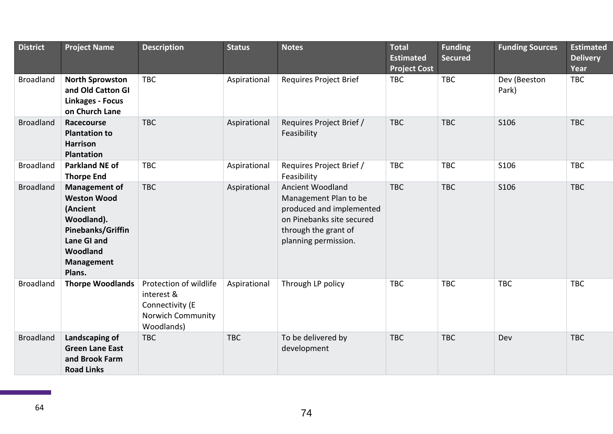| <b>District</b>  | <b>Project Name</b>                                                                                                                          | <b>Description</b>                                                                         | <b>Status</b> | <b>Notes</b>                                                                                                                                       | <b>Total</b><br><b>Estimated</b><br><b>Project Cost</b> | <b>Funding</b><br><b>Secured</b> | <b>Funding Sources</b> | <b>Estimated</b><br><b>Delivery</b><br>Year |
|------------------|----------------------------------------------------------------------------------------------------------------------------------------------|--------------------------------------------------------------------------------------------|---------------|----------------------------------------------------------------------------------------------------------------------------------------------------|---------------------------------------------------------|----------------------------------|------------------------|---------------------------------------------|
| <b>Broadland</b> | <b>North Sprowston</b><br>and Old Catton GI<br><b>Linkages - Focus</b><br>on Church Lane                                                     | <b>TBC</b>                                                                                 | Aspirational  | Requires Project Brief                                                                                                                             | <b>TBC</b>                                              | <b>TBC</b>                       | Dev (Beeston<br>Park)  | <b>TBC</b>                                  |
| <b>Broadland</b> | Racecourse<br><b>Plantation to</b><br><b>Harrison</b><br><b>Plantation</b>                                                                   | <b>TBC</b>                                                                                 | Aspirational  | Requires Project Brief /<br>Feasibility                                                                                                            | <b>TBC</b>                                              | <b>TBC</b>                       | S106                   | <b>TBC</b>                                  |
| <b>Broadland</b> | <b>Parkland NE of</b><br><b>Thorpe End</b>                                                                                                   | <b>TBC</b>                                                                                 | Aspirational  | Requires Project Brief /<br>Feasibility                                                                                                            | <b>TBC</b>                                              | <b>TBC</b>                       | S106                   | <b>TBC</b>                                  |
| <b>Broadland</b> | Management of<br><b>Weston Wood</b><br>(Ancient<br>Woodland).<br>Pinebanks/Griffin<br>Lane GI and<br>Woodland<br><b>Management</b><br>Plans. | <b>TBC</b>                                                                                 | Aspirational  | Ancient Woodland<br>Management Plan to be<br>produced and implemented<br>on Pinebanks site secured<br>through the grant of<br>planning permission. | <b>TBC</b>                                              | <b>TBC</b>                       | S106                   | <b>TBC</b>                                  |
| <b>Broadland</b> | <b>Thorpe Woodlands</b>                                                                                                                      | Protection of wildlife<br>interest &<br>Connectivity (E<br>Norwich Community<br>Woodlands) | Aspirational  | Through LP policy                                                                                                                                  | <b>TBC</b>                                              | <b>TBC</b>                       | <b>TBC</b>             | <b>TBC</b>                                  |
| <b>Broadland</b> | Landscaping of<br><b>Green Lane East</b><br>and Brook Farm<br><b>Road Links</b>                                                              | <b>TBC</b>                                                                                 | <b>TBC</b>    | To be delivered by<br>development                                                                                                                  | <b>TBC</b>                                              | <b>TBC</b>                       | Dev                    | <b>TBC</b>                                  |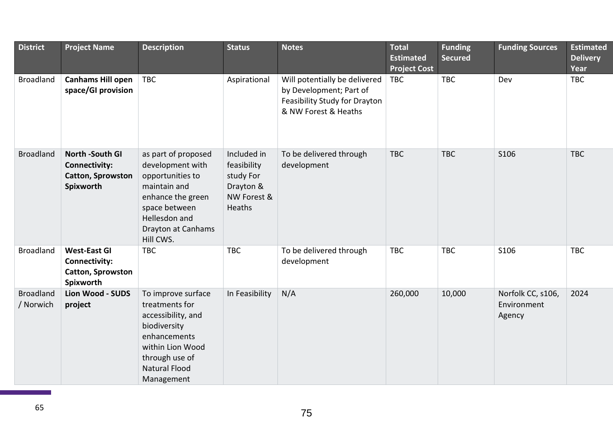| <b>District</b>               | <b>Project Name</b>                                                                     | <b>Description</b>                                                                                                                                                           | <b>Status</b>                                                                        | <b>Notes</b>                                                                                                      | <b>Total</b><br><b>Estimated</b><br><b>Project Cost</b> | <b>Funding</b><br><b>Secured</b> | <b>Funding Sources</b>                     | <b>Estimated</b><br><b>Delivery</b><br>Year |
|-------------------------------|-----------------------------------------------------------------------------------------|------------------------------------------------------------------------------------------------------------------------------------------------------------------------------|--------------------------------------------------------------------------------------|-------------------------------------------------------------------------------------------------------------------|---------------------------------------------------------|----------------------------------|--------------------------------------------|---------------------------------------------|
| <b>Broadland</b>              | <b>Canhams Hill open</b><br>space/GI provision                                          | <b>TBC</b>                                                                                                                                                                   | Aspirational                                                                         | Will potentially be delivered<br>by Development; Part of<br>Feasibility Study for Drayton<br>& NW Forest & Heaths | <b>TBC</b>                                              | <b>TBC</b>                       | Dev                                        | <b>TBC</b>                                  |
| <b>Broadland</b>              | <b>North -South GI</b><br><b>Connectivity:</b><br><b>Catton, Sprowston</b><br>Spixworth | as part of proposed<br>development with<br>opportunities to<br>maintain and<br>enhance the green<br>space between<br>Hellesdon and<br><b>Drayton at Canhams</b><br>Hill CWS. | Included in<br>feasibility<br>study For<br>Drayton &<br>NW Forest &<br><b>Heaths</b> | To be delivered through<br>development                                                                            | <b>TBC</b>                                              | <b>TBC</b>                       | S106                                       | <b>TBC</b>                                  |
| <b>Broadland</b>              | <b>West-East GI</b><br><b>Connectivity:</b><br><b>Catton, Sprowston</b><br>Spixworth    | <b>TBC</b>                                                                                                                                                                   | <b>TBC</b>                                                                           | To be delivered through<br>development                                                                            | <b>TBC</b>                                              | <b>TBC</b>                       | S106                                       | <b>TBC</b>                                  |
| <b>Broadland</b><br>/ Norwich | <b>Lion Wood - SUDS</b><br>project                                                      | To improve surface<br>treatments for<br>accessibility, and<br>biodiversity<br>enhancements<br>within Lion Wood<br>through use of<br><b>Natural Flood</b><br>Management       | In Feasibility                                                                       | N/A                                                                                                               | 260,000                                                 | 10,000                           | Norfolk CC, s106,<br>Environment<br>Agency | 2024                                        |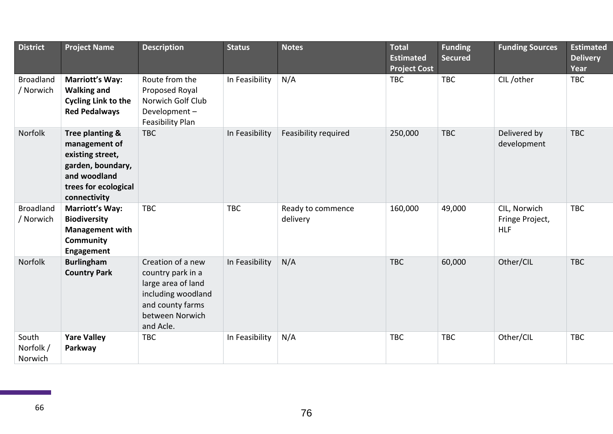| <b>District</b>               | <b>Project Name</b>                                                                                                               | <b>Description</b>                                                                                                                     | <b>Status</b>  | <b>Notes</b>                  | <b>Total</b><br><b>Estimated</b><br><b>Project Cost</b> | <b>Funding</b><br><b>Secured</b> | <b>Funding Sources</b>                        | <b>Estimated</b><br><b>Delivery</b><br>Year |
|-------------------------------|-----------------------------------------------------------------------------------------------------------------------------------|----------------------------------------------------------------------------------------------------------------------------------------|----------------|-------------------------------|---------------------------------------------------------|----------------------------------|-----------------------------------------------|---------------------------------------------|
| <b>Broadland</b><br>/ Norwich | <b>Marriott's Way:</b><br><b>Walking and</b><br><b>Cycling Link to the</b><br><b>Red Pedalways</b>                                | Route from the<br>Proposed Royal<br>Norwich Golf Club<br>Development-<br><b>Feasibility Plan</b>                                       | In Feasibility | N/A                           | <b>TBC</b>                                              | <b>TBC</b>                       | CIL/other                                     | <b>TBC</b>                                  |
| Norfolk                       | Tree planting &<br>management of<br>existing street,<br>garden, boundary,<br>and woodland<br>trees for ecological<br>connectivity | <b>TBC</b>                                                                                                                             | In Feasibility | Feasibility required          | 250,000                                                 | <b>TBC</b>                       | Delivered by<br>development                   | <b>TBC</b>                                  |
| <b>Broadland</b><br>/ Norwich | <b>Marriott's Way:</b><br><b>Biodiversity</b><br><b>Management with</b><br>Community<br>Engagement                                | <b>TBC</b>                                                                                                                             | <b>TBC</b>     | Ready to commence<br>delivery | 160,000                                                 | 49,000                           | CIL, Norwich<br>Fringe Project,<br><b>HLF</b> | <b>TBC</b>                                  |
| Norfolk                       | <b>Burlingham</b><br><b>Country Park</b>                                                                                          | Creation of a new<br>country park in a<br>large area of land<br>including woodland<br>and county farms<br>between Norwich<br>and Acle. | In Feasibility | N/A                           | <b>TBC</b>                                              | 60,000                           | Other/CIL                                     | <b>TBC</b>                                  |
| South<br>Norfolk /<br>Norwich | <b>Yare Valley</b><br>Parkway                                                                                                     | <b>TBC</b>                                                                                                                             | In Feasibility | N/A                           | <b>TBC</b>                                              | <b>TBC</b>                       | Other/CIL                                     | <b>TBC</b>                                  |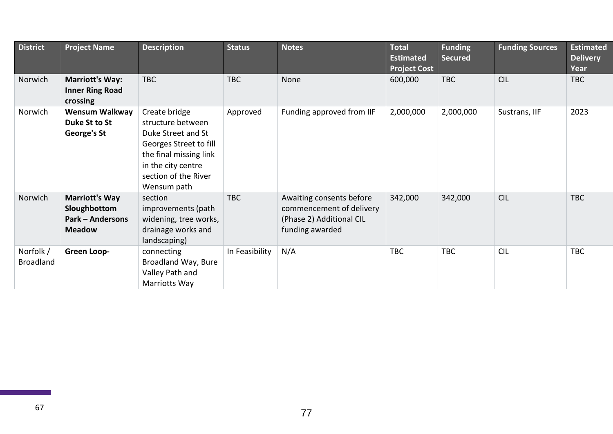| <b>District</b>               | <b>Project Name</b>                                                               | <b>Description</b>                                                                                                                                                        | <b>Status</b>  | <b>Notes</b>                                                                                        | <b>Total</b><br><b>Estimated</b><br><b>Project Cost</b> | <b>Funding</b><br><b>Secured</b> | <b>Funding Sources</b> | <b>Estimated</b><br><b>Delivery</b><br>Year |
|-------------------------------|-----------------------------------------------------------------------------------|---------------------------------------------------------------------------------------------------------------------------------------------------------------------------|----------------|-----------------------------------------------------------------------------------------------------|---------------------------------------------------------|----------------------------------|------------------------|---------------------------------------------|
| Norwich                       | <b>Marriott's Way:</b><br><b>Inner Ring Road</b><br>crossing                      | <b>TBC</b>                                                                                                                                                                | <b>TBC</b>     | None                                                                                                | 600,000                                                 | <b>TBC</b>                       | <b>CIL</b>             | <b>TBC</b>                                  |
| Norwich                       | <b>Wensum Walkway</b><br>Duke St to St<br>George's St                             | Create bridge<br>structure between<br>Duke Street and St<br>Georges Street to fill<br>the final missing link<br>in the city centre<br>section of the River<br>Wensum path | Approved       | Funding approved from IIF                                                                           | 2,000,000                                               | 2,000,000                        | Sustrans, IIF          | 2023                                        |
| Norwich                       | <b>Marriott's Way</b><br>Sloughbottom<br><b>Park - Andersons</b><br><b>Meadow</b> | section<br>improvements (path<br>widening, tree works,<br>drainage works and<br>landscaping)                                                                              | <b>TBC</b>     | Awaiting consents before<br>commencement of delivery<br>(Phase 2) Additional CIL<br>funding awarded | 342,000                                                 | 342,000                          | <b>CIL</b>             | <b>TBC</b>                                  |
| Norfolk /<br><b>Broadland</b> | Green Loop-                                                                       | connecting<br>Broadland Way, Bure<br>Valley Path and<br>Marriotts Way                                                                                                     | In Feasibility | N/A                                                                                                 | <b>TBC</b>                                              | <b>TBC</b>                       | <b>CIL</b>             | <b>TBC</b>                                  |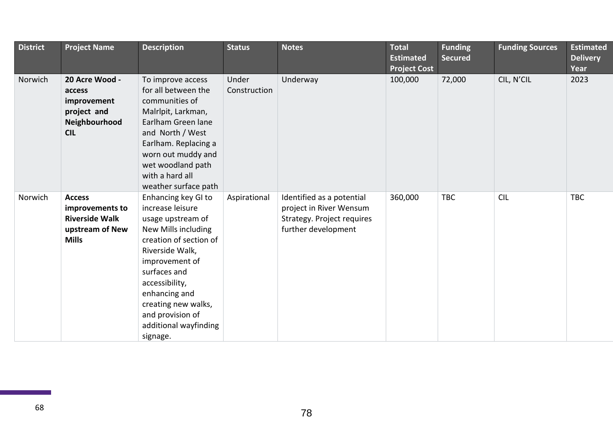| <b>District</b> | <b>Project Name</b>                                                                          | <b>Description</b>                                                                                                                                                                                                                                                                    | <b>Status</b>         | <b>Notes</b>                                                                                              | <b>Total</b><br><b>Estimated</b><br><b>Project Cost</b> | <b>Funding</b><br><b>Secured</b> | <b>Funding Sources</b> | <b>Estimated</b><br><b>Delivery</b><br>Year |
|-----------------|----------------------------------------------------------------------------------------------|---------------------------------------------------------------------------------------------------------------------------------------------------------------------------------------------------------------------------------------------------------------------------------------|-----------------------|-----------------------------------------------------------------------------------------------------------|---------------------------------------------------------|----------------------------------|------------------------|---------------------------------------------|
| Norwich         | 20 Acre Wood -<br>access<br>improvement<br>project and<br>Neighbourhood<br><b>CIL</b>        | To improve access<br>for all between the<br>communities of<br>Malrlpit, Larkman,<br>Earlham Green lane<br>and North / West<br>Earlham. Replacing a<br>worn out muddy and<br>wet woodland path<br>with a hard all<br>weather surface path                                              | Under<br>Construction | Underway                                                                                                  | 100,000                                                 | 72,000                           | CIL, N'CIL             | 2023                                        |
| Norwich         | <b>Access</b><br>improvements to<br><b>Riverside Walk</b><br>upstream of New<br><b>Mills</b> | Enhancing key GI to<br>increase leisure<br>usage upstream of<br>New Mills including<br>creation of section of<br>Riverside Walk,<br>improvement of<br>surfaces and<br>accessibility,<br>enhancing and<br>creating new walks,<br>and provision of<br>additional wayfinding<br>signage. | Aspirational          | Identified as a potential<br>project in River Wensum<br>Strategy. Project requires<br>further development | 360,000                                                 | <b>TBC</b>                       | <b>CIL</b>             | <b>TBC</b>                                  |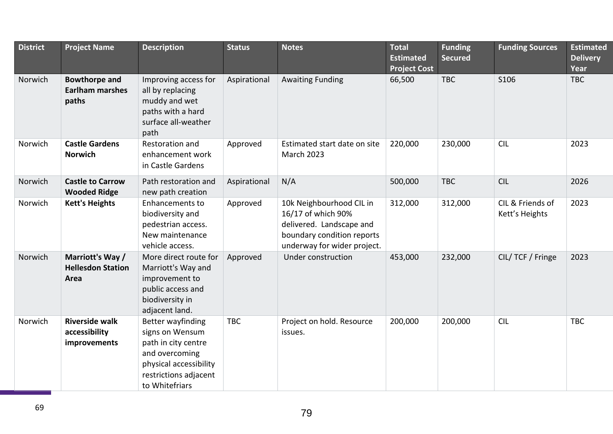| <b>District</b> | <b>Project Name</b>                                     | <b>Description</b>                                                                                                                                 | <b>Status</b> | <b>Notes</b>                                                                                                                            | <b>Total</b><br><b>Estimated</b><br><b>Project Cost</b> | <b>Funding</b><br><b>Secured</b> | <b>Funding Sources</b>             | <b>Estimated</b><br><b>Delivery</b><br>Year |
|-----------------|---------------------------------------------------------|----------------------------------------------------------------------------------------------------------------------------------------------------|---------------|-----------------------------------------------------------------------------------------------------------------------------------------|---------------------------------------------------------|----------------------------------|------------------------------------|---------------------------------------------|
| Norwich         | <b>Bowthorpe and</b><br><b>Earlham marshes</b><br>paths | Improving access for<br>all by replacing<br>muddy and wet<br>paths with a hard<br>surface all-weather<br>path                                      | Aspirational  | <b>Awaiting Funding</b>                                                                                                                 | 66,500                                                  | <b>TBC</b>                       | S106                               | <b>TBC</b>                                  |
| Norwich         | <b>Castle Gardens</b><br><b>Norwich</b>                 | Restoration and<br>enhancement work<br>in Castle Gardens                                                                                           | Approved      | Estimated start date on site<br><b>March 2023</b>                                                                                       | 220,000                                                 | 230,000                          | <b>CIL</b>                         | 2023                                        |
| Norwich         | <b>Castle to Carrow</b><br><b>Wooded Ridge</b>          | Path restoration and<br>new path creation                                                                                                          | Aspirational  | N/A                                                                                                                                     | 500,000                                                 | <b>TBC</b>                       | <b>CIL</b>                         | 2026                                        |
| Norwich         | <b>Kett's Heights</b>                                   | Enhancements to<br>biodiversity and<br>pedestrian access.<br>New maintenance<br>vehicle access.                                                    | Approved      | 10k Neighbourhood CIL in<br>16/17 of which 90%<br>delivered. Landscape and<br>boundary condition reports<br>underway for wider project. | 312,000                                                 | 312,000                          | CIL & Friends of<br>Kett's Heights | 2023                                        |
| Norwich         | Marriott's Way /<br><b>Hellesdon Station</b><br>Area    | More direct route for<br>Marriott's Way and<br>improvement to<br>public access and<br>biodiversity in<br>adjacent land.                            | Approved      | Under construction                                                                                                                      | 453,000                                                 | 232,000                          | CIL/ TCF / Fringe                  | 2023                                        |
| Norwich         | <b>Riverside walk</b><br>accessibility<br>improvements  | Better wayfinding<br>signs on Wensum<br>path in city centre<br>and overcoming<br>physical accessibility<br>restrictions adjacent<br>to Whitefriars | <b>TBC</b>    | Project on hold. Resource<br>issues.                                                                                                    | 200,000                                                 | 200,000                          | <b>CIL</b>                         | <b>TBC</b>                                  |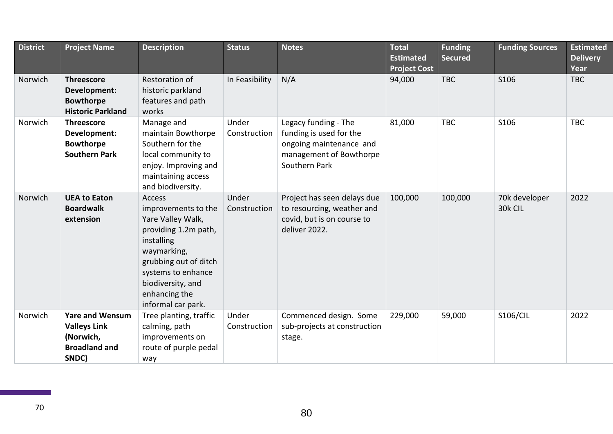| <b>District</b> | <b>Project Name</b>                                                                         | <b>Description</b>                                                                                                                                                                                                 | <b>Status</b>         | <b>Notes</b>                                                                                                           | <b>Total</b><br><b>Estimated</b><br><b>Project Cost</b> | <b>Funding</b><br><b>Secured</b> | <b>Funding Sources</b>   | <b>Estimated</b><br><b>Delivery</b><br>Year |
|-----------------|---------------------------------------------------------------------------------------------|--------------------------------------------------------------------------------------------------------------------------------------------------------------------------------------------------------------------|-----------------------|------------------------------------------------------------------------------------------------------------------------|---------------------------------------------------------|----------------------------------|--------------------------|---------------------------------------------|
| Norwich         | <b>Threescore</b><br>Development:<br><b>Bowthorpe</b><br><b>Historic Parkland</b>           | Restoration of<br>historic parkland<br>features and path<br>works                                                                                                                                                  | In Feasibility        | N/A                                                                                                                    | 94,000                                                  | <b>TBC</b>                       | S106                     | <b>TBC</b>                                  |
| Norwich         | <b>Threescore</b><br>Development:<br><b>Bowthorpe</b><br><b>Southern Park</b>               | Manage and<br>maintain Bowthorpe<br>Southern for the<br>local community to<br>enjoy. Improving and<br>maintaining access<br>and biodiversity.                                                                      | Under<br>Construction | Legacy funding - The<br>funding is used for the<br>ongoing maintenance and<br>management of Bowthorpe<br>Southern Park | 81,000                                                  | <b>TBC</b>                       | S106                     | <b>TBC</b>                                  |
| Norwich         | <b>UEA to Eaton</b><br><b>Boardwalk</b><br>extension                                        | Access<br>improvements to the<br>Yare Valley Walk,<br>providing 1.2m path,<br>installing<br>waymarking,<br>grubbing out of ditch<br>systems to enhance<br>biodiversity, and<br>enhancing the<br>informal car park. | Under<br>Construction | Project has seen delays due<br>to resourcing, weather and<br>covid, but is on course to<br>deliver 2022.               | 100,000                                                 | 100,000                          | 70k developer<br>30k CIL | 2022                                        |
| Norwich         | <b>Yare and Wensum</b><br><b>Valleys Link</b><br>(Norwich,<br><b>Broadland and</b><br>SNDC) | Tree planting, traffic<br>calming, path<br>improvements on<br>route of purple pedal<br>way                                                                                                                         | Under<br>Construction | Commenced design. Some<br>sub-projects at construction<br>stage.                                                       | 229,000                                                 | 59,000                           | <b>S106/CIL</b>          | 2022                                        |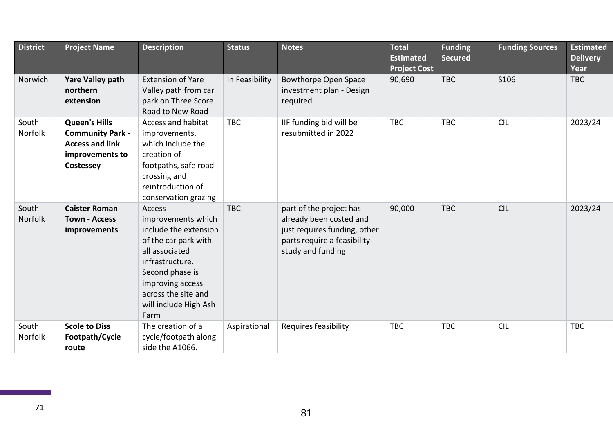| <b>District</b>         | <b>Project Name</b>                                                                                       | <b>Description</b>                                                                                                                                                                                                | <b>Status</b>  | <b>Notes</b>                                                                                                                           | <b>Total</b><br><b>Estimated</b><br><b>Project Cost</b> | <b>Funding</b><br><b>Secured</b> | <b>Funding Sources</b> | <b>Estimated</b><br><b>Delivery</b><br>Year |
|-------------------------|-----------------------------------------------------------------------------------------------------------|-------------------------------------------------------------------------------------------------------------------------------------------------------------------------------------------------------------------|----------------|----------------------------------------------------------------------------------------------------------------------------------------|---------------------------------------------------------|----------------------------------|------------------------|---------------------------------------------|
| Norwich                 | <b>Yare Valley path</b><br>northern<br>extension                                                          | <b>Extension of Yare</b><br>Valley path from car<br>park on Three Score<br>Road to New Road                                                                                                                       | In Feasibility | <b>Bowthorpe Open Space</b><br>investment plan - Design<br>required                                                                    | 90,690                                                  | <b>TBC</b>                       | S106                   | <b>TBC</b>                                  |
| South<br>Norfolk        | <b>Queen's Hills</b><br><b>Community Park -</b><br><b>Access and link</b><br>improvements to<br>Costessey | Access and habitat<br>improvements,<br>which include the<br>creation of<br>footpaths, safe road<br>crossing and<br>reintroduction of<br>conservation grazing                                                      | <b>TBC</b>     | IIF funding bid will be<br>resubmitted in 2022                                                                                         | <b>TBC</b>                                              | <b>TBC</b>                       | <b>CIL</b>             | 2023/24                                     |
| South<br><b>Norfolk</b> | <b>Caister Roman</b><br><b>Town - Access</b><br>improvements                                              | Access<br>improvements which<br>include the extension<br>of the car park with<br>all associated<br>infrastructure.<br>Second phase is<br>improving access<br>across the site and<br>will include High Ash<br>Farm | <b>TBC</b>     | part of the project has<br>already been costed and<br>just requires funding, other<br>parts require a feasibility<br>study and funding | 90,000                                                  | <b>TBC</b>                       | <b>CIL</b>             | 2023/24                                     |
| South<br>Norfolk        | <b>Scole to Diss</b><br>Footpath/Cycle<br>route                                                           | The creation of a<br>cycle/footpath along<br>side the A1066.                                                                                                                                                      | Aspirational   | Requires feasibility                                                                                                                   | <b>TBC</b>                                              | <b>TBC</b>                       | <b>CIL</b>             | <b>TBC</b>                                  |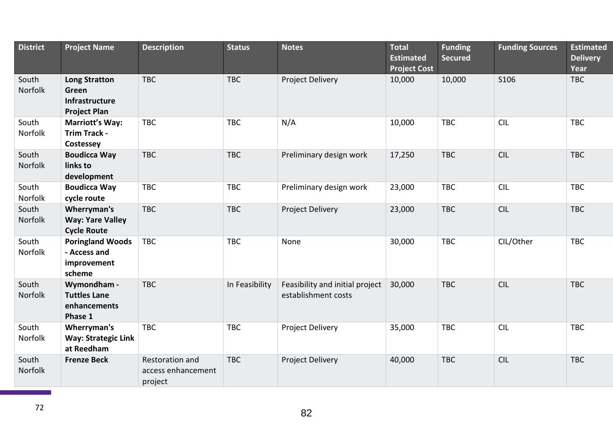| <b>District</b>  | <b>Project Name</b>                                                    | <b>Description</b>                               | <b>Status</b>  | <b>Notes</b>                                           | <b>Total</b><br><b>Estimated</b><br><b>Project Cost</b> | <b>Funding</b><br><b>Secured</b> | <b>Funding Sources</b> | <b>Estimated</b><br><b>Delivery</b><br>Year |
|------------------|------------------------------------------------------------------------|--------------------------------------------------|----------------|--------------------------------------------------------|---------------------------------------------------------|----------------------------------|------------------------|---------------------------------------------|
| South<br>Norfolk | <b>Long Stratton</b><br>Green<br>Infrastructure<br><b>Project Plan</b> | <b>TBC</b>                                       | <b>TBC</b>     | Project Delivery                                       | 10,000                                                  | 10,000                           | S106                   | <b>TBC</b>                                  |
| South<br>Norfolk | <b>Marriott's Way:</b><br><b>Trim Track -</b><br>Costessey             | <b>TBC</b>                                       | <b>TBC</b>     | N/A                                                    | 10,000                                                  | <b>TBC</b>                       | <b>CIL</b>             | <b>TBC</b>                                  |
| South<br>Norfolk | <b>Boudicca Way</b><br>links to<br>development                         | <b>TBC</b>                                       | <b>TBC</b>     | Preliminary design work                                | 17,250                                                  | <b>TBC</b>                       | <b>CIL</b>             | <b>TBC</b>                                  |
| South<br>Norfolk | <b>Boudicca Way</b><br>cycle route                                     | <b>TBC</b>                                       | <b>TBC</b>     | Preliminary design work                                | 23,000                                                  | <b>TBC</b>                       | <b>CIL</b>             | <b>TBC</b>                                  |
| South<br>Norfolk | Wherryman's<br><b>Way: Yare Valley</b><br><b>Cycle Route</b>           | <b>TBC</b>                                       | <b>TBC</b>     | Project Delivery                                       | 23,000                                                  | <b>TBC</b>                       | <b>CIL</b>             | <b>TBC</b>                                  |
| South<br>Norfolk | <b>Poringland Woods</b><br>- Access and<br>improvement<br>scheme       | <b>TBC</b>                                       | <b>TBC</b>     | None                                                   | 30,000                                                  | <b>TBC</b>                       | CIL/Other              | <b>TBC</b>                                  |
| South<br>Norfolk | Wymondham -<br><b>Tuttles Lane</b><br>enhancements<br>Phase 1          | <b>TBC</b>                                       | In Feasibility | Feasibility and initial project<br>establishment costs | 30,000                                                  | <b>TBC</b>                       | <b>CIL</b>             | <b>TBC</b>                                  |
| South<br>Norfolk | Wherryman's<br><b>Way: Strategic Link</b><br>at Reedham                | <b>TBC</b>                                       | <b>TBC</b>     | Project Delivery                                       | 35,000                                                  | <b>TBC</b>                       | <b>CIL</b>             | <b>TBC</b>                                  |
| South<br>Norfolk | <b>Frenze Beck</b>                                                     | Restoration and<br>access enhancement<br>project | <b>TBC</b>     | Project Delivery                                       | 40,000                                                  | <b>TBC</b>                       | <b>CIL</b>             | <b>TBC</b>                                  |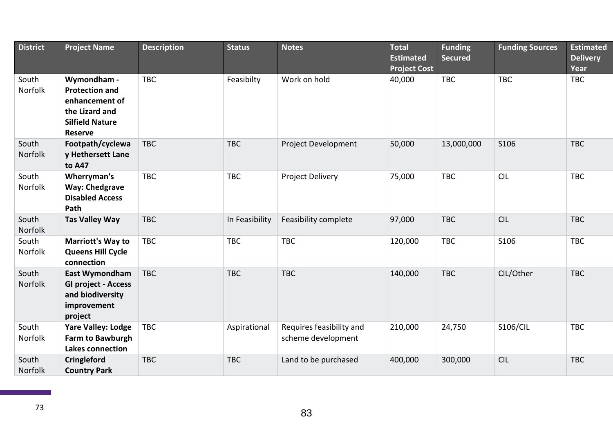| <b>District</b>  | <b>Project Name</b>                                                                                                  | <b>Description</b> | <b>Status</b>  | <b>Notes</b>                                   | <b>Total</b><br><b>Estimated</b><br><b>Project Cost</b> | <b>Funding</b><br><b>Secured</b> | <b>Funding Sources</b> | <b>Estimated</b><br><b>Delivery</b><br>Year |
|------------------|----------------------------------------------------------------------------------------------------------------------|--------------------|----------------|------------------------------------------------|---------------------------------------------------------|----------------------------------|------------------------|---------------------------------------------|
| South<br>Norfolk | Wymondham -<br><b>Protection and</b><br>enhancement of<br>the Lizard and<br><b>Silfield Nature</b><br><b>Reserve</b> | <b>TBC</b>         | Feasibilty     | Work on hold                                   | 40,000                                                  | <b>TBC</b>                       | <b>TBC</b>             | <b>TBC</b>                                  |
| South<br>Norfolk | Footpath/cyclewa<br>y Hethersett Lane<br>to A47                                                                      | <b>TBC</b>         | <b>TBC</b>     | Project Development                            | 50,000                                                  | 13,000,000                       | S106                   | <b>TBC</b>                                  |
| South<br>Norfolk | Wherryman's<br><b>Way: Chedgrave</b><br><b>Disabled Access</b><br>Path                                               | <b>TBC</b>         | <b>TBC</b>     | Project Delivery                               | 75,000                                                  | <b>TBC</b>                       | <b>CIL</b>             | <b>TBC</b>                                  |
| South<br>Norfolk | <b>Tas Valley Way</b>                                                                                                | <b>TBC</b>         | In Feasibility | Feasibility complete                           | 97,000                                                  | <b>TBC</b>                       | <b>CIL</b>             | <b>TBC</b>                                  |
| South<br>Norfolk | <b>Marriott's Way to</b><br><b>Queens Hill Cycle</b><br>connection                                                   | <b>TBC</b>         | <b>TBC</b>     | <b>TBC</b>                                     | 120,000                                                 | <b>TBC</b>                       | S106                   | <b>TBC</b>                                  |
| South<br>Norfolk | East Wymondham<br><b>GI project - Access</b><br>and biodiversity<br>improvement<br>project                           | <b>TBC</b>         | <b>TBC</b>     | <b>TBC</b>                                     | 140,000                                                 | <b>TBC</b>                       | CIL/Other              | <b>TBC</b>                                  |
| South<br>Norfolk | <b>Yare Valley: Lodge</b><br>Farm to Bawburgh<br>Lakes connection                                                    | <b>TBC</b>         | Aspirational   | Requires feasibility and<br>scheme development | 210,000                                                 | 24,750                           | <b>S106/CIL</b>        | <b>TBC</b>                                  |
| South<br>Norfolk | <b>Cringleford</b><br><b>Country Park</b>                                                                            | <b>TBC</b>         | <b>TBC</b>     | Land to be purchased                           | 400,000                                                 | 300,000                          | <b>CIL</b>             | <b>TBC</b>                                  |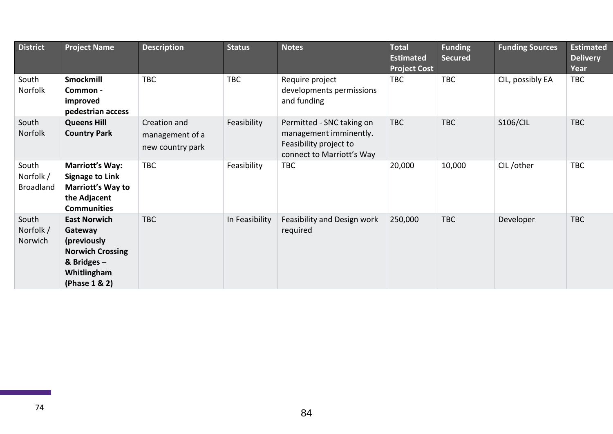| <b>District</b>                        | <b>Project Name</b>                                                                                                       | <b>Description</b>                                  | <b>Status</b>  | <b>Notes</b>                                                                                               | <b>Total</b><br><b>Estimated</b><br><b>Project Cost</b> | <b>Funding</b><br><b>Secured</b> | <b>Funding Sources</b> | <b>Estimated</b><br><b>Delivery</b><br>Year |
|----------------------------------------|---------------------------------------------------------------------------------------------------------------------------|-----------------------------------------------------|----------------|------------------------------------------------------------------------------------------------------------|---------------------------------------------------------|----------------------------------|------------------------|---------------------------------------------|
| South<br>Norfolk                       | Smockmill<br>Common -<br>improved<br>pedestrian access                                                                    | <b>TBC</b>                                          | <b>TBC</b>     | Require project<br>developments permissions<br>and funding                                                 | <b>TBC</b>                                              | <b>TBC</b>                       | CIL, possibly EA       | <b>TBC</b>                                  |
| South<br>Norfolk                       | <b>Queens Hill</b><br><b>Country Park</b>                                                                                 | Creation and<br>management of a<br>new country park | Feasibility    | Permitted - SNC taking on<br>management imminently.<br>Feasibility project to<br>connect to Marriott's Way | <b>TBC</b>                                              | <b>TBC</b>                       | <b>S106/CIL</b>        | <b>TBC</b>                                  |
| South<br>Norfolk /<br><b>Broadland</b> | <b>Marriott's Way:</b><br><b>Signage to Link</b><br><b>Marriott's Way to</b><br>the Adjacent<br><b>Communities</b>        | <b>TBC</b>                                          | Feasibility    | <b>TBC</b>                                                                                                 | 20,000                                                  | 10,000                           | CIL/other              | <b>TBC</b>                                  |
| South<br>Norfolk /<br>Norwich          | <b>East Norwich</b><br>Gateway<br>(previously<br><b>Norwich Crossing</b><br>& Bridges $-$<br>Whitlingham<br>(Phase 1 & 2) | <b>TBC</b>                                          | In Feasibility | Feasibility and Design work<br>required                                                                    | 250,000                                                 | <b>TBC</b>                       | Developer              | <b>TBC</b>                                  |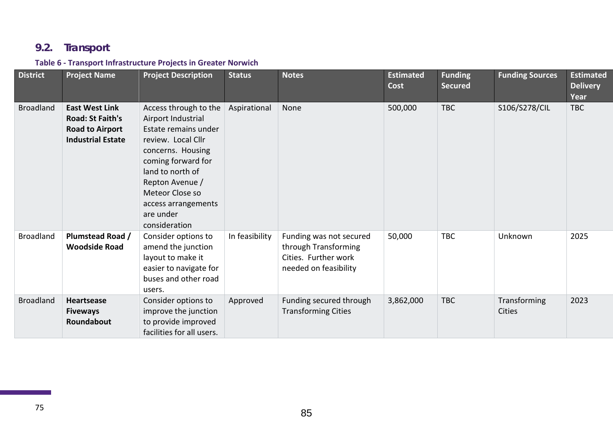# **9.2. Transport**

### **Table 6 - Transport Infrastructure Projects in Greater Norwich**

| <b>District</b>  | <b>Project Name</b>                                                                                    | <b>Project Description</b>                                                                                                                                                                                                                          | <b>Status</b>  | <b>Notes</b>                                                                                     | <b>Estimated</b><br><b>Cost</b> | <b>Funding</b><br><b>Secured</b> | <b>Funding Sources</b>        | <b>Estimated</b><br><b>Delivery</b><br>Year |
|------------------|--------------------------------------------------------------------------------------------------------|-----------------------------------------------------------------------------------------------------------------------------------------------------------------------------------------------------------------------------------------------------|----------------|--------------------------------------------------------------------------------------------------|---------------------------------|----------------------------------|-------------------------------|---------------------------------------------|
| <b>Broadland</b> | <b>East West Link</b><br><b>Road: St Faith's</b><br><b>Road to Airport</b><br><b>Industrial Estate</b> | Access through to the<br>Airport Industrial<br>Estate remains under<br>review. Local Cllr<br>concerns. Housing<br>coming forward for<br>land to north of<br>Repton Avenue /<br>Meteor Close so<br>access arrangements<br>are under<br>consideration | Aspirational   | None                                                                                             | 500,000                         | <b>TBC</b>                       | S106/S278/CIL                 | <b>TBC</b>                                  |
| <b>Broadland</b> | <b>Plumstead Road /</b><br><b>Woodside Road</b>                                                        | Consider options to<br>amend the junction<br>layout to make it<br>easier to navigate for<br>buses and other road<br>users.                                                                                                                          | In feasibility | Funding was not secured<br>through Transforming<br>Cities. Further work<br>needed on feasibility | 50,000                          | <b>TBC</b>                       | Unknown                       | 2025                                        |
| <b>Broadland</b> | <b>Heartsease</b><br><b>Fiveways</b><br>Roundabout                                                     | Consider options to<br>improve the junction<br>to provide improved<br>facilities for all users.                                                                                                                                                     | Approved       | Funding secured through<br><b>Transforming Cities</b>                                            | 3,862,000                       | <b>TBC</b>                       | Transforming<br><b>Cities</b> | 2023                                        |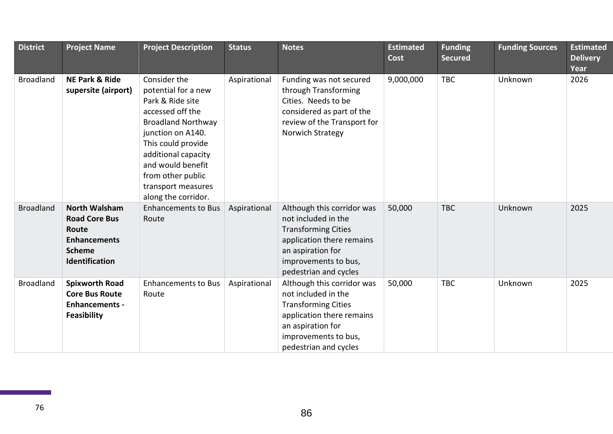| <b>District</b>  | <b>Project Name</b>                                                                                             | <b>Project Description</b>                                                                                                                                                                                                                                        | <b>Status</b> | <b>Notes</b>                                                                                                                                                                       | <b>Estimated</b><br>Cost | <b>Funding</b><br><b>Secured</b> | <b>Funding Sources</b> | <b>Estimated</b><br><b>Delivery</b><br>Year |
|------------------|-----------------------------------------------------------------------------------------------------------------|-------------------------------------------------------------------------------------------------------------------------------------------------------------------------------------------------------------------------------------------------------------------|---------------|------------------------------------------------------------------------------------------------------------------------------------------------------------------------------------|--------------------------|----------------------------------|------------------------|---------------------------------------------|
| <b>Broadland</b> | <b>NE Park &amp; Ride</b><br>supersite (airport)                                                                | Consider the<br>potential for a new<br>Park & Ride site<br>accessed off the<br><b>Broadland Northway</b><br>junction on A140.<br>This could provide<br>additional capacity<br>and would benefit<br>from other public<br>transport measures<br>along the corridor. | Aspirational  | Funding was not secured<br>through Transforming<br>Cities. Needs to be<br>considered as part of the<br>review of the Transport for<br>Norwich Strategy                             | 9,000,000                | <b>TBC</b>                       | Unknown                | 2026                                        |
| <b>Broadland</b> | <b>North Walsham</b><br><b>Road Core Bus</b><br>Route<br><b>Enhancements</b><br><b>Scheme</b><br>Identification | <b>Enhancements to Bus</b><br>Route                                                                                                                                                                                                                               | Aspirational  | Although this corridor was<br>not included in the<br><b>Transforming Cities</b><br>application there remains<br>an aspiration for<br>improvements to bus,<br>pedestrian and cycles | 50,000                   | <b>TBC</b>                       | Unknown                | 2025                                        |
| <b>Broadland</b> | <b>Spixworth Road</b><br><b>Core Bus Route</b><br><b>Enhancements -</b><br><b>Feasibility</b>                   | <b>Enhancements to Bus</b><br>Route                                                                                                                                                                                                                               | Aspirational  | Although this corridor was<br>not included in the<br><b>Transforming Cities</b><br>application there remains<br>an aspiration for<br>improvements to bus,<br>pedestrian and cycles | 50,000                   | <b>TBC</b>                       | Unknown                | 2025                                        |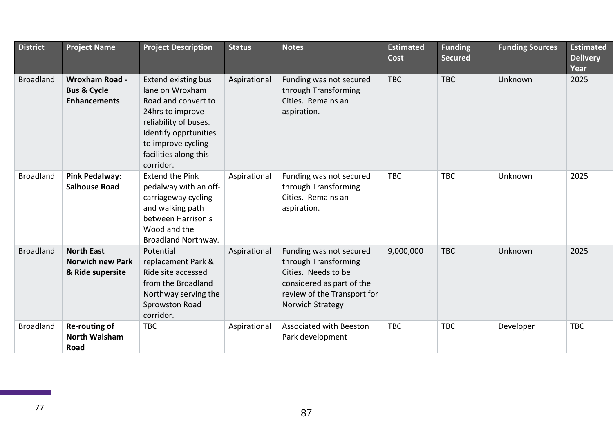| <b>District</b>  | <b>Project Name</b>                                                    | <b>Project Description</b>                                                                                                                                                                             | <b>Status</b> | <b>Notes</b>                                                                                                                                           | <b>Estimated</b><br><b>Cost</b> | <b>Funding</b><br><b>Secured</b> | <b>Funding Sources</b> | <b>Estimated</b><br><b>Delivery</b><br>Year |
|------------------|------------------------------------------------------------------------|--------------------------------------------------------------------------------------------------------------------------------------------------------------------------------------------------------|---------------|--------------------------------------------------------------------------------------------------------------------------------------------------------|---------------------------------|----------------------------------|------------------------|---------------------------------------------|
| <b>Broadland</b> | <b>Wroxham Road -</b><br><b>Bus &amp; Cycle</b><br><b>Enhancements</b> | <b>Extend existing bus</b><br>lane on Wroxham<br>Road and convert to<br>24hrs to improve<br>reliability of buses.<br>Identify opprtunities<br>to improve cycling<br>facilities along this<br>corridor. | Aspirational  | Funding was not secured<br>through Transforming<br>Cities. Remains an<br>aspiration.                                                                   | <b>TBC</b>                      | <b>TBC</b>                       | Unknown                | 2025                                        |
| <b>Broadland</b> | <b>Pink Pedalway:</b><br><b>Salhouse Road</b>                          | <b>Extend the Pink</b><br>pedalway with an off-<br>carriageway cycling<br>and walking path<br>between Harrison's<br>Wood and the<br>Broadland Northway.                                                | Aspirational  | Funding was not secured<br>through Transforming<br>Cities. Remains an<br>aspiration.                                                                   | <b>TBC</b>                      | <b>TBC</b>                       | Unknown                | 2025                                        |
| <b>Broadland</b> | <b>North East</b><br><b>Norwich new Park</b><br>& Ride supersite       | Potential<br>replacement Park &<br>Ride site accessed<br>from the Broadland<br>Northway serving the<br>Sprowston Road<br>corridor.                                                                     | Aspirational  | Funding was not secured<br>through Transforming<br>Cities. Needs to be<br>considered as part of the<br>review of the Transport for<br>Norwich Strategy | 9,000,000                       | <b>TBC</b>                       | Unknown                | 2025                                        |
| <b>Broadland</b> | Re-routing of<br><b>North Walsham</b><br>Road                          | <b>TBC</b>                                                                                                                                                                                             | Aspirational  | <b>Associated with Beeston</b><br>Park development                                                                                                     | <b>TBC</b>                      | <b>TBC</b>                       | Developer              | <b>TBC</b>                                  |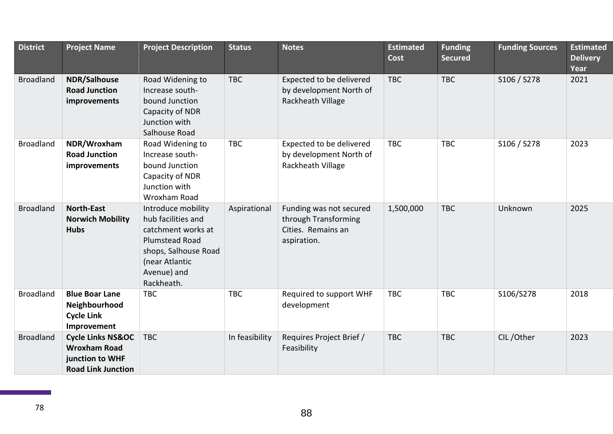| <b>District</b>  | <b>Project Name</b>                                                                                 | <b>Project Description</b>                                                                                                                                     | <b>Status</b>  | <b>Notes</b>                                                                         | <b>Estimated</b><br>Cost | <b>Funding</b><br><b>Secured</b> | <b>Funding Sources</b> | <b>Estimated</b><br><b>Delivery</b><br>Year |
|------------------|-----------------------------------------------------------------------------------------------------|----------------------------------------------------------------------------------------------------------------------------------------------------------------|----------------|--------------------------------------------------------------------------------------|--------------------------|----------------------------------|------------------------|---------------------------------------------|
| <b>Broadland</b> | <b>NDR/Salhouse</b><br><b>Road Junction</b><br>improvements                                         | Road Widening to<br>Increase south-<br>bound Junction<br>Capacity of NDR<br>Junction with<br>Salhouse Road                                                     | <b>TBC</b>     | Expected to be delivered<br>by development North of<br>Rackheath Village             | <b>TBC</b>               | <b>TBC</b>                       | S106 / S278            | 2021                                        |
| <b>Broadland</b> | NDR/Wroxham<br><b>Road Junction</b><br>improvements                                                 | Road Widening to<br>Increase south-<br>bound Junction<br>Capacity of NDR<br>Junction with<br>Wroxham Road                                                      | <b>TBC</b>     | Expected to be delivered<br>by development North of<br>Rackheath Village             | <b>TBC</b>               | <b>TBC</b>                       | S106 / S278            | 2023                                        |
| <b>Broadland</b> | <b>North-East</b><br><b>Norwich Mobility</b><br><b>Hubs</b>                                         | Introduce mobility<br>hub facilities and<br>catchment works at<br><b>Plumstead Road</b><br>shops, Salhouse Road<br>(near Atlantic<br>Avenue) and<br>Rackheath. | Aspirational   | Funding was not secured<br>through Transforming<br>Cities. Remains an<br>aspiration. | 1,500,000                | <b>TBC</b>                       | Unknown                | 2025                                        |
| <b>Broadland</b> | <b>Blue Boar Lane</b><br>Neighbourhood<br><b>Cycle Link</b><br>Improvement                          | <b>TBC</b>                                                                                                                                                     | <b>TBC</b>     | Required to support WHF<br>development                                               | <b>TBC</b>               | <b>TBC</b>                       | S106/S278              | 2018                                        |
| <b>Broadland</b> | <b>Cycle Links NS&amp;OC</b><br><b>Wroxham Road</b><br>junction to WHF<br><b>Road Link Junction</b> | <b>TBC</b>                                                                                                                                                     | In feasibility | Requires Project Brief /<br>Feasibility                                              | <b>TBC</b>               | <b>TBC</b>                       | CIL/Other              | 2023                                        |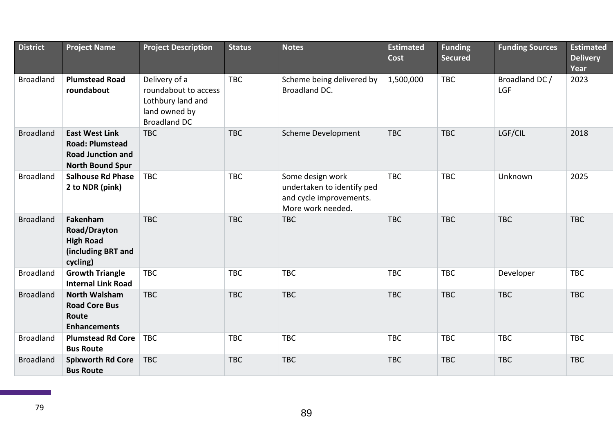| <b>District</b>  | <b>Project Name</b>                                                                                    | <b>Project Description</b>                                                                         | <b>Status</b> | <b>Notes</b>                                                                                   | <b>Estimated</b><br>Cost | <b>Funding</b><br><b>Secured</b> | <b>Funding Sources</b> | <b>Estimated</b><br><b>Delivery</b><br>Year |
|------------------|--------------------------------------------------------------------------------------------------------|----------------------------------------------------------------------------------------------------|---------------|------------------------------------------------------------------------------------------------|--------------------------|----------------------------------|------------------------|---------------------------------------------|
| <b>Broadland</b> | <b>Plumstead Road</b><br>roundabout                                                                    | Delivery of a<br>roundabout to access<br>Lothbury land and<br>land owned by<br><b>Broadland DC</b> | <b>TBC</b>    | Scheme being delivered by<br>Broadland DC.                                                     | 1,500,000                | <b>TBC</b>                       | Broadland DC /<br>LGF  | 2023                                        |
| <b>Broadland</b> | <b>East West Link</b><br><b>Road: Plumstead</b><br><b>Road Junction and</b><br><b>North Bound Spur</b> | <b>TBC</b>                                                                                         | <b>TBC</b>    | <b>Scheme Development</b>                                                                      | <b>TBC</b>               | <b>TBC</b>                       | LGF/CIL                | 2018                                        |
| <b>Broadland</b> | <b>Salhouse Rd Phase</b><br>2 to NDR (pink)                                                            | <b>TBC</b>                                                                                         | <b>TBC</b>    | Some design work<br>undertaken to identify ped<br>and cycle improvements.<br>More work needed. | <b>TBC</b>               | <b>TBC</b>                       | Unknown                | 2025                                        |
| <b>Broadland</b> | Fakenham<br><b>Road/Drayton</b><br><b>High Road</b><br>(including BRT and<br>cycling)                  | <b>TBC</b>                                                                                         | <b>TBC</b>    | <b>TBC</b>                                                                                     | <b>TBC</b>               | <b>TBC</b>                       | <b>TBC</b>             | <b>TBC</b>                                  |
| <b>Broadland</b> | <b>Growth Triangle</b><br><b>Internal Link Road</b>                                                    | <b>TBC</b>                                                                                         | <b>TBC</b>    | <b>TBC</b>                                                                                     | <b>TBC</b>               | <b>TBC</b>                       | Developer              | <b>TBC</b>                                  |
| <b>Broadland</b> | <b>North Walsham</b><br><b>Road Core Bus</b><br>Route<br><b>Enhancements</b>                           | <b>TBC</b>                                                                                         | <b>TBC</b>    | <b>TBC</b>                                                                                     | <b>TBC</b>               | <b>TBC</b>                       | <b>TBC</b>             | <b>TBC</b>                                  |
| <b>Broadland</b> | <b>Plumstead Rd Core</b><br><b>Bus Route</b>                                                           | <b>TBC</b>                                                                                         | <b>TBC</b>    | <b>TBC</b>                                                                                     | <b>TBC</b>               | <b>TBC</b>                       | <b>TBC</b>             | <b>TBC</b>                                  |
| <b>Broadland</b> | <b>Spixworth Rd Core</b><br><b>Bus Route</b>                                                           | <b>TBC</b>                                                                                         | <b>TBC</b>    | <b>TBC</b>                                                                                     | <b>TBC</b>               | <b>TBC</b>                       | <b>TBC</b>             | <b>TBC</b>                                  |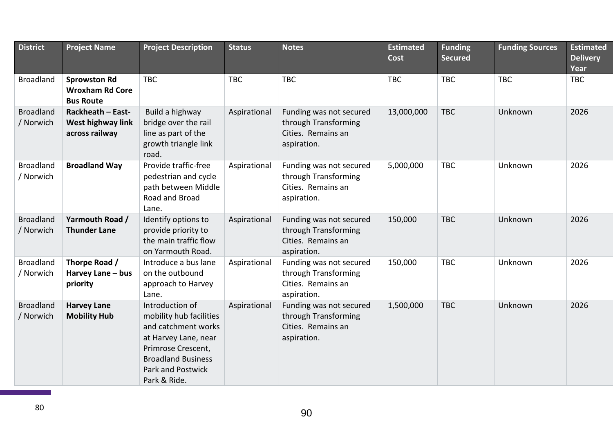| <b>District</b>  | <b>Project Name</b>                 | <b>Project Description</b>                      | <b>Status</b> | <b>Notes</b>                               | <b>Estimated</b><br>Cost | <b>Funding</b><br><b>Secured</b> | <b>Funding Sources</b> | <b>Estimated</b><br><b>Delivery</b> |
|------------------|-------------------------------------|-------------------------------------------------|---------------|--------------------------------------------|--------------------------|----------------------------------|------------------------|-------------------------------------|
|                  |                                     |                                                 |               |                                            |                          |                                  |                        | Year                                |
| <b>Broadland</b> | <b>Sprowston Rd</b>                 | <b>TBC</b>                                      | <b>TBC</b>    | <b>TBC</b>                                 | <b>TBC</b>               | <b>TBC</b>                       | <b>TBC</b>             | <b>TBC</b>                          |
|                  | <b>Wroxham Rd Core</b>              |                                                 |               |                                            |                          |                                  |                        |                                     |
|                  | <b>Bus Route</b>                    |                                                 |               |                                            |                          |                                  |                        |                                     |
| <b>Broadland</b> | Rackheath - East-                   | Build a highway                                 | Aspirational  | Funding was not secured                    | 13,000,000               | <b>TBC</b>                       | Unknown                | 2026                                |
| / Norwich        | West highway link<br>across railway | bridge over the rail<br>line as part of the     |               | through Transforming<br>Cities. Remains an |                          |                                  |                        |                                     |
|                  |                                     | growth triangle link                            |               | aspiration.                                |                          |                                  |                        |                                     |
|                  |                                     | road.                                           |               |                                            |                          |                                  |                        |                                     |
| <b>Broadland</b> | <b>Broadland Way</b>                | Provide traffic-free                            | Aspirational  | Funding was not secured                    | 5,000,000                | <b>TBC</b>                       | Unknown                | 2026                                |
| / Norwich        |                                     | pedestrian and cycle                            |               | through Transforming                       |                          |                                  |                        |                                     |
|                  |                                     | path between Middle                             |               | Cities. Remains an                         |                          |                                  |                        |                                     |
|                  |                                     | Road and Broad                                  |               | aspiration.                                |                          |                                  |                        |                                     |
|                  |                                     | Lane.                                           |               |                                            |                          |                                  |                        |                                     |
| <b>Broadland</b> | Yarmouth Road /                     | Identify options to                             | Aspirational  | Funding was not secured                    | 150,000                  | <b>TBC</b>                       | Unknown                | 2026                                |
| / Norwich        | <b>Thunder Lane</b>                 | provide priority to                             |               | through Transforming                       |                          |                                  |                        |                                     |
|                  |                                     | the main traffic flow                           |               | Cities. Remains an                         |                          |                                  |                        |                                     |
|                  |                                     | on Yarmouth Road.                               |               | aspiration.                                |                          |                                  |                        |                                     |
| <b>Broadland</b> | Thorpe Road /                       | Introduce a bus lane                            | Aspirational  | Funding was not secured                    | 150,000                  | <b>TBC</b>                       | Unknown                | 2026                                |
| / Norwich        | Harvey Lane - bus                   | on the outbound                                 |               | through Transforming                       |                          |                                  |                        |                                     |
|                  | priority                            | approach to Harvey                              |               | Cities. Remains an                         |                          |                                  |                        |                                     |
|                  |                                     | Lane.                                           |               | aspiration.                                |                          |                                  |                        |                                     |
| <b>Broadland</b> | <b>Harvey Lane</b>                  | Introduction of                                 | Aspirational  | Funding was not secured                    | 1,500,000                | <b>TBC</b>                       | Unknown                | 2026                                |
| / Norwich        | <b>Mobility Hub</b>                 | mobility hub facilities                         |               | through Transforming                       |                          |                                  |                        |                                     |
|                  |                                     | and catchment works                             |               | Cities. Remains an                         |                          |                                  |                        |                                     |
|                  |                                     | at Harvey Lane, near                            |               | aspiration.                                |                          |                                  |                        |                                     |
|                  |                                     | Primrose Crescent,<br><b>Broadland Business</b> |               |                                            |                          |                                  |                        |                                     |
|                  |                                     | Park and Postwick                               |               |                                            |                          |                                  |                        |                                     |
|                  |                                     |                                                 |               |                                            |                          |                                  |                        |                                     |
|                  |                                     | Park & Ride.                                    |               |                                            |                          |                                  |                        |                                     |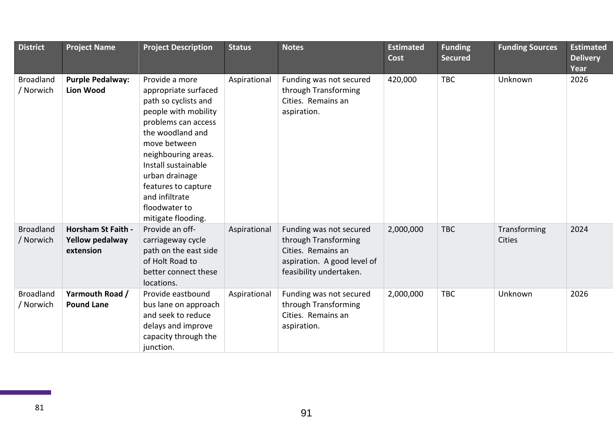| <b>District</b>               | <b>Project Name</b>                                              | <b>Project Description</b>                                                                                                                                                                                                                                                                        | <b>Status</b> | <b>Notes</b>                                                                                                                    | <b>Estimated</b><br><b>Cost</b> | <b>Funding</b><br><b>Secured</b> | <b>Funding Sources</b>        | <b>Estimated</b><br><b>Delivery</b><br>Year |
|-------------------------------|------------------------------------------------------------------|---------------------------------------------------------------------------------------------------------------------------------------------------------------------------------------------------------------------------------------------------------------------------------------------------|---------------|---------------------------------------------------------------------------------------------------------------------------------|---------------------------------|----------------------------------|-------------------------------|---------------------------------------------|
| <b>Broadland</b><br>/ Norwich | <b>Purple Pedalway:</b><br><b>Lion Wood</b>                      | Provide a more<br>appropriate surfaced<br>path so cyclists and<br>people with mobility<br>problems can access<br>the woodland and<br>move between<br>neighbouring areas.<br>Install sustainable<br>urban drainage<br>features to capture<br>and infiltrate<br>floodwater to<br>mitigate flooding. | Aspirational  | Funding was not secured<br>through Transforming<br>Cities. Remains an<br>aspiration.                                            | 420,000                         | <b>TBC</b>                       | Unknown                       | 2026                                        |
| <b>Broadland</b><br>/ Norwich | <b>Horsham St Faith -</b><br><b>Yellow pedalway</b><br>extension | Provide an off-<br>carriageway cycle<br>path on the east side<br>of Holt Road to<br>better connect these<br>locations.                                                                                                                                                                            | Aspirational  | Funding was not secured<br>through Transforming<br>Cities. Remains an<br>aspiration. A good level of<br>feasibility undertaken. | 2,000,000                       | <b>TBC</b>                       | Transforming<br><b>Cities</b> | 2024                                        |
| <b>Broadland</b><br>/ Norwich | Yarmouth Road /<br><b>Pound Lane</b>                             | Provide eastbound<br>bus lane on approach<br>and seek to reduce<br>delays and improve<br>capacity through the<br>junction.                                                                                                                                                                        | Aspirational  | Funding was not secured<br>through Transforming<br>Cities. Remains an<br>aspiration.                                            | 2,000,000                       | <b>TBC</b>                       | Unknown                       | 2026                                        |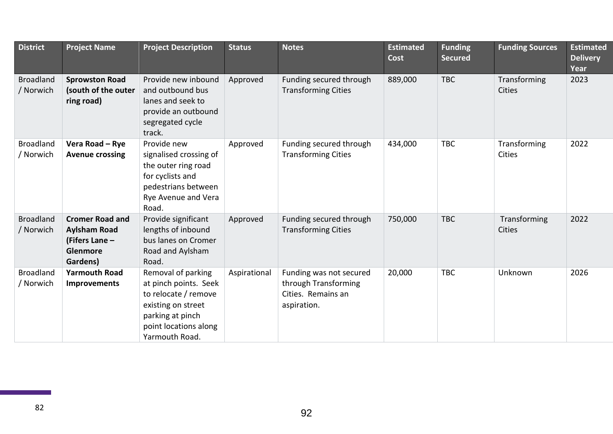| <b>District</b>               | <b>Project Name</b>                                                                            | <b>Project Description</b>                                                                                                                               | <b>Status</b> | <b>Notes</b>                                                                         | <b>Estimated</b><br><b>Cost</b> | <b>Funding</b><br><b>Secured</b> | <b>Funding Sources</b>        | <b>Estimated</b><br><b>Delivery</b><br>Year |
|-------------------------------|------------------------------------------------------------------------------------------------|----------------------------------------------------------------------------------------------------------------------------------------------------------|---------------|--------------------------------------------------------------------------------------|---------------------------------|----------------------------------|-------------------------------|---------------------------------------------|
| <b>Broadland</b><br>/ Norwich | <b>Sprowston Road</b><br>(south of the outer<br>ring road)                                     | Provide new inbound<br>and outbound bus<br>lanes and seek to<br>provide an outbound<br>segregated cycle<br>track.                                        | Approved      | Funding secured through<br><b>Transforming Cities</b>                                | 889,000                         | <b>TBC</b>                       | Transforming<br><b>Cities</b> | 2023                                        |
| <b>Broadland</b><br>/ Norwich | Vera Road - Rye<br><b>Avenue crossing</b>                                                      | Provide new<br>signalised crossing of<br>the outer ring road<br>for cyclists and<br>pedestrians between<br>Rye Avenue and Vera<br>Road.                  | Approved      | Funding secured through<br><b>Transforming Cities</b>                                | 434,000                         | <b>TBC</b>                       | Transforming<br><b>Cities</b> | 2022                                        |
| <b>Broadland</b><br>/ Norwich | <b>Cromer Road and</b><br><b>Aylsham Road</b><br>(Fifers Lane -<br><b>Glenmore</b><br>Gardens) | Provide significant<br>lengths of inbound<br>bus lanes on Cromer<br>Road and Aylsham<br>Road.                                                            | Approved      | Funding secured through<br><b>Transforming Cities</b>                                | 750,000                         | <b>TBC</b>                       | Transforming<br><b>Cities</b> | 2022                                        |
| <b>Broadland</b><br>/ Norwich | <b>Yarmouth Road</b><br><b>Improvements</b>                                                    | Removal of parking<br>at pinch points. Seek<br>to relocate / remove<br>existing on street<br>parking at pinch<br>point locations along<br>Yarmouth Road. | Aspirational  | Funding was not secured<br>through Transforming<br>Cities. Remains an<br>aspiration. | 20,000                          | <b>TBC</b>                       | Unknown                       | 2026                                        |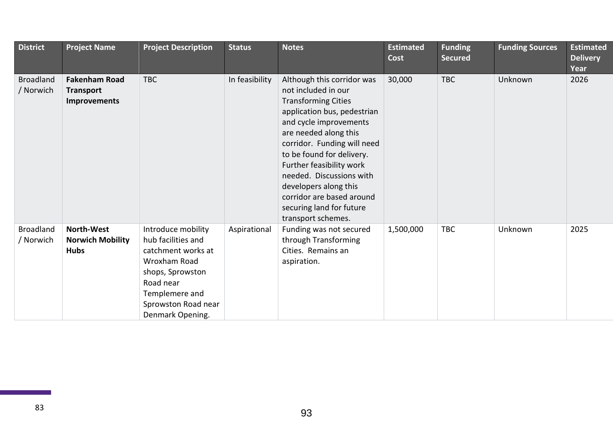| <b>District</b>               | <b>Project Name</b>                                             | <b>Project Description</b>                                                                                                                                                   | <b>Status</b>  | <b>Notes</b>                                                                                                                                                                                                                                                                                                                                                                                  | <b>Estimated</b><br>Cost | <b>Funding</b><br><b>Secured</b> | <b>Funding Sources</b> | <b>Estimated</b><br><b>Delivery</b> |
|-------------------------------|-----------------------------------------------------------------|------------------------------------------------------------------------------------------------------------------------------------------------------------------------------|----------------|-----------------------------------------------------------------------------------------------------------------------------------------------------------------------------------------------------------------------------------------------------------------------------------------------------------------------------------------------------------------------------------------------|--------------------------|----------------------------------|------------------------|-------------------------------------|
| <b>Broadland</b><br>/ Norwich | <b>Fakenham Road</b><br><b>Transport</b><br><b>Improvements</b> | <b>TBC</b>                                                                                                                                                                   | In feasibility | Although this corridor was<br>not included in our<br><b>Transforming Cities</b><br>application bus, pedestrian<br>and cycle improvements<br>are needed along this<br>corridor. Funding will need<br>to be found for delivery.<br>Further feasibility work<br>needed. Discussions with<br>developers along this<br>corridor are based around<br>securing land for future<br>transport schemes. | 30,000                   | <b>TBC</b>                       | Unknown                | Year<br>2026                        |
| <b>Broadland</b><br>/ Norwich | <b>North-West</b><br><b>Norwich Mobility</b><br><b>Hubs</b>     | Introduce mobility<br>hub facilities and<br>catchment works at<br>Wroxham Road<br>shops, Sprowston<br>Road near<br>Templemere and<br>Sprowston Road near<br>Denmark Opening. | Aspirational   | Funding was not secured<br>through Transforming<br>Cities. Remains an<br>aspiration.                                                                                                                                                                                                                                                                                                          | 1,500,000                | <b>TBC</b>                       | Unknown                | 2025                                |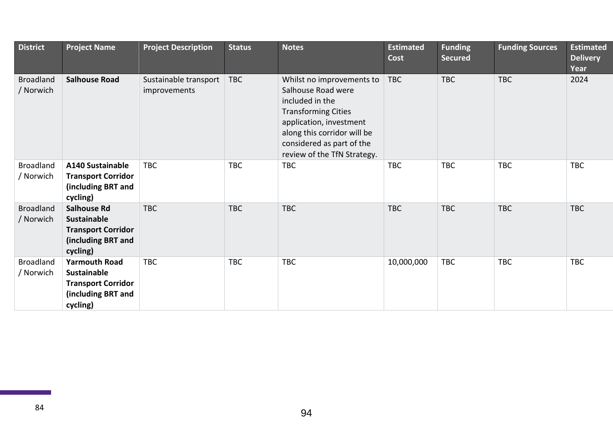| <b>District</b>               | <b>Project Name</b>                                                                                       | <b>Project Description</b>            | <b>Status</b> | <b>Notes</b>                                                                                                                                                                                                           | <b>Estimated</b><br>Cost | <b>Funding</b><br><b>Secured</b> | <b>Funding Sources</b> | <b>Estimated</b><br><b>Delivery</b><br>Year |
|-------------------------------|-----------------------------------------------------------------------------------------------------------|---------------------------------------|---------------|------------------------------------------------------------------------------------------------------------------------------------------------------------------------------------------------------------------------|--------------------------|----------------------------------|------------------------|---------------------------------------------|
| <b>Broadland</b><br>/ Norwich | <b>Salhouse Road</b>                                                                                      | Sustainable transport<br>improvements | <b>TBC</b>    | Whilst no improvements to<br>Salhouse Road were<br>included in the<br><b>Transforming Cities</b><br>application, investment<br>along this corridor will be<br>considered as part of the<br>review of the TfN Strategy. | <b>TBC</b>               | <b>TBC</b>                       | <b>TBC</b>             | 2024                                        |
| <b>Broadland</b><br>/ Norwich | A140 Sustainable<br><b>Transport Corridor</b><br>(including BRT and<br>cycling)                           | <b>TBC</b>                            | <b>TBC</b>    | <b>TBC</b>                                                                                                                                                                                                             | <b>TBC</b>               | <b>TBC</b>                       | <b>TBC</b>             | <b>TBC</b>                                  |
| <b>Broadland</b><br>/ Norwich | <b>Salhouse Rd</b><br><b>Sustainable</b><br><b>Transport Corridor</b><br>(including BRT and<br>cycling)   | <b>TBC</b>                            | <b>TBC</b>    | <b>TBC</b>                                                                                                                                                                                                             | <b>TBC</b>               | <b>TBC</b>                       | <b>TBC</b>             | <b>TBC</b>                                  |
| <b>Broadland</b><br>/ Norwich | <b>Yarmouth Road</b><br><b>Sustainable</b><br><b>Transport Corridor</b><br>(including BRT and<br>cycling) | <b>TBC</b>                            | <b>TBC</b>    | <b>TBC</b>                                                                                                                                                                                                             | 10,000,000               | TBC                              | <b>TBC</b>             | <b>TBC</b>                                  |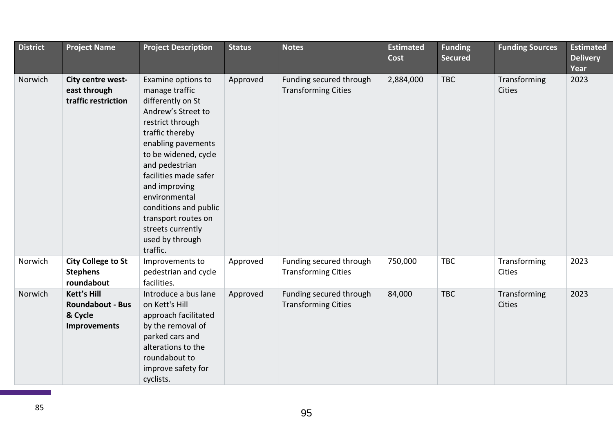| <b>District</b> | <b>Project Name</b>                                                      | <b>Project Description</b>                                                                                                                                                                                                                                                                                                                            | <b>Status</b> | <b>Notes</b>                                          | <b>Estimated</b><br>Cost | <b>Funding</b><br><b>Secured</b> | <b>Funding Sources</b>        | <b>Estimated</b><br><b>Delivery</b><br>Year |
|-----------------|--------------------------------------------------------------------------|-------------------------------------------------------------------------------------------------------------------------------------------------------------------------------------------------------------------------------------------------------------------------------------------------------------------------------------------------------|---------------|-------------------------------------------------------|--------------------------|----------------------------------|-------------------------------|---------------------------------------------|
| Norwich         | City centre west-<br>east through<br>traffic restriction                 | Examine options to<br>manage traffic<br>differently on St<br>Andrew's Street to<br>restrict through<br>traffic thereby<br>enabling pavements<br>to be widened, cycle<br>and pedestrian<br>facilities made safer<br>and improving<br>environmental<br>conditions and public<br>transport routes on<br>streets currently<br>used by through<br>traffic. | Approved      | Funding secured through<br><b>Transforming Cities</b> | 2,884,000                | <b>TBC</b>                       | Transforming<br><b>Cities</b> | 2023                                        |
| Norwich         | <b>City College to St</b><br><b>Stephens</b><br>roundabout               | Improvements to<br>pedestrian and cycle<br>facilities.                                                                                                                                                                                                                                                                                                | Approved      | Funding secured through<br><b>Transforming Cities</b> | 750,000                  | <b>TBC</b>                       | Transforming<br>Cities        | 2023                                        |
| Norwich         | <b>Kett's Hill</b><br><b>Roundabout - Bus</b><br>& Cycle<br>Improvements | Introduce a bus lane<br>on Kett's Hill<br>approach facilitated<br>by the removal of<br>parked cars and<br>alterations to the<br>roundabout to<br>improve safety for<br>cyclists.                                                                                                                                                                      | Approved      | Funding secured through<br><b>Transforming Cities</b> | 84,000                   | <b>TBC</b>                       | Transforming<br>Cities        | 2023                                        |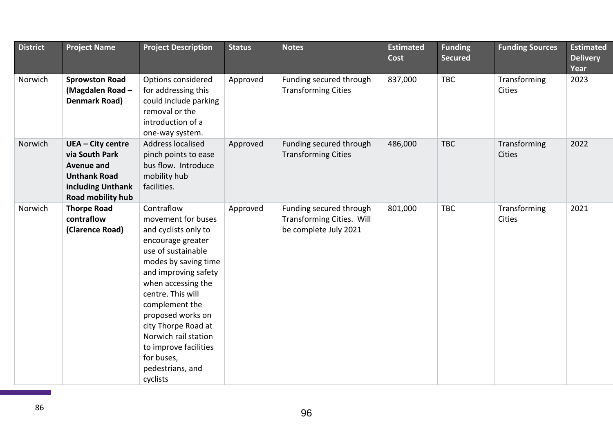| <b>District</b> | <b>Project Name</b>                                                                                                              | <b>Project Description</b>                                                                                                                                                                                                                                                                                                                                  | <b>Status</b> | <b>Notes</b>                                                                  | <b>Estimated</b><br><b>Cost</b> | <b>Funding</b><br><b>Secured</b> | <b>Funding Sources</b>        | <b>Estimated</b><br><b>Delivery</b><br>Year |
|-----------------|----------------------------------------------------------------------------------------------------------------------------------|-------------------------------------------------------------------------------------------------------------------------------------------------------------------------------------------------------------------------------------------------------------------------------------------------------------------------------------------------------------|---------------|-------------------------------------------------------------------------------|---------------------------------|----------------------------------|-------------------------------|---------------------------------------------|
| Norwich         | <b>Sprowston Road</b><br>(Magdalen Road -<br>Denmark Road)                                                                       | Options considered<br>for addressing this<br>could include parking<br>removal or the<br>introduction of a<br>one-way system.                                                                                                                                                                                                                                | Approved      | Funding secured through<br><b>Transforming Cities</b>                         | 837,000                         | <b>TBC</b>                       | Transforming<br>Cities        | 2023                                        |
| Norwich         | <b>UEA - City centre</b><br>via South Park<br><b>Avenue and</b><br><b>Unthank Road</b><br>including Unthank<br>Road mobility hub | <b>Address localised</b><br>pinch points to ease<br>bus flow. Introduce<br>mobility hub<br>facilities.                                                                                                                                                                                                                                                      | Approved      | Funding secured through<br><b>Transforming Cities</b>                         | 486,000                         | <b>TBC</b>                       | Transforming<br><b>Cities</b> | 2022                                        |
| Norwich         | <b>Thorpe Road</b><br>contraflow<br>(Clarence Road)                                                                              | Contraflow<br>movement for buses<br>and cyclists only to<br>encourage greater<br>use of sustainable<br>modes by saving time<br>and improving safety<br>when accessing the<br>centre. This will<br>complement the<br>proposed works on<br>city Thorpe Road at<br>Norwich rail station<br>to improve facilities<br>for buses,<br>pedestrians, and<br>cyclists | Approved      | Funding secured through<br>Transforming Cities. Will<br>be complete July 2021 | 801,000                         | <b>TBC</b>                       | Transforming<br>Cities        | 2021                                        |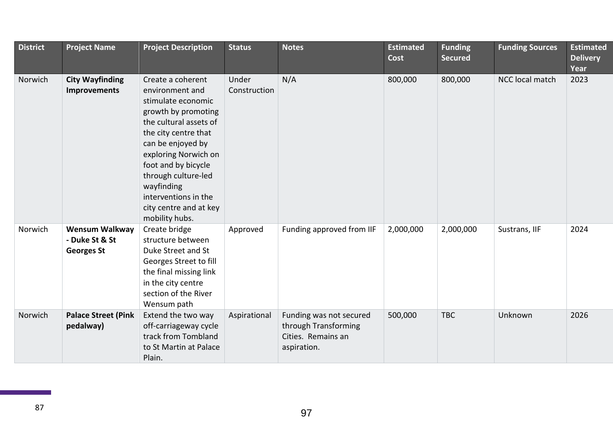| <b>District</b> | <b>Project Name</b>                                          | <b>Project Description</b>                                                                                                                                                                                                                                                                                       | <b>Status</b>         | <b>Notes</b>                                                                         | <b>Estimated</b><br>Cost | <b>Funding</b><br><b>Secured</b> | <b>Funding Sources</b> | <b>Estimated</b><br><b>Delivery</b><br>Year |
|-----------------|--------------------------------------------------------------|------------------------------------------------------------------------------------------------------------------------------------------------------------------------------------------------------------------------------------------------------------------------------------------------------------------|-----------------------|--------------------------------------------------------------------------------------|--------------------------|----------------------------------|------------------------|---------------------------------------------|
| Norwich         | <b>City Wayfinding</b><br>Improvements                       | Create a coherent<br>environment and<br>stimulate economic<br>growth by promoting<br>the cultural assets of<br>the city centre that<br>can be enjoyed by<br>exploring Norwich on<br>foot and by bicycle<br>through culture-led<br>wayfinding<br>interventions in the<br>city centre and at key<br>mobility hubs. | Under<br>Construction | N/A                                                                                  | 800,000                  | 800,000                          | <b>NCC local match</b> | 2023                                        |
| Norwich         | <b>Wensum Walkway</b><br>- Duke St & St<br><b>Georges St</b> | Create bridge<br>structure between<br>Duke Street and St<br>Georges Street to fill<br>the final missing link<br>in the city centre<br>section of the River<br>Wensum path                                                                                                                                        | Approved              | Funding approved from IIF                                                            | 2,000,000                | 2,000,000                        | Sustrans, IIF          | 2024                                        |
| Norwich         | <b>Palace Street (Pink</b><br>pedalway)                      | Extend the two way<br>off-carriageway cycle<br>track from Tombland<br>to St Martin at Palace<br>Plain.                                                                                                                                                                                                           | Aspirational          | Funding was not secured<br>through Transforming<br>Cities. Remains an<br>aspiration. | 500,000                  | <b>TBC</b>                       | Unknown                | 2026                                        |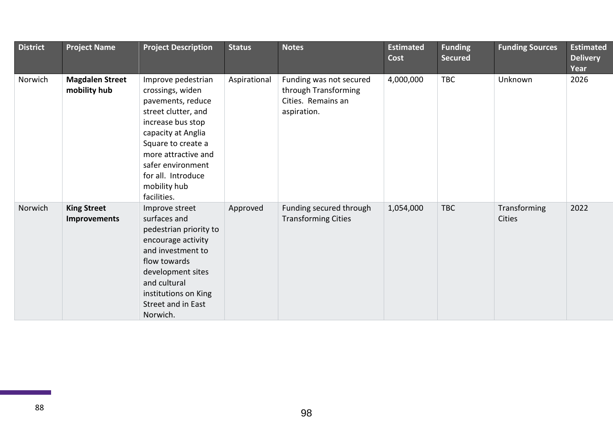| <b>District</b> | <b>Project Name</b>                       | <b>Project Description</b>                                                                                                                                                                                                                           | <b>Status</b> | <b>Notes</b>                                                                         | <b>Estimated</b><br>Cost | <b>Funding</b><br><b>Secured</b> | <b>Funding Sources</b>        | <b>Estimated</b><br><b>Delivery</b><br>Year |
|-----------------|-------------------------------------------|------------------------------------------------------------------------------------------------------------------------------------------------------------------------------------------------------------------------------------------------------|---------------|--------------------------------------------------------------------------------------|--------------------------|----------------------------------|-------------------------------|---------------------------------------------|
| Norwich         | <b>Magdalen Street</b><br>mobility hub    | Improve pedestrian<br>crossings, widen<br>pavements, reduce<br>street clutter, and<br>increase bus stop<br>capacity at Anglia<br>Square to create a<br>more attractive and<br>safer environment<br>for all. Introduce<br>mobility hub<br>facilities. | Aspirational  | Funding was not secured<br>through Transforming<br>Cities. Remains an<br>aspiration. | 4,000,000                | TBC                              | Unknown                       | 2026                                        |
| Norwich         | <b>King Street</b><br><b>Improvements</b> | Improve street<br>surfaces and<br>pedestrian priority to<br>encourage activity<br>and investment to<br>flow towards<br>development sites<br>and cultural<br>institutions on King<br>Street and in East<br>Norwich.                                   | Approved      | Funding secured through<br><b>Transforming Cities</b>                                | 1,054,000                | <b>TBC</b>                       | Transforming<br><b>Cities</b> | 2022                                        |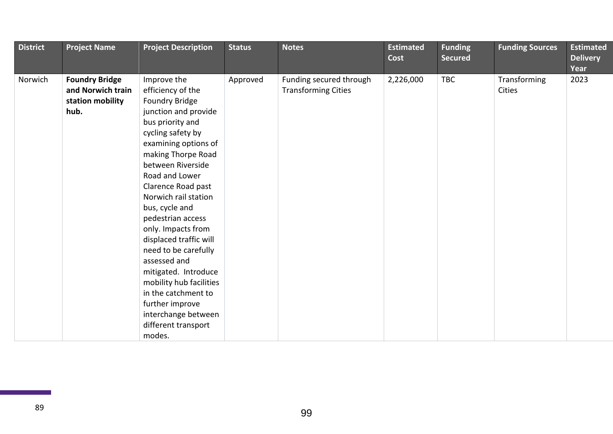| <b>District</b> | <b>Project Name</b>                                                    | <b>Project Description</b>                                                                                                                                                                                                                                                                                                                                                                                                                                                                                                                 | <b>Status</b> | <b>Notes</b>                                          | <b>Estimated</b><br><b>Cost</b> | <b>Funding</b><br><b>Secured</b> | <b>Funding Sources</b>        | <b>Estimated</b><br><b>Delivery</b><br>Year |
|-----------------|------------------------------------------------------------------------|--------------------------------------------------------------------------------------------------------------------------------------------------------------------------------------------------------------------------------------------------------------------------------------------------------------------------------------------------------------------------------------------------------------------------------------------------------------------------------------------------------------------------------------------|---------------|-------------------------------------------------------|---------------------------------|----------------------------------|-------------------------------|---------------------------------------------|
| Norwich         | <b>Foundry Bridge</b><br>and Norwich train<br>station mobility<br>hub. | Improve the<br>efficiency of the<br>Foundry Bridge<br>junction and provide<br>bus priority and<br>cycling safety by<br>examining options of<br>making Thorpe Road<br>between Riverside<br>Road and Lower<br>Clarence Road past<br>Norwich rail station<br>bus, cycle and<br>pedestrian access<br>only. Impacts from<br>displaced traffic will<br>need to be carefully<br>assessed and<br>mitigated. Introduce<br>mobility hub facilities<br>in the catchment to<br>further improve<br>interchange between<br>different transport<br>modes. | Approved      | Funding secured through<br><b>Transforming Cities</b> | 2,226,000                       | <b>TBC</b>                       | Transforming<br><b>Cities</b> | 2023                                        |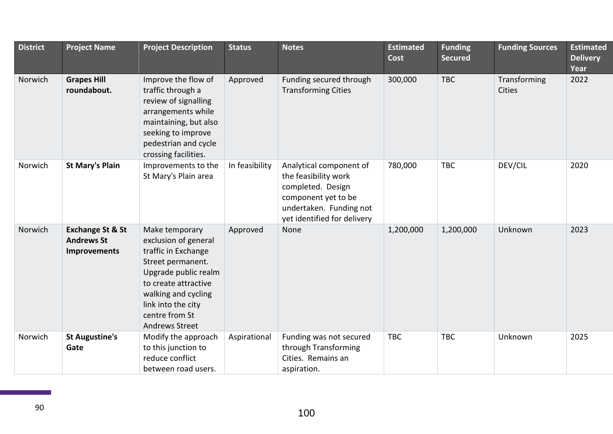| <b>District</b> | <b>Project Name</b>                                              | <b>Project Description</b>                                                                                                                                                                                                 | <b>Status</b>  | <b>Notes</b>                                                                                                                                          | <b>Estimated</b><br>Cost | <b>Funding</b><br><b>Secured</b> | <b>Funding Sources</b>        | <b>Estimated</b><br><b>Delivery</b><br>Year |
|-----------------|------------------------------------------------------------------|----------------------------------------------------------------------------------------------------------------------------------------------------------------------------------------------------------------------------|----------------|-------------------------------------------------------------------------------------------------------------------------------------------------------|--------------------------|----------------------------------|-------------------------------|---------------------------------------------|
| Norwich         | <b>Grapes Hill</b><br>roundabout.                                | Improve the flow of<br>traffic through a<br>review of signalling<br>arrangements while<br>maintaining, but also<br>seeking to improve<br>pedestrian and cycle<br>crossing facilities.                                      | Approved       | Funding secured through<br><b>Transforming Cities</b>                                                                                                 | 300,000                  | <b>TBC</b>                       | Transforming<br><b>Cities</b> | 2022                                        |
| Norwich         | <b>St Mary's Plain</b>                                           | Improvements to the<br>St Mary's Plain area                                                                                                                                                                                | In feasibility | Analytical component of<br>the feasibility work<br>completed. Design<br>component yet to be<br>undertaken. Funding not<br>yet identified for delivery | 780,000                  | <b>TBC</b>                       | DEV/CIL                       | 2020                                        |
| Norwich         | <b>Exchange St &amp; St</b><br><b>Andrews St</b><br>Improvements | Make temporary<br>exclusion of general<br>traffic in Exchange<br>Street permanent.<br>Upgrade public realm<br>to create attractive<br>walking and cycling<br>link into the city<br>centre from St<br><b>Andrews Street</b> | Approved       | None                                                                                                                                                  | 1,200,000                | 1,200,000                        | Unknown                       | 2023                                        |
| Norwich         | <b>St Augustine's</b><br>Gate                                    | Modify the approach<br>to this junction to<br>reduce conflict<br>between road users.                                                                                                                                       | Aspirational   | Funding was not secured<br>through Transforming<br>Cities. Remains an<br>aspiration.                                                                  | <b>TBC</b>               | <b>TBC</b>                       | Unknown                       | 2025                                        |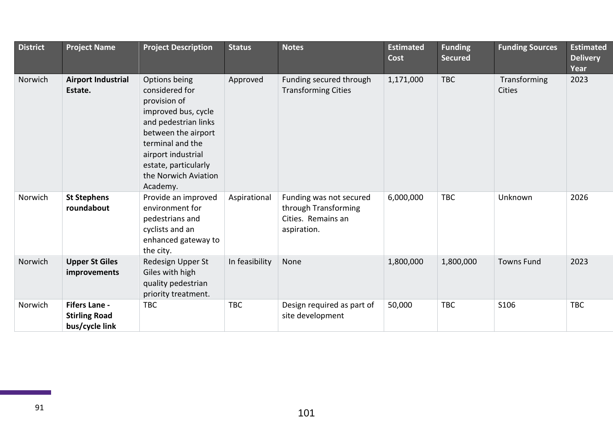| <b>District</b> | <b>Project Name</b>                                            | <b>Project Description</b>                                                                                                                                                                                                  | <b>Status</b>  | <b>Notes</b>                                                                         | <b>Estimated</b><br>Cost | <b>Funding</b><br><b>Secured</b> | <b>Funding Sources</b> | <b>Estimated</b><br><b>Delivery</b><br>Year |
|-----------------|----------------------------------------------------------------|-----------------------------------------------------------------------------------------------------------------------------------------------------------------------------------------------------------------------------|----------------|--------------------------------------------------------------------------------------|--------------------------|----------------------------------|------------------------|---------------------------------------------|
| Norwich         | <b>Airport Industrial</b><br>Estate.                           | Options being<br>considered for<br>provision of<br>improved bus, cycle<br>and pedestrian links<br>between the airport<br>terminal and the<br>airport industrial<br>estate, particularly<br>the Norwich Aviation<br>Academy. | Approved       | Funding secured through<br><b>Transforming Cities</b>                                | 1,171,000                | <b>TBC</b>                       | Transforming<br>Cities | 2023                                        |
| Norwich         | <b>St Stephens</b><br>roundabout                               | Provide an improved<br>environment for<br>pedestrians and<br>cyclists and an<br>enhanced gateway to<br>the city.                                                                                                            | Aspirational   | Funding was not secured<br>through Transforming<br>Cities. Remains an<br>aspiration. | 6,000,000                | <b>TBC</b>                       | Unknown                | 2026                                        |
| Norwich         | <b>Upper St Giles</b><br>improvements                          | Redesign Upper St<br>Giles with high<br>quality pedestrian<br>priority treatment.                                                                                                                                           | In feasibility | None                                                                                 | 1,800,000                | 1,800,000                        | <b>Towns Fund</b>      | 2023                                        |
| Norwich         | <b>Fifers Lane -</b><br><b>Stirling Road</b><br>bus/cycle link | <b>TBC</b>                                                                                                                                                                                                                  | <b>TBC</b>     | Design required as part of<br>site development                                       | 50,000                   | <b>TBC</b>                       | S106                   | <b>TBC</b>                                  |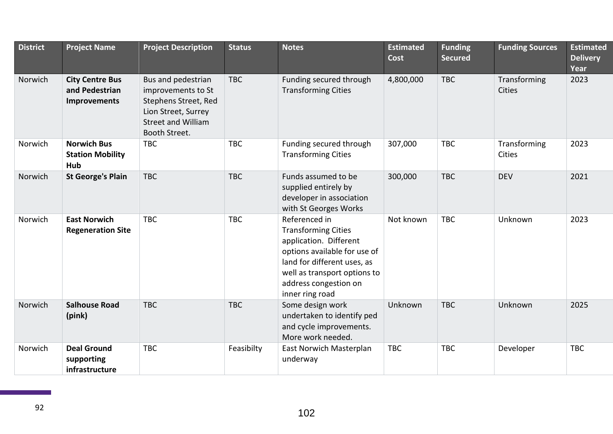| <b>District</b> | <b>Project Name</b>                                             | <b>Project Description</b>                                                                                                            | <b>Status</b> | <b>Notes</b>                                                                                                                                                                                                     | <b>Estimated</b><br>Cost | <b>Funding</b><br><b>Secured</b> | <b>Funding Sources</b>        | <b>Estimated</b><br><b>Delivery</b><br>Year |
|-----------------|-----------------------------------------------------------------|---------------------------------------------------------------------------------------------------------------------------------------|---------------|------------------------------------------------------------------------------------------------------------------------------------------------------------------------------------------------------------------|--------------------------|----------------------------------|-------------------------------|---------------------------------------------|
| Norwich         | <b>City Centre Bus</b><br>and Pedestrian<br><b>Improvements</b> | Bus and pedestrian<br>improvements to St<br>Stephens Street, Red<br>Lion Street, Surrey<br><b>Street and William</b><br>Booth Street. | <b>TBC</b>    | Funding secured through<br><b>Transforming Cities</b>                                                                                                                                                            | 4,800,000                | <b>TBC</b>                       | Transforming<br><b>Cities</b> | 2023                                        |
| Norwich         | <b>Norwich Bus</b><br><b>Station Mobility</b><br>Hub            | <b>TBC</b>                                                                                                                            | <b>TBC</b>    | Funding secured through<br><b>Transforming Cities</b>                                                                                                                                                            | 307,000                  | <b>TBC</b>                       | Transforming<br>Cities        | 2023                                        |
| Norwich         | <b>St George's Plain</b>                                        | <b>TBC</b>                                                                                                                            | <b>TBC</b>    | Funds assumed to be<br>supplied entirely by<br>developer in association<br>with St Georges Works                                                                                                                 | 300,000                  | <b>TBC</b>                       | <b>DEV</b>                    | 2021                                        |
| Norwich         | <b>East Norwich</b><br><b>Regeneration Site</b>                 | <b>TBC</b>                                                                                                                            | <b>TBC</b>    | Referenced in<br><b>Transforming Cities</b><br>application. Different<br>options available for use of<br>land for different uses, as<br>well as transport options to<br>address congestion on<br>inner ring road | Not known                | <b>TBC</b>                       | Unknown                       | 2023                                        |
| Norwich         | <b>Salhouse Road</b><br>(pink)                                  | <b>TBC</b>                                                                                                                            | <b>TBC</b>    | Some design work<br>undertaken to identify ped<br>and cycle improvements.<br>More work needed.                                                                                                                   | Unknown                  | <b>TBC</b>                       | Unknown                       | 2025                                        |
| Norwich         | <b>Deal Ground</b><br>supporting<br>infrastructure              | <b>TBC</b>                                                                                                                            | Feasibilty    | East Norwich Masterplan<br>underway                                                                                                                                                                              | <b>TBC</b>               | <b>TBC</b>                       | Developer                     | <b>TBC</b>                                  |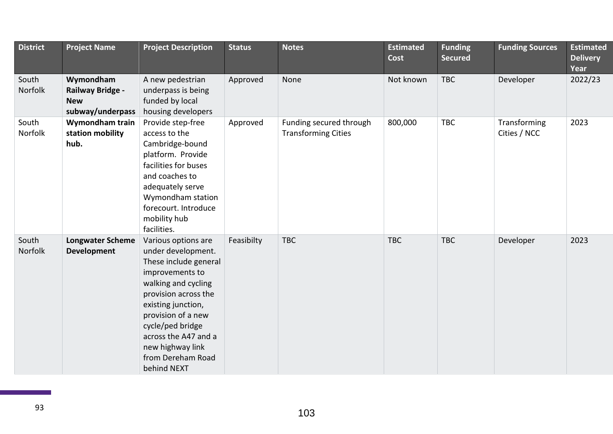| <b>District</b>  | <b>Project Name</b>                                                    | <b>Project Description</b>                                                                                                                                                                                                                                                           | <b>Status</b> | <b>Notes</b>                                          | <b>Estimated</b><br>Cost | <b>Funding</b><br><b>Secured</b> | <b>Funding Sources</b>       | <b>Estimated</b><br><b>Delivery</b><br>Year |
|------------------|------------------------------------------------------------------------|--------------------------------------------------------------------------------------------------------------------------------------------------------------------------------------------------------------------------------------------------------------------------------------|---------------|-------------------------------------------------------|--------------------------|----------------------------------|------------------------------|---------------------------------------------|
| South<br>Norfolk | Wymondham<br><b>Railway Bridge -</b><br><b>New</b><br>subway/underpass | A new pedestrian<br>underpass is being<br>funded by local<br>housing developers                                                                                                                                                                                                      | Approved      | None                                                  | Not known                | <b>TBC</b>                       | Developer                    | 2022/23                                     |
| South<br>Norfolk | Wymondham train<br>station mobility<br>hub.                            | Provide step-free<br>access to the<br>Cambridge-bound<br>platform. Provide<br>facilities for buses<br>and coaches to<br>adequately serve<br>Wymondham station<br>forecourt. Introduce<br>mobility hub<br>facilities.                                                                 | Approved      | Funding secured through<br><b>Transforming Cities</b> | 800,000                  | <b>TBC</b>                       | Transforming<br>Cities / NCC | 2023                                        |
| South<br>Norfolk | <b>Longwater Scheme</b><br><b>Development</b>                          | Various options are<br>under development.<br>These include general<br>improvements to<br>walking and cycling<br>provision across the<br>existing junction,<br>provision of a new<br>cycle/ped bridge<br>across the A47 and a<br>new highway link<br>from Dereham Road<br>behind NEXT | Feasibilty    | <b>TBC</b>                                            | <b>TBC</b>               | <b>TBC</b>                       | Developer                    | 2023                                        |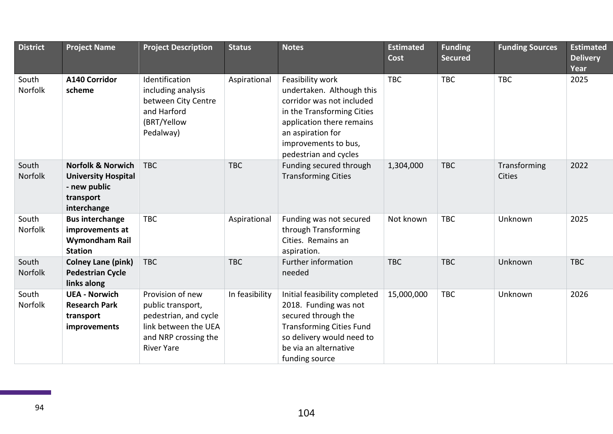| <b>District</b>         | <b>Project Name</b>                                                                                    | <b>Project Description</b>                                                                                                          | <b>Status</b>  | <b>Notes</b>                                                                                                                                                                                                | <b>Estimated</b><br>Cost | <b>Funding</b><br><b>Secured</b> | <b>Funding Sources</b>        | <b>Estimated</b><br><b>Delivery</b><br>Year |
|-------------------------|--------------------------------------------------------------------------------------------------------|-------------------------------------------------------------------------------------------------------------------------------------|----------------|-------------------------------------------------------------------------------------------------------------------------------------------------------------------------------------------------------------|--------------------------|----------------------------------|-------------------------------|---------------------------------------------|
| South<br>Norfolk        | <b>A140 Corridor</b><br>scheme                                                                         | Identification<br>including analysis<br>between City Centre<br>and Harford<br>(BRT/Yellow<br>Pedalway)                              | Aspirational   | Feasibility work<br>undertaken. Although this<br>corridor was not included<br>in the Transforming Cities<br>application there remains<br>an aspiration for<br>improvements to bus,<br>pedestrian and cycles | <b>TBC</b>               | <b>TBC</b>                       | <b>TBC</b>                    | 2025                                        |
| South<br>Norfolk        | <b>Norfolk &amp; Norwich</b><br><b>University Hospital</b><br>- new public<br>transport<br>interchange | <b>TBC</b>                                                                                                                          | <b>TBC</b>     | Funding secured through<br><b>Transforming Cities</b>                                                                                                                                                       | 1,304,000                | <b>TBC</b>                       | Transforming<br><b>Cities</b> | 2022                                        |
| South<br><b>Norfolk</b> | <b>Bus interchange</b><br>improvements at<br><b>Wymondham Rail</b><br><b>Station</b>                   | <b>TBC</b>                                                                                                                          | Aspirational   | Funding was not secured<br>through Transforming<br>Cities. Remains an<br>aspiration.                                                                                                                        | Not known                | <b>TBC</b>                       | Unknown                       | 2025                                        |
| South<br>Norfolk        | <b>Colney Lane (pink)</b><br><b>Pedestrian Cycle</b><br>links along                                    | <b>TBC</b>                                                                                                                          | <b>TBC</b>     | Further information<br>needed                                                                                                                                                                               | <b>TBC</b>               | <b>TBC</b>                       | Unknown                       | <b>TBC</b>                                  |
| South<br><b>Norfolk</b> | <b>UEA - Norwich</b><br><b>Research Park</b><br>transport<br>improvements                              | Provision of new<br>public transport,<br>pedestrian, and cycle<br>link between the UEA<br>and NRP crossing the<br><b>River Yare</b> | In feasibility | Initial feasibility completed<br>2018. Funding was not<br>secured through the<br><b>Transforming Cities Fund</b><br>so delivery would need to<br>be via an alternative<br>funding source                    | 15,000,000               | <b>TBC</b>                       | Unknown                       | 2026                                        |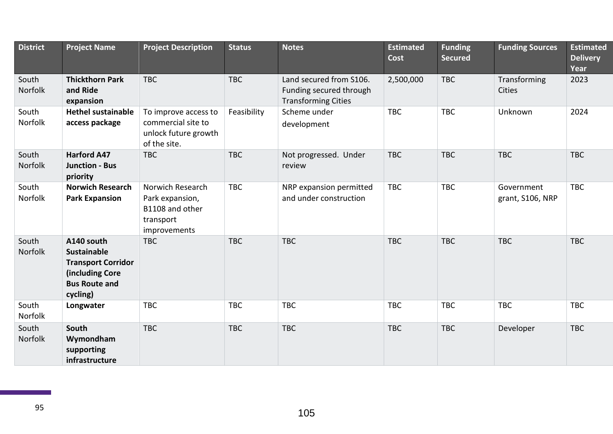| <b>District</b>  | <b>Project Name</b>                                                                                                  | <b>Project Description</b>                                                          | <b>Status</b> | <b>Notes</b>                                                                     | <b>Estimated</b><br>Cost | <b>Funding</b><br><b>Secured</b> | <b>Funding Sources</b>         | <b>Estimated</b><br><b>Delivery</b><br>Year |
|------------------|----------------------------------------------------------------------------------------------------------------------|-------------------------------------------------------------------------------------|---------------|----------------------------------------------------------------------------------|--------------------------|----------------------------------|--------------------------------|---------------------------------------------|
| South<br>Norfolk | <b>Thickthorn Park</b><br>and Ride<br>expansion                                                                      | <b>TBC</b>                                                                          | <b>TBC</b>    | Land secured from S106.<br>Funding secured through<br><b>Transforming Cities</b> | 2,500,000                | <b>TBC</b>                       | Transforming<br><b>Cities</b>  | 2023                                        |
| South<br>Norfolk | <b>Hethel sustainable</b><br>access package                                                                          | To improve access to<br>commercial site to<br>unlock future growth<br>of the site.  | Feasibility   | Scheme under<br>development                                                      | <b>TBC</b>               | <b>TBC</b>                       | Unknown                        | 2024                                        |
| South<br>Norfolk | <b>Harford A47</b><br><b>Junction - Bus</b><br>priority                                                              | <b>TBC</b>                                                                          | <b>TBC</b>    | Not progressed. Under<br>review                                                  | <b>TBC</b>               | <b>TBC</b>                       | <b>TBC</b>                     | <b>TBC</b>                                  |
| South<br>Norfolk | <b>Norwich Research</b><br><b>Park Expansion</b>                                                                     | Norwich Research<br>Park expansion,<br>B1108 and other<br>transport<br>improvements | <b>TBC</b>    | NRP expansion permitted<br>and under construction                                | <b>TBC</b>               | <b>TBC</b>                       | Government<br>grant, S106, NRP | <b>TBC</b>                                  |
| South<br>Norfolk | A140 south<br><b>Sustainable</b><br><b>Transport Corridor</b><br>(including Core<br><b>Bus Route and</b><br>cycling) | <b>TBC</b>                                                                          | <b>TBC</b>    | <b>TBC</b>                                                                       | <b>TBC</b>               | <b>TBC</b>                       | <b>TBC</b>                     | <b>TBC</b>                                  |
| South<br>Norfolk | Longwater                                                                                                            | <b>TBC</b>                                                                          | <b>TBC</b>    | <b>TBC</b>                                                                       | <b>TBC</b>               | <b>TBC</b>                       | <b>TBC</b>                     | <b>TBC</b>                                  |
| South<br>Norfolk | South<br>Wymondham<br>supporting<br>infrastructure                                                                   | <b>TBC</b>                                                                          | <b>TBC</b>    | <b>TBC</b>                                                                       | <b>TBC</b>               | <b>TBC</b>                       | Developer                      | <b>TBC</b>                                  |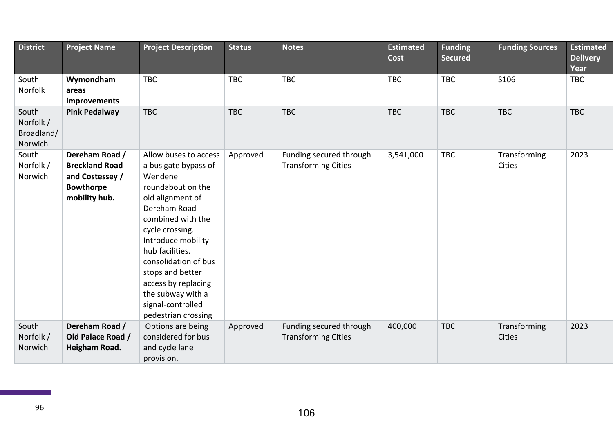| <b>District</b>                             | <b>Project Name</b>                                                                             | <b>Project Description</b>                                                                                                                                                                                                                                                                                                             | <b>Status</b> | <b>Notes</b>                                          | <b>Estimated</b><br><b>Cost</b> | <b>Funding</b><br><b>Secured</b> | <b>Funding Sources</b> | <b>Estimated</b><br><b>Delivery</b><br>Year |
|---------------------------------------------|-------------------------------------------------------------------------------------------------|----------------------------------------------------------------------------------------------------------------------------------------------------------------------------------------------------------------------------------------------------------------------------------------------------------------------------------------|---------------|-------------------------------------------------------|---------------------------------|----------------------------------|------------------------|---------------------------------------------|
| South<br>Norfolk                            | Wymondham<br>areas<br>improvements                                                              | <b>TBC</b>                                                                                                                                                                                                                                                                                                                             | <b>TBC</b>    | <b>TBC</b>                                            | <b>TBC</b>                      | <b>TBC</b>                       | S106                   | <b>TBC</b>                                  |
| South<br>Norfolk /<br>Broadland/<br>Norwich | <b>Pink Pedalway</b>                                                                            | <b>TBC</b>                                                                                                                                                                                                                                                                                                                             | <b>TBC</b>    | <b>TBC</b>                                            | <b>TBC</b>                      | <b>TBC</b>                       | <b>TBC</b>             | <b>TBC</b>                                  |
| South<br>Norfolk /<br>Norwich               | Dereham Road /<br><b>Breckland Road</b><br>and Costessey /<br><b>Bowthorpe</b><br>mobility hub. | Allow buses to access<br>a bus gate bypass of<br>Wendene<br>roundabout on the<br>old alignment of<br>Dereham Road<br>combined with the<br>cycle crossing.<br>Introduce mobility<br>hub facilities.<br>consolidation of bus<br>stops and better<br>access by replacing<br>the subway with a<br>signal-controlled<br>pedestrian crossing | Approved      | Funding secured through<br><b>Transforming Cities</b> | 3,541,000                       | <b>TBC</b>                       | Transforming<br>Cities | 2023                                        |
| South<br>Norfolk /<br>Norwich               | Dereham Road /<br>Old Palace Road /<br><b>Heigham Road.</b>                                     | Options are being<br>considered for bus<br>and cycle lane<br>provision.                                                                                                                                                                                                                                                                | Approved      | Funding secured through<br><b>Transforming Cities</b> | 400,000                         | <b>TBC</b>                       | Transforming<br>Cities | 2023                                        |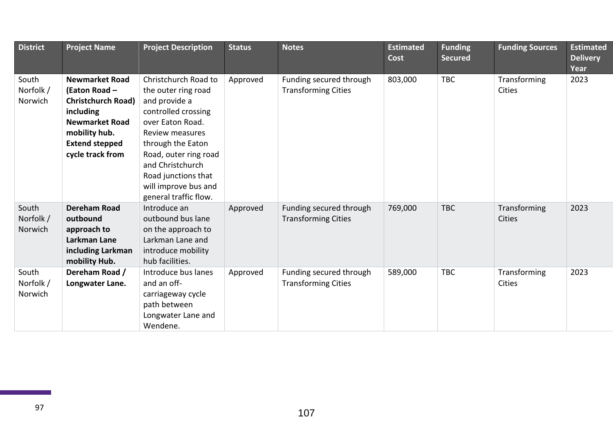| <b>District</b> | <b>Project Name</b>       | <b>Project Description</b> | <b>Status</b> | <b>Notes</b>               | <b>Estimated</b><br>Cost | <b>Funding</b><br><b>Secured</b> | <b>Funding Sources</b> | <b>Estimated</b><br><b>Delivery</b><br>Year |
|-----------------|---------------------------|----------------------------|---------------|----------------------------|--------------------------|----------------------------------|------------------------|---------------------------------------------|
| South           | <b>Newmarket Road</b>     | Christchurch Road to       | Approved      | Funding secured through    | 803,000                  | <b>TBC</b>                       | Transforming           | 2023                                        |
| Norfolk /       | (Eaton Road -             | the outer ring road        |               | <b>Transforming Cities</b> |                          |                                  | Cities                 |                                             |
| Norwich         | <b>Christchurch Road)</b> | and provide a              |               |                            |                          |                                  |                        |                                             |
|                 | including                 | controlled crossing        |               |                            |                          |                                  |                        |                                             |
|                 | <b>Newmarket Road</b>     | over Eaton Road.           |               |                            |                          |                                  |                        |                                             |
|                 | mobility hub.             | Review measures            |               |                            |                          |                                  |                        |                                             |
|                 | <b>Extend stepped</b>     | through the Eaton          |               |                            |                          |                                  |                        |                                             |
|                 | cycle track from          | Road, outer ring road      |               |                            |                          |                                  |                        |                                             |
|                 |                           | and Christchurch           |               |                            |                          |                                  |                        |                                             |
|                 |                           | Road junctions that        |               |                            |                          |                                  |                        |                                             |
|                 |                           | will improve bus and       |               |                            |                          |                                  |                        |                                             |
|                 |                           | general traffic flow.      |               |                            |                          |                                  |                        |                                             |
| South           | <b>Dereham Road</b>       | Introduce an               | Approved      | Funding secured through    | 769,000                  | <b>TBC</b>                       | Transforming           | 2023                                        |
| Norfolk /       | outbound                  | outbound bus lane          |               | <b>Transforming Cities</b> |                          |                                  | Cities                 |                                             |
| Norwich         | approach to               | on the approach to         |               |                            |                          |                                  |                        |                                             |
|                 | Larkman Lane              | Larkman Lane and           |               |                            |                          |                                  |                        |                                             |
|                 | including Larkman         | introduce mobility         |               |                            |                          |                                  |                        |                                             |
|                 | mobility Hub.             | hub facilities.            |               |                            |                          |                                  |                        |                                             |
| South           | Dereham Road /            | Introduce bus lanes        | Approved      | Funding secured through    | 589,000                  | <b>TBC</b>                       | Transforming           | 2023                                        |
| Norfolk /       | Longwater Lane.           | and an off-                |               | <b>Transforming Cities</b> |                          |                                  | Cities                 |                                             |
| Norwich         |                           | carriageway cycle          |               |                            |                          |                                  |                        |                                             |
|                 |                           | path between               |               |                            |                          |                                  |                        |                                             |
|                 |                           | Longwater Lane and         |               |                            |                          |                                  |                        |                                             |
|                 |                           | Wendene.                   |               |                            |                          |                                  |                        |                                             |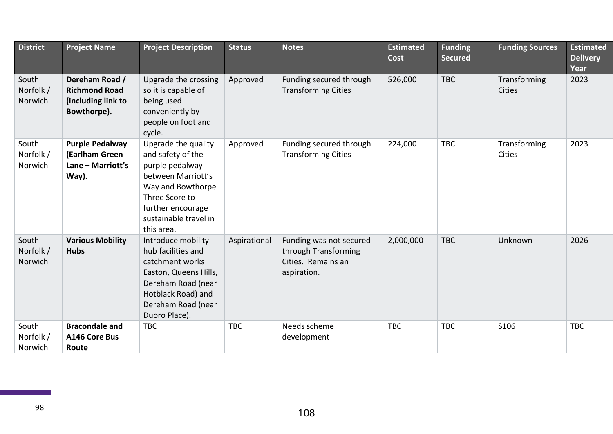| <b>District</b>               | <b>Project Name</b>                                                         | <b>Project Description</b>                                                                                                                                                           | <b>Status</b> | <b>Notes</b>                                                                         | <b>Estimated</b><br><b>Cost</b> | <b>Funding</b><br><b>Secured</b> | <b>Funding Sources</b> | <b>Estimated</b><br><b>Delivery</b><br>Year |
|-------------------------------|-----------------------------------------------------------------------------|--------------------------------------------------------------------------------------------------------------------------------------------------------------------------------------|---------------|--------------------------------------------------------------------------------------|---------------------------------|----------------------------------|------------------------|---------------------------------------------|
| South<br>Norfolk /<br>Norwich | Dereham Road /<br><b>Richmond Road</b><br>(including link to<br>Bowthorpe). | Upgrade the crossing<br>so it is capable of<br>being used<br>conveniently by<br>people on foot and<br>cycle.                                                                         | Approved      | Funding secured through<br><b>Transforming Cities</b>                                | 526,000                         | <b>TBC</b>                       | Transforming<br>Cities | 2023                                        |
| South<br>Norfolk /<br>Norwich | <b>Purple Pedalway</b><br>(Earlham Green<br>Lane - Marriott's<br>Way).      | Upgrade the quality<br>and safety of the<br>purple pedalway<br>between Marriott's<br>Way and Bowthorpe<br>Three Score to<br>further encourage<br>sustainable travel in<br>this area. | Approved      | Funding secured through<br><b>Transforming Cities</b>                                | 224,000                         | <b>TBC</b>                       | Transforming<br>Cities | 2023                                        |
| South<br>Norfolk /<br>Norwich | <b>Various Mobility</b><br><b>Hubs</b>                                      | Introduce mobility<br>hub facilities and<br>catchment works<br>Easton, Queens Hills,<br>Dereham Road (near<br>Hotblack Road) and<br>Dereham Road (near<br>Duoro Place).              | Aspirational  | Funding was not secured<br>through Transforming<br>Cities. Remains an<br>aspiration. | 2,000,000                       | <b>TBC</b>                       | Unknown                | 2026                                        |
| South<br>Norfolk /<br>Norwich | <b>Bracondale and</b><br>A146 Core Bus<br>Route                             | <b>TBC</b>                                                                                                                                                                           | <b>TBC</b>    | Needs scheme<br>development                                                          | <b>TBC</b>                      | <b>TBC</b>                       | S106                   | <b>TBC</b>                                  |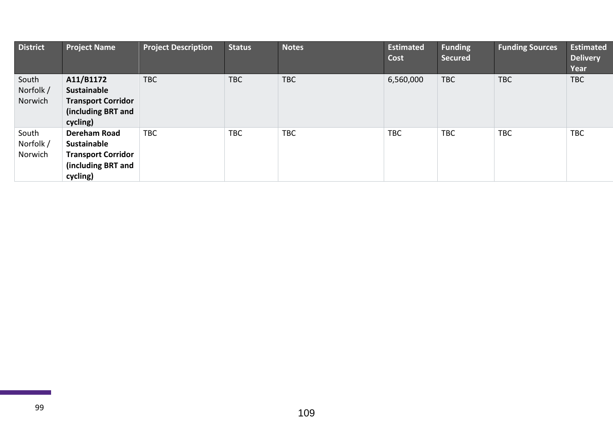| <b>District</b>               | <b>Project Name</b>                                                                                      | <b>Project Description</b> | <b>Status</b> | <b>Notes</b> | <b>Estimated</b><br>Cost | <b>Funding</b><br><b>Secured</b> | <b>Funding Sources</b> | <b>Estimated</b><br><b>Delivery</b><br>Year |
|-------------------------------|----------------------------------------------------------------------------------------------------------|----------------------------|---------------|--------------|--------------------------|----------------------------------|------------------------|---------------------------------------------|
| South<br>Norfolk /<br>Norwich | A11/B1172<br>Sustainable<br><b>Transport Corridor</b><br>(including BRT and<br>cycling)                  | <b>TBC</b>                 | <b>TBC</b>    | <b>TBC</b>   | 6,560,000                | <b>TBC</b>                       | <b>TBC</b>             | <b>TBC</b>                                  |
| South<br>Norfolk /<br>Norwich | <b>Dereham Road</b><br><b>Sustainable</b><br><b>Transport Corridor</b><br>(including BRT and<br>cycling) | <b>TBC</b>                 | <b>TBC</b>    | <b>TBC</b>   | <b>TBC</b>               | <b>TBC</b>                       | <b>TBC</b>             | <b>TBC</b>                                  |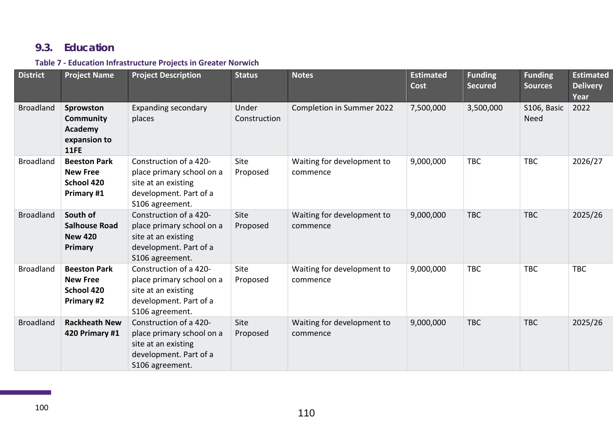## **9.3. Education**

#### **Table 7 - Education Infrastructure Projects in Greater Norwich**

| <b>District</b>  | <b>Project Name</b>                                                | <b>Project Description</b>                                                                                              | <b>Status</b>         | <b>Notes</b>                           | <b>Estimated</b><br>Cost | <b>Funding</b><br><b>Secured</b> | <b>Funding</b><br><b>Sources</b> | <b>Estimated</b><br><b>Delivery</b><br>Year |
|------------------|--------------------------------------------------------------------|-------------------------------------------------------------------------------------------------------------------------|-----------------------|----------------------------------------|--------------------------|----------------------------------|----------------------------------|---------------------------------------------|
| <b>Broadland</b> | Sprowston<br>Community<br>Academy<br>expansion to<br><b>11FE</b>   | <b>Expanding secondary</b><br>places                                                                                    | Under<br>Construction | Completion in Summer 2022              | 7,500,000                | 3,500,000                        | S106, Basic<br><b>Need</b>       | 2022                                        |
| <b>Broadland</b> | <b>Beeston Park</b><br><b>New Free</b><br>School 420<br>Primary #1 | Construction of a 420-<br>place primary school on a<br>site at an existing<br>development. Part of a<br>S106 agreement. | Site<br>Proposed      | Waiting for development to<br>commence | 9,000,000                | <b>TBC</b>                       | <b>TBC</b>                       | 2026/27                                     |
| <b>Broadland</b> | South of<br><b>Salhouse Road</b><br><b>New 420</b><br>Primary      | Construction of a 420-<br>place primary school on a<br>site at an existing<br>development. Part of a<br>S106 agreement. | Site<br>Proposed      | Waiting for development to<br>commence | 9,000,000                | <b>TBC</b>                       | <b>TBC</b>                       | 2025/26                                     |
| <b>Broadland</b> | <b>Beeston Park</b><br><b>New Free</b><br>School 420<br>Primary #2 | Construction of a 420-<br>place primary school on a<br>site at an existing<br>development. Part of a<br>S106 agreement. | Site<br>Proposed      | Waiting for development to<br>commence | 9,000,000                | <b>TBC</b>                       | <b>TBC</b>                       | <b>TBC</b>                                  |
| <b>Broadland</b> | <b>Rackheath New</b><br>420 Primary #1                             | Construction of a 420-<br>place primary school on a<br>site at an existing<br>development. Part of a<br>S106 agreement. | Site<br>Proposed      | Waiting for development to<br>commence | 9,000,000                | <b>TBC</b>                       | <b>TBC</b>                       | 2025/26                                     |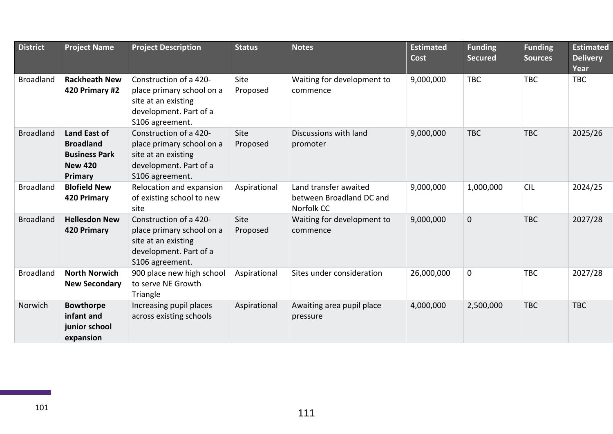| <b>District</b>  | <b>Project Name</b>                                                                          | <b>Project Description</b>                                                                                              | <b>Status</b>    | <b>Notes</b>                                                    | <b>Estimated</b><br><b>Cost</b> | <b>Funding</b><br><b>Secured</b> | <b>Funding</b><br><b>Sources</b> | <b>Estimated</b><br><b>Delivery</b><br>Year |
|------------------|----------------------------------------------------------------------------------------------|-------------------------------------------------------------------------------------------------------------------------|------------------|-----------------------------------------------------------------|---------------------------------|----------------------------------|----------------------------------|---------------------------------------------|
| <b>Broadland</b> | <b>Rackheath New</b><br>420 Primary #2                                                       | Construction of a 420-<br>place primary school on a<br>site at an existing<br>development. Part of a<br>S106 agreement. | Site<br>Proposed | Waiting for development to<br>commence                          | 9,000,000                       | <b>TBC</b>                       | <b>TBC</b>                       | <b>TBC</b>                                  |
| <b>Broadland</b> | <b>Land East of</b><br><b>Broadland</b><br><b>Business Park</b><br><b>New 420</b><br>Primary | Construction of a 420-<br>place primary school on a<br>site at an existing<br>development. Part of a<br>S106 agreement. | Site<br>Proposed | Discussions with land<br>promoter                               | 9,000,000                       | <b>TBC</b>                       | <b>TBC</b>                       | 2025/26                                     |
| <b>Broadland</b> | <b>Blofield New</b><br>420 Primary                                                           | Relocation and expansion<br>of existing school to new<br>site                                                           | Aspirational     | Land transfer awaited<br>between Broadland DC and<br>Norfolk CC | 9,000,000                       | 1,000,000                        | <b>CIL</b>                       | 2024/25                                     |
| <b>Broadland</b> | <b>Hellesdon New</b><br>420 Primary                                                          | Construction of a 420-<br>place primary school on a<br>site at an existing<br>development. Part of a<br>S106 agreement. | Site<br>Proposed | Waiting for development to<br>commence                          | 9,000,000                       | $\mathbf{0}$                     | <b>TBC</b>                       | 2027/28                                     |
| <b>Broadland</b> | <b>North Norwich</b><br><b>New Secondary</b>                                                 | 900 place new high school<br>to serve NE Growth<br>Triangle                                                             | Aspirational     | Sites under consideration                                       | 26,000,000                      | $\mathbf 0$                      | <b>TBC</b>                       | 2027/28                                     |
| Norwich          | <b>Bowthorpe</b><br>infant and<br>junior school<br>expansion                                 | Increasing pupil places<br>across existing schools                                                                      | Aspirational     | Awaiting area pupil place<br>pressure                           | 4,000,000                       | 2,500,000                        | <b>TBC</b>                       | <b>TBC</b>                                  |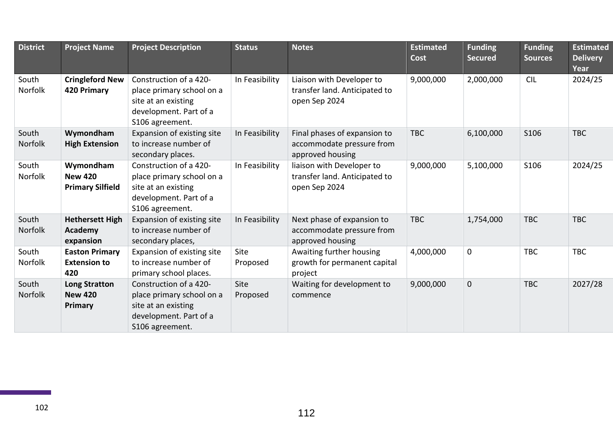| <b>District</b>         | <b>Project Name</b>                                    | <b>Project Description</b>                                                                                              | <b>Status</b>           | <b>Notes</b>                                                                  | <b>Estimated</b><br><b>Cost</b> | <b>Funding</b><br><b>Secured</b> | <b>Funding</b><br><b>Sources</b> | <b>Estimated</b><br><b>Delivery</b><br>Year |
|-------------------------|--------------------------------------------------------|-------------------------------------------------------------------------------------------------------------------------|-------------------------|-------------------------------------------------------------------------------|---------------------------------|----------------------------------|----------------------------------|---------------------------------------------|
| South<br>Norfolk        | <b>Cringleford New</b><br>420 Primary                  | Construction of a 420-<br>place primary school on a<br>site at an existing<br>development. Part of a<br>S106 agreement. | In Feasibility          | Liaison with Developer to<br>transfer land. Anticipated to<br>open Sep 2024   | 9,000,000                       | 2,000,000                        | <b>CIL</b>                       | 2024/25                                     |
| South<br>Norfolk        | Wymondham<br><b>High Extension</b>                     | Expansion of existing site<br>to increase number of<br>secondary places.                                                | In Feasibility          | Final phases of expansion to<br>accommodate pressure from<br>approved housing | <b>TBC</b>                      | 6,100,000                        | S106                             | <b>TBC</b>                                  |
| South<br><b>Norfolk</b> | Wymondham<br><b>New 420</b><br><b>Primary Silfield</b> | Construction of a 420-<br>place primary school on a<br>site at an existing<br>development. Part of a<br>S106 agreement. | In Feasibility          | liaison with Developer to<br>transfer land. Anticipated to<br>open Sep 2024   | 9,000,000                       | 5,100,000                        | S106                             | 2024/25                                     |
| South<br>Norfolk        | <b>Hethersett High</b><br>Academy<br>expansion         | Expansion of existing site<br>to increase number of<br>secondary places,                                                | In Feasibility          | Next phase of expansion to<br>accommodate pressure from<br>approved housing   | <b>TBC</b>                      | 1,754,000                        | <b>TBC</b>                       | <b>TBC</b>                                  |
| South<br><b>Norfolk</b> | <b>Easton Primary</b><br><b>Extension to</b><br>420    | Expansion of existing site<br>to increase number of<br>primary school places.                                           | <b>Site</b><br>Proposed | Awaiting further housing<br>growth for permanent capital<br>project           | 4,000,000                       | $\mathbf 0$                      | <b>TBC</b>                       | <b>TBC</b>                                  |
| South<br><b>Norfolk</b> | <b>Long Stratton</b><br><b>New 420</b><br>Primary      | Construction of a 420-<br>place primary school on a<br>site at an existing<br>development. Part of a<br>S106 agreement. | Site<br>Proposed        | Waiting for development to<br>commence                                        | 9,000,000                       | $\mathbf 0$                      | <b>TBC</b>                       | 2027/28                                     |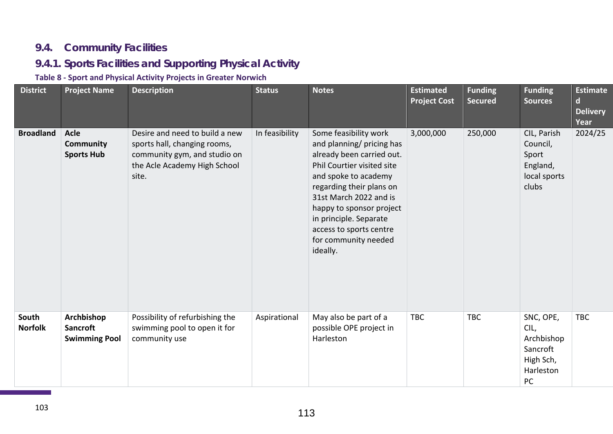# **9.4. Community Facilities**

# **9.4.1. Sports Facilities and Supporting Physical Activity**

# **Table 8 - Sport and Physical Activity Projects in Greater Norwich**

| <b>District</b>         | <b>Project Name</b>                                   | <b>Description</b>                                                                                                                      | <b>Status</b>  | <b>Notes</b>                                                                                                                                                                                                                                                                                                     | <b>Estimated</b><br><b>Project Cost</b> | <b>Funding</b><br><b>Secured</b> | <b>Funding</b><br><b>Sources</b>                                            | <b>Estimate</b><br><sub>d</sub><br><b>Delivery</b><br>Year |
|-------------------------|-------------------------------------------------------|-----------------------------------------------------------------------------------------------------------------------------------------|----------------|------------------------------------------------------------------------------------------------------------------------------------------------------------------------------------------------------------------------------------------------------------------------------------------------------------------|-----------------------------------------|----------------------------------|-----------------------------------------------------------------------------|------------------------------------------------------------|
| <b>Broadland</b>        | <b>Acle</b><br>Community<br><b>Sports Hub</b>         | Desire and need to build a new<br>sports hall, changing rooms,<br>community gym, and studio on<br>the Acle Academy High School<br>site. | In feasibility | Some feasibility work<br>and planning/ pricing has<br>already been carried out.<br>Phil Courtier visited site<br>and spoke to academy<br>regarding their plans on<br>31st March 2022 and is<br>happy to sponsor project<br>in principle. Separate<br>access to sports centre<br>for community needed<br>ideally. | 3,000,000                               | 250,000                          | CIL, Parish<br>Council,<br>Sport<br>England,<br>local sports<br>clubs       | 2024/25                                                    |
| South<br><b>Norfolk</b> | Archbishop<br><b>Sancroft</b><br><b>Swimming Pool</b> | Possibility of refurbishing the<br>swimming pool to open it for<br>community use                                                        | Aspirational   | May also be part of a<br>possible OPE project in<br>Harleston                                                                                                                                                                                                                                                    | <b>TBC</b>                              | <b>TBC</b>                       | SNC, OPE,<br>CIL,<br>Archbishop<br>Sancroft<br>High Sch,<br>Harleston<br>PC | <b>TBC</b>                                                 |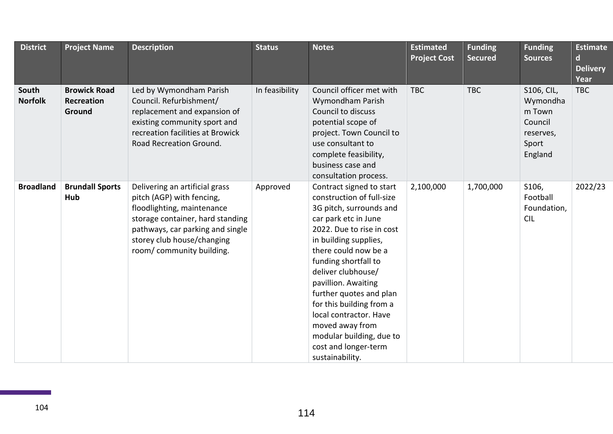| <b>District</b>         | <b>Project Name</b>                                | <b>Description</b>                                                                                                                                                                                                          | <b>Status</b>  | <b>Notes</b>                                                                                                                                                                                                                                                                                                                                                                                                                           | <b>Estimated</b><br><b>Project Cost</b> | <b>Funding</b><br><b>Secured</b> | <b>Funding</b><br><b>Sources</b>                                             | <b>Estimate</b><br>$\mathsf{d}$<br><b>Delivery</b><br>Year |
|-------------------------|----------------------------------------------------|-----------------------------------------------------------------------------------------------------------------------------------------------------------------------------------------------------------------------------|----------------|----------------------------------------------------------------------------------------------------------------------------------------------------------------------------------------------------------------------------------------------------------------------------------------------------------------------------------------------------------------------------------------------------------------------------------------|-----------------------------------------|----------------------------------|------------------------------------------------------------------------------|------------------------------------------------------------|
| South<br><b>Norfolk</b> | <b>Browick Road</b><br><b>Recreation</b><br>Ground | Led by Wymondham Parish<br>Council. Refurbishment/<br>replacement and expansion of<br>existing community sport and<br>recreation facilities at Browick<br>Road Recreation Ground.                                           | In feasibility | Council officer met with<br>Wymondham Parish<br>Council to discuss<br>potential scope of<br>project. Town Council to<br>use consultant to<br>complete feasibility,<br>business case and<br>consultation process.                                                                                                                                                                                                                       | <b>TBC</b>                              | <b>TBC</b>                       | S106, CIL,<br>Wymondha<br>m Town<br>Council<br>reserves,<br>Sport<br>England | <b>TBC</b>                                                 |
| <b>Broadland</b>        | <b>Brundall Sports</b><br>Hub                      | Delivering an artificial grass<br>pitch (AGP) with fencing,<br>floodlighting, maintenance<br>storage container, hard standing<br>pathways, car parking and single<br>storey club house/changing<br>room/community building. | Approved       | Contract signed to start<br>construction of full-size<br>3G pitch, surrounds and<br>car park etc in June<br>2022. Due to rise in cost<br>in building supplies,<br>there could now be a<br>funding shortfall to<br>deliver clubhouse/<br>pavillion. Awaiting<br>further quotes and plan<br>for this building from a<br>local contractor. Have<br>moved away from<br>modular building, due to<br>cost and longer-term<br>sustainability. | 2,100,000                               | 1,700,000                        | S106,<br>Football<br>Foundation,<br><b>CIL</b>                               | 2022/23                                                    |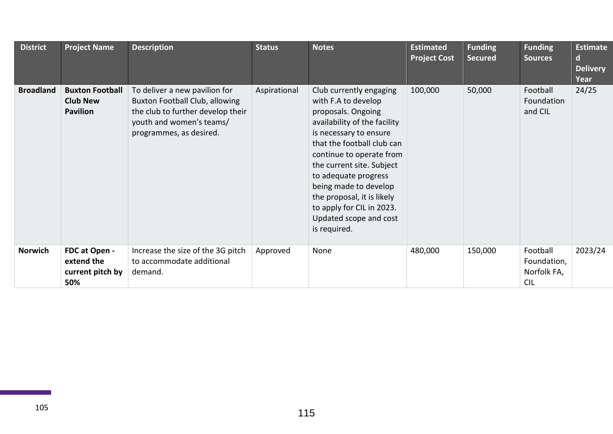| <b>District</b>  | <b>Project Name</b>                                          | <b>Description</b>                                                                                                                                          | <b>Status</b> | <b>Notes</b>                                                                                                                                                                                                                                                                                                                                                                | <b>Estimated</b><br><b>Project Cost</b> | <b>Funding</b><br><b>Secured</b> | <b>Funding</b><br><b>Sources</b>                     | <b>Estimate</b><br>$\mathbf d$<br><b>Delivery</b><br>Year |
|------------------|--------------------------------------------------------------|-------------------------------------------------------------------------------------------------------------------------------------------------------------|---------------|-----------------------------------------------------------------------------------------------------------------------------------------------------------------------------------------------------------------------------------------------------------------------------------------------------------------------------------------------------------------------------|-----------------------------------------|----------------------------------|------------------------------------------------------|-----------------------------------------------------------|
| <b>Broadland</b> | <b>Buxton Football</b><br><b>Club New</b><br><b>Pavilion</b> | To deliver a new pavilion for<br>Buxton Football Club, allowing<br>the club to further develop their<br>youth and women's teams/<br>programmes, as desired. | Aspirational  | Club currently engaging<br>with F.A to develop<br>proposals. Ongoing<br>availability of the facility<br>is necessary to ensure<br>that the football club can<br>continue to operate from<br>the current site. Subject<br>to adequate progress<br>being made to develop<br>the proposal, it is likely<br>to apply for CIL in 2023.<br>Updated scope and cost<br>is required. | 100,000                                 | 50,000                           | Football<br>Foundation<br>and CIL                    | 24/25                                                     |
| <b>Norwich</b>   | FDC at Open -<br>extend the<br>current pitch by<br>50%       | Increase the size of the 3G pitch<br>to accommodate additional<br>demand.                                                                                   | Approved      | None                                                                                                                                                                                                                                                                                                                                                                        | 480,000                                 | 150,000                          | Football<br>Foundation,<br>Norfolk FA,<br><b>CIL</b> | 2023/24                                                   |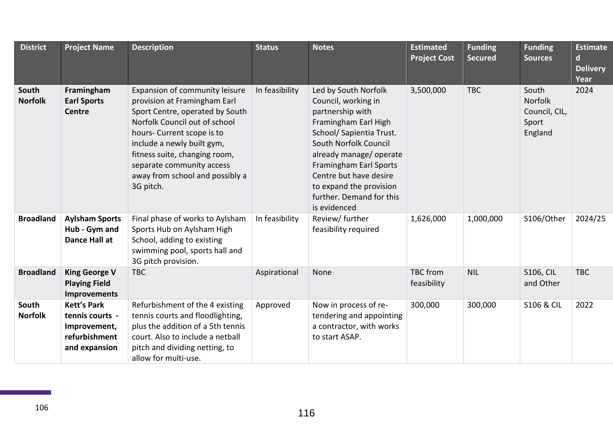| <b>District</b>         | <b>Project Name</b>                                                                     | <b>Description</b>                                                                                                                                                                                                                                                                                           | <b>Status</b>  | <b>Notes</b>                                                                                                                                                                                                                                                                                       | <b>Estimated</b><br><b>Project Cost</b> | <b>Funding</b><br><b>Secured</b> | <b>Funding</b><br><b>Sources</b>                      | <b>Estimate</b><br>d<br><b>Delivery</b><br>Year |
|-------------------------|-----------------------------------------------------------------------------------------|--------------------------------------------------------------------------------------------------------------------------------------------------------------------------------------------------------------------------------------------------------------------------------------------------------------|----------------|----------------------------------------------------------------------------------------------------------------------------------------------------------------------------------------------------------------------------------------------------------------------------------------------------|-----------------------------------------|----------------------------------|-------------------------------------------------------|-------------------------------------------------|
| South<br><b>Norfolk</b> | Framingham<br><b>Earl Sports</b><br><b>Centre</b>                                       | Expansion of community leisure<br>provision at Framingham Earl<br>Sport Centre, operated by South<br>Norfolk Council out of school<br>hours- Current scope is to<br>include a newly built gym,<br>fitness suite, changing room,<br>separate community access<br>away from school and possibly a<br>3G pitch. | In feasibility | Led by South Norfolk<br>Council, working in<br>partnership with<br>Framingham Earl High<br>School/ Sapientia Trust.<br>South Norfolk Council<br>already manage/ operate<br>Framingham Earl Sports<br>Centre but have desire<br>to expand the provision<br>further. Demand for this<br>is evidenced | 3,500,000                               | <b>TBC</b>                       | South<br>Norfolk<br>Council, CIL,<br>Sport<br>England | 2024                                            |
| <b>Broadland</b>        | <b>Aylsham Sports</b><br>Hub - Gym and<br>Dance Hall at                                 | Final phase of works to Aylsham<br>Sports Hub on Aylsham High<br>School, adding to existing<br>swimming pool, sports hall and<br>3G pitch provision.                                                                                                                                                         | In feasibility | Review/ further<br>feasibility required                                                                                                                                                                                                                                                            | 1,626,000                               | 1,000,000                        | S106/Other                                            | 2024/25                                         |
| <b>Broadland</b>        | <b>King George V</b><br><b>Playing Field</b><br><b>Improvements</b>                     | <b>TBC</b>                                                                                                                                                                                                                                                                                                   | Aspirational   | None                                                                                                                                                                                                                                                                                               | <b>TBC</b> from<br>feasibility          | <b>NIL</b>                       | <b>S106, CIL</b><br>and Other                         | <b>TBC</b>                                      |
| South<br><b>Norfolk</b> | <b>Kett's Park</b><br>tennis courts -<br>Improvement,<br>refurbishment<br>and expansion | Refurbishment of the 4 existing<br>tennis courts and floodlighting,<br>plus the addition of a 5th tennis<br>court. Also to include a netball<br>pitch and dividing netting, to<br>allow for multi-use.                                                                                                       | Approved       | Now in process of re-<br>tendering and appointing<br>a contractor, with works<br>to start ASAP.                                                                                                                                                                                                    | 300,000                                 | 300,000                          | <b>S106 &amp; CIL</b>                                 | 2022                                            |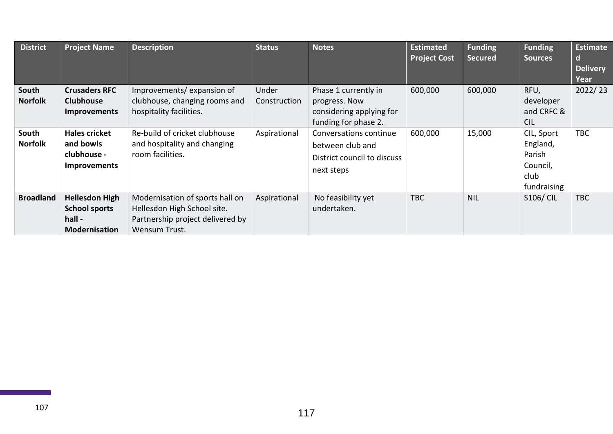| <b>District</b>         | <b>Project Name</b>                                                             | <b>Description</b>                                                                                                  | <b>Status</b>         | <b>Notes</b>                                                                              | <b>Estimated</b><br><b>Project Cost</b> | <b>Funding</b><br><b>Secured</b> | <b>Funding</b><br><b>Sources</b>                                    | <b>Estimate</b><br><sub>d</sub><br><b>Delivery</b><br>Year |
|-------------------------|---------------------------------------------------------------------------------|---------------------------------------------------------------------------------------------------------------------|-----------------------|-------------------------------------------------------------------------------------------|-----------------------------------------|----------------------------------|---------------------------------------------------------------------|------------------------------------------------------------|
| South<br><b>Norfolk</b> | <b>Crusaders RFC</b><br><b>Clubhouse</b><br><b>Improvements</b>                 | Improvements/expansion of<br>clubhouse, changing rooms and<br>hospitality facilities.                               | Under<br>Construction | Phase 1 currently in<br>progress. Now<br>considering applying for<br>funding for phase 2. | 600,000                                 | 600,000                          | RFU,<br>developer<br>and CRFC &<br><b>CIL</b>                       | 2022/23                                                    |
| South<br><b>Norfolk</b> | <b>Hales cricket</b><br>and bowls<br>clubhouse -<br><b>Improvements</b>         | Re-build of cricket clubhouse<br>and hospitality and changing<br>room facilities.                                   | Aspirational          | Conversations continue<br>between club and<br>District council to discuss<br>next steps   | 600,000                                 | 15,000                           | CIL, Sport<br>England,<br>Parish<br>Council,<br>club<br>fundraising | <b>TBC</b>                                                 |
| <b>Broadland</b>        | <b>Hellesdon High</b><br><b>School sports</b><br>hall -<br><b>Modernisation</b> | Modernisation of sports hall on<br>Hellesdon High School site.<br>Partnership project delivered by<br>Wensum Trust. | Aspirational          | No feasibility yet<br>undertaken.                                                         | TBC                                     | <b>NIL</b>                       | <b>S106/ CIL</b>                                                    | <b>TBC</b>                                                 |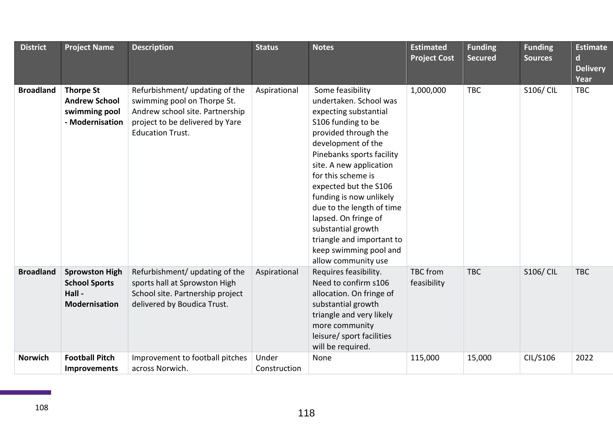| <b>District</b>  | <b>Project Name</b>                                                          | <b>Description</b>                                                                                                                                             | <b>Status</b>         | <b>Notes</b>                                                                                                                                                                                                                                                                                                                                                                                                                       | <b>Estimated</b><br><b>Project Cost</b> | <b>Funding</b><br><b>Secured</b> | <b>Funding</b><br><b>Sources</b> | <b>Estimate</b><br>$\mathbf d$<br><b>Delivery</b><br>Year |
|------------------|------------------------------------------------------------------------------|----------------------------------------------------------------------------------------------------------------------------------------------------------------|-----------------------|------------------------------------------------------------------------------------------------------------------------------------------------------------------------------------------------------------------------------------------------------------------------------------------------------------------------------------------------------------------------------------------------------------------------------------|-----------------------------------------|----------------------------------|----------------------------------|-----------------------------------------------------------|
| <b>Broadland</b> | <b>Thorpe St</b><br><b>Andrew School</b><br>swimming pool<br>- Modernisation | Refurbishment/ updating of the<br>swimming pool on Thorpe St.<br>Andrew school site. Partnership<br>project to be delivered by Yare<br><b>Education Trust.</b> | Aspirational          | Some feasibility<br>undertaken. School was<br>expecting substantial<br>S106 funding to be<br>provided through the<br>development of the<br>Pinebanks sports facility<br>site. A new application<br>for this scheme is<br>expected but the S106<br>funding is now unlikely<br>due to the length of time<br>lapsed. On fringe of<br>substantial growth<br>triangle and important to<br>keep swimming pool and<br>allow community use | 1,000,000                               | <b>TBC</b>                       | <b>S106/ CIL</b>                 | <b>TBC</b>                                                |
| <b>Broadland</b> | <b>Sprowston High</b><br><b>School Sports</b><br>Hall -<br>Modernisation     | Refurbishment/ updating of the<br>sports hall at Sprowston High<br>School site. Partnership project<br>delivered by Boudica Trust.                             | Aspirational          | Requires feasibility.<br>Need to confirm s106<br>allocation. On fringe of<br>substantial growth<br>triangle and very likely<br>more community<br>leisure/ sport facilities<br>will be required.                                                                                                                                                                                                                                    | <b>TBC</b> from<br>feasibility          | <b>TBC</b>                       | <b>S106/ CIL</b>                 | <b>TBC</b>                                                |
| <b>Norwich</b>   | <b>Football Pitch</b><br>Improvements                                        | Improvement to football pitches<br>across Norwich.                                                                                                             | Under<br>Construction | None                                                                                                                                                                                                                                                                                                                                                                                                                               | 115,000                                 | 15,000                           | CIL/S106                         | 2022                                                      |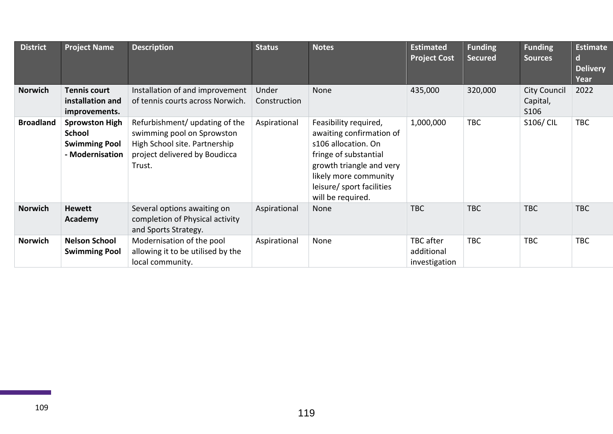| <b>District</b>  | <b>Project Name</b>                                                               | <b>Description</b>                                                                                                                       | <b>Status</b>         | <b>Notes</b>                                                                                                                                                                                             | <b>Estimated</b><br><b>Project Cost</b>         | <b>Funding</b><br><b>Secured</b> | <b>Funding</b><br><b>Sources</b>        | <b>Estimate</b><br>d<br><b>Delivery</b><br>Year |
|------------------|-----------------------------------------------------------------------------------|------------------------------------------------------------------------------------------------------------------------------------------|-----------------------|----------------------------------------------------------------------------------------------------------------------------------------------------------------------------------------------------------|-------------------------------------------------|----------------------------------|-----------------------------------------|-------------------------------------------------|
| Norwich          | <b>Tennis court</b><br>installation and<br>improvements.                          | Installation of and improvement<br>of tennis courts across Norwich.                                                                      | Under<br>Construction | <b>None</b>                                                                                                                                                                                              | 435,000                                         | 320,000                          | <b>City Council</b><br>Capital,<br>S106 | 2022                                            |
| <b>Broadland</b> | <b>Sprowston High</b><br><b>School</b><br><b>Swimming Pool</b><br>- Modernisation | Refurbishment/ updating of the<br>swimming pool on Sprowston<br>High School site. Partnership<br>project delivered by Boudicca<br>Trust. | Aspirational          | Feasibility required,<br>awaiting confirmation of<br>s106 allocation. On<br>fringe of substantial<br>growth triangle and very<br>likely more community<br>leisure/ sport facilities<br>will be required. | 1,000,000                                       | <b>TBC</b>                       | <b>S106/ CIL</b>                        | <b>TBC</b>                                      |
| <b>Norwich</b>   | <b>Hewett</b><br>Academy                                                          | Several options awaiting on<br>completion of Physical activity<br>and Sports Strategy.                                                   | Aspirational          | None                                                                                                                                                                                                     | <b>TBC</b>                                      | <b>TBC</b>                       | <b>TBC</b>                              | <b>TBC</b>                                      |
| <b>Norwich</b>   | <b>Nelson School</b><br><b>Swimming Pool</b>                                      | Modernisation of the pool<br>allowing it to be utilised by the<br>local community.                                                       | Aspirational          | None                                                                                                                                                                                                     | <b>TBC</b> after<br>additional<br>investigation | <b>TBC</b>                       | <b>TBC</b>                              | <b>TBC</b>                                      |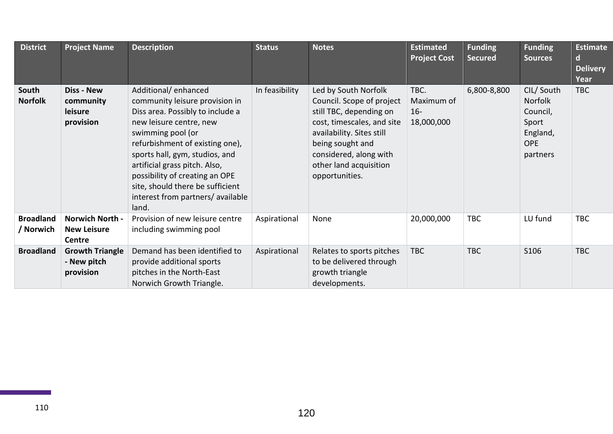| <b>District</b>               | <b>Project Name</b>                                    | <b>Description</b>                                                                                                                                                                                                                                                                                                                                                  | <b>Status</b>  | <b>Notes</b>                                                                                                                                                                                                                      | <b>Estimated</b><br><b>Project Cost</b>    | <b>Funding</b><br><b>Secured</b> | <b>Funding</b><br><b>Sources</b>                                                | <b>Estimate</b><br>d<br><b>Delivery</b><br>Year |
|-------------------------------|--------------------------------------------------------|---------------------------------------------------------------------------------------------------------------------------------------------------------------------------------------------------------------------------------------------------------------------------------------------------------------------------------------------------------------------|----------------|-----------------------------------------------------------------------------------------------------------------------------------------------------------------------------------------------------------------------------------|--------------------------------------------|----------------------------------|---------------------------------------------------------------------------------|-------------------------------------------------|
| South<br><b>Norfolk</b>       | <b>Diss - New</b><br>community<br>leisure<br>provision | Additional/enhanced<br>community leisure provision in<br>Diss area. Possibly to include a<br>new leisure centre, new<br>swimming pool (or<br>refurbishment of existing one),<br>sports hall, gym, studios, and<br>artificial grass pitch. Also,<br>possibility of creating an OPE<br>site, should there be sufficient<br>interest from partners/ available<br>land. | In feasibility | Led by South Norfolk<br>Council. Scope of project<br>still TBC, depending on<br>cost, timescales, and site<br>availability. Sites still<br>being sought and<br>considered, along with<br>other land acquisition<br>opportunities. | TBC.<br>Maximum of<br>$16 -$<br>18,000,000 | 6,800-8,800                      | CIL/South<br>Norfolk<br>Council,<br>Sport<br>England,<br><b>OPE</b><br>partners | <b>TBC</b>                                      |
| <b>Broadland</b><br>/ Norwich | <b>Norwich North -</b><br><b>New Leisure</b><br>Centre | Provision of new leisure centre<br>including swimming pool                                                                                                                                                                                                                                                                                                          | Aspirational   | None                                                                                                                                                                                                                              | 20,000,000                                 | <b>TBC</b>                       | LU fund                                                                         | <b>TBC</b>                                      |
| <b>Broadland</b>              | <b>Growth Triangle</b><br>- New pitch<br>provision     | Demand has been identified to<br>provide additional sports<br>pitches in the North-East<br>Norwich Growth Triangle.                                                                                                                                                                                                                                                 | Aspirational   | Relates to sports pitches<br>to be delivered through<br>growth triangle<br>developments.                                                                                                                                          | <b>TBC</b>                                 | <b>TBC</b>                       | S106                                                                            | <b>TBC</b>                                      |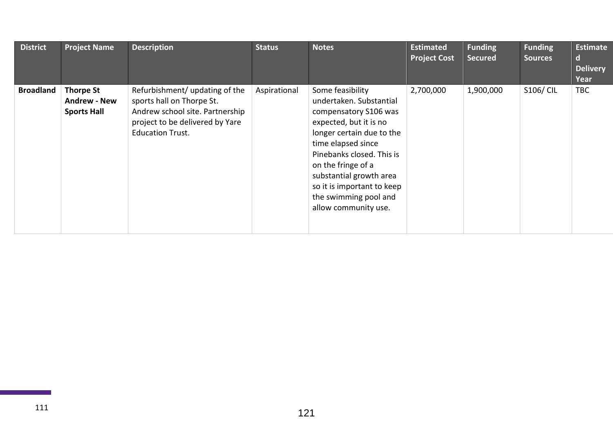| <b>District</b>  | <b>Project Name</b>                                           | <b>Description</b>                                                                                                                                           | <b>Status</b> | <b>Notes</b>                                                                                                                                                                                                                                                                                                   | <b>Estimated</b><br><b>Project Cost</b> | <b>Funding</b><br><b>Secured</b> | <b>Funding</b><br><b>Sources</b> | <b>Estimate</b><br>O.<br><b>Delivery</b><br>Year |
|------------------|---------------------------------------------------------------|--------------------------------------------------------------------------------------------------------------------------------------------------------------|---------------|----------------------------------------------------------------------------------------------------------------------------------------------------------------------------------------------------------------------------------------------------------------------------------------------------------------|-----------------------------------------|----------------------------------|----------------------------------|--------------------------------------------------|
| <b>Broadland</b> | <b>Thorpe St</b><br><b>Andrew - New</b><br><b>Sports Hall</b> | Refurbishment/ updating of the<br>sports hall on Thorpe St.<br>Andrew school site. Partnership<br>project to be delivered by Yare<br><b>Education Trust.</b> | Aspirational  | Some feasibility<br>undertaken. Substantial<br>compensatory S106 was<br>expected, but it is no<br>longer certain due to the<br>time elapsed since<br>Pinebanks closed. This is<br>on the fringe of a<br>substantial growth area<br>so it is important to keep<br>the swimming pool and<br>allow community use. | 2,700,000                               | 1,900,000                        | S106/ CIL                        | <b>TBC</b>                                       |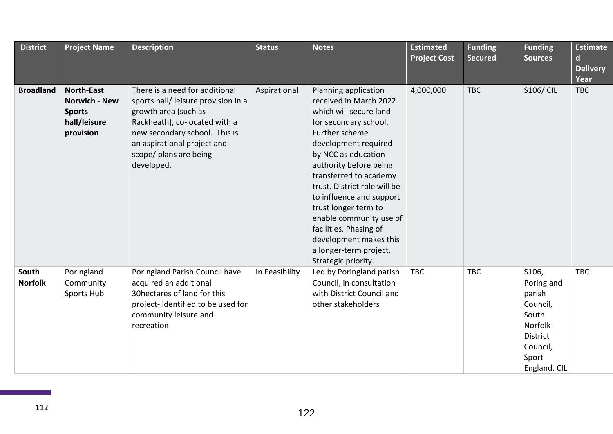| <b>District</b>         | <b>Project Name</b>                                                                     | <b>Description</b>                                                                                                                                                                                                                     | <b>Status</b>  | <b>Notes</b>                                                                                                                                                                                                                                                                                                                                                                                                                                | <b>Estimated</b><br><b>Project Cost</b> | <b>Funding</b><br><b>Secured</b> | <b>Funding</b><br><b>Sources</b>                                                                               | <b>Estimate</b><br>$\mathbf d$<br><b>Delivery</b><br>Year |
|-------------------------|-----------------------------------------------------------------------------------------|----------------------------------------------------------------------------------------------------------------------------------------------------------------------------------------------------------------------------------------|----------------|---------------------------------------------------------------------------------------------------------------------------------------------------------------------------------------------------------------------------------------------------------------------------------------------------------------------------------------------------------------------------------------------------------------------------------------------|-----------------------------------------|----------------------------------|----------------------------------------------------------------------------------------------------------------|-----------------------------------------------------------|
| <b>Broadland</b>        | <b>North-East</b><br><b>Norwich - New</b><br><b>Sports</b><br>hall/leisure<br>provision | There is a need for additional<br>sports hall/ leisure provision in a<br>growth area (such as<br>Rackheath), co-located with a<br>new secondary school. This is<br>an aspirational project and<br>scope/ plans are being<br>developed. | Aspirational   | Planning application<br>received in March 2022.<br>which will secure land<br>for secondary school.<br>Further scheme<br>development required<br>by NCC as education<br>authority before being<br>transferred to academy<br>trust. District role will be<br>to influence and support<br>trust longer term to<br>enable community use of<br>facilities. Phasing of<br>development makes this<br>a longer-term project.<br>Strategic priority. | 4,000,000                               | <b>TBC</b>                       | <b>S106/ CIL</b>                                                                                               | <b>TBC</b>                                                |
| South<br><b>Norfolk</b> | Poringland<br>Community<br>Sports Hub                                                   | Poringland Parish Council have<br>acquired an additional<br>30hectares of land for this<br>project-identified to be used for<br>community leisure and<br>recreation                                                                    | In Feasibility | Led by Poringland parish<br>Council, in consultation<br>with District Council and<br>other stakeholders                                                                                                                                                                                                                                                                                                                                     | <b>TBC</b>                              | <b>TBC</b>                       | S106,<br>Poringland<br>parish<br>Council,<br>South<br>Norfolk<br>District<br>Council,<br>Sport<br>England, CIL | <b>TBC</b>                                                |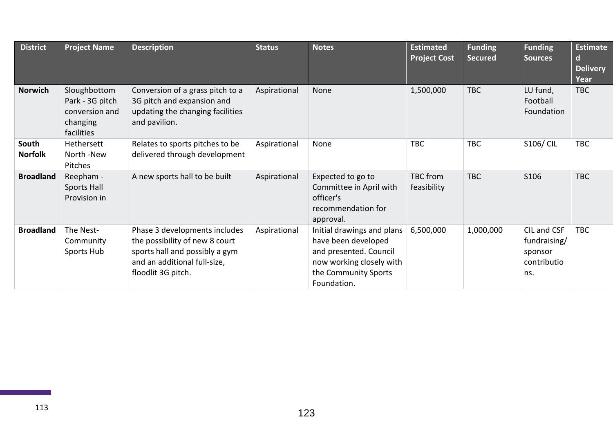| <b>District</b>         | <b>Project Name</b>                                                         | <b>Description</b>                                                                                                                                      | <b>Status</b> | <b>Notes</b>                                                                                                                                   | <b>Estimated</b><br><b>Project Cost</b> | <b>Funding</b><br><b>Secured</b> | <b>Funding</b><br><b>Sources</b>                             | <b>Estimate</b><br>d<br><b>Delivery</b><br>Year |
|-------------------------|-----------------------------------------------------------------------------|---------------------------------------------------------------------------------------------------------------------------------------------------------|---------------|------------------------------------------------------------------------------------------------------------------------------------------------|-----------------------------------------|----------------------------------|--------------------------------------------------------------|-------------------------------------------------|
| <b>Norwich</b>          | Sloughbottom<br>Park - 3G pitch<br>conversion and<br>changing<br>facilities | Conversion of a grass pitch to a<br>3G pitch and expansion and<br>updating the changing facilities<br>and pavilion.                                     | Aspirational  | None                                                                                                                                           | 1,500,000                               | <b>TBC</b>                       | LU fund,<br>Football<br>Foundation                           | <b>TBC</b>                                      |
| South<br><b>Norfolk</b> | Hethersett<br>North -New<br>Pitches                                         | Relates to sports pitches to be<br>delivered through development                                                                                        | Aspirational  | None                                                                                                                                           | <b>TBC</b>                              | <b>TBC</b>                       | <b>S106/ CIL</b>                                             | <b>TBC</b>                                      |
| <b>Broadland</b>        | Reepham -<br><b>Sports Hall</b><br>Provision in                             | A new sports hall to be built                                                                                                                           | Aspirational  | Expected to go to<br>Committee in April with<br>officer's<br>recommendation for<br>approval.                                                   | <b>TBC</b> from<br>feasibility          | <b>TBC</b>                       | S106                                                         | <b>TBC</b>                                      |
| <b>Broadland</b>        | The Nest-<br>Community<br>Sports Hub                                        | Phase 3 developments includes<br>the possibility of new 8 court<br>sports hall and possibly a gym<br>and an additional full-size,<br>floodlit 3G pitch. | Aspirational  | Initial drawings and plans<br>have been developed<br>and presented. Council<br>now working closely with<br>the Community Sports<br>Foundation. | 6,500,000                               | 1,000,000                        | CIL and CSF<br>fundraising/<br>sponsor<br>contributio<br>ns. | <b>TBC</b>                                      |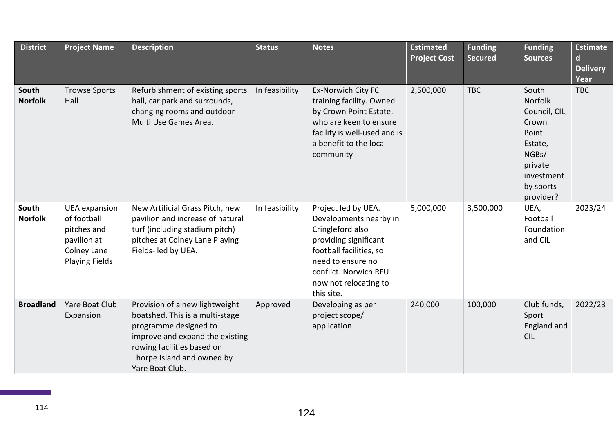| <b>District</b>         | <b>Project Name</b>                                                                                       | <b>Description</b>                                                                                                                                                                                           | <b>Status</b>  | <b>Notes</b>                                                                                                                                                                                               | <b>Estimated</b><br><b>Project Cost</b> | <b>Funding</b><br><b>Secured</b> | <b>Funding</b><br><b>Sources</b>                                                                                           | <b>Estimate</b><br>$\mathbf d$<br><b>Delivery</b><br>Year |
|-------------------------|-----------------------------------------------------------------------------------------------------------|--------------------------------------------------------------------------------------------------------------------------------------------------------------------------------------------------------------|----------------|------------------------------------------------------------------------------------------------------------------------------------------------------------------------------------------------------------|-----------------------------------------|----------------------------------|----------------------------------------------------------------------------------------------------------------------------|-----------------------------------------------------------|
| South<br><b>Norfolk</b> | <b>Trowse Sports</b><br>Hall                                                                              | Refurbishment of existing sports<br>hall, car park and surrounds,<br>changing rooms and outdoor<br>Multi Use Games Area.                                                                                     | In feasibility | Ex-Norwich City FC<br>training facility. Owned<br>by Crown Point Estate,<br>who are keen to ensure<br>facility is well-used and is<br>a benefit to the local<br>community                                  | 2,500,000                               | <b>TBC</b>                       | South<br>Norfolk<br>Council, CIL,<br>Crown<br>Point<br>Estate,<br>NGBs/<br>private<br>investment<br>by sports<br>provider? | <b>TBC</b>                                                |
| South<br><b>Norfolk</b> | <b>UEA</b> expansion<br>of football<br>pitches and<br>pavilion at<br>Colney Lane<br><b>Playing Fields</b> | New Artificial Grass Pitch, new<br>pavilion and increase of natural<br>turf (including stadium pitch)<br>pitches at Colney Lane Playing<br>Fields- led by UEA.                                               | In feasibility | Project led by UEA.<br>Developments nearby in<br>Cringleford also<br>providing significant<br>football facilities, so<br>need to ensure no<br>conflict. Norwich RFU<br>now not relocating to<br>this site. | 5,000,000                               | 3,500,000                        | UEA,<br>Football<br>Foundation<br>and CIL                                                                                  | 2023/24                                                   |
| <b>Broadland</b>        | Yare Boat Club<br>Expansion                                                                               | Provision of a new lightweight<br>boatshed. This is a multi-stage<br>programme designed to<br>improve and expand the existing<br>rowing facilities based on<br>Thorpe Island and owned by<br>Yare Boat Club. | Approved       | Developing as per<br>project scope/<br>application                                                                                                                                                         | 240,000                                 | 100,000                          | Club funds,<br>Sport<br>England and<br><b>CIL</b>                                                                          | 2022/23                                                   |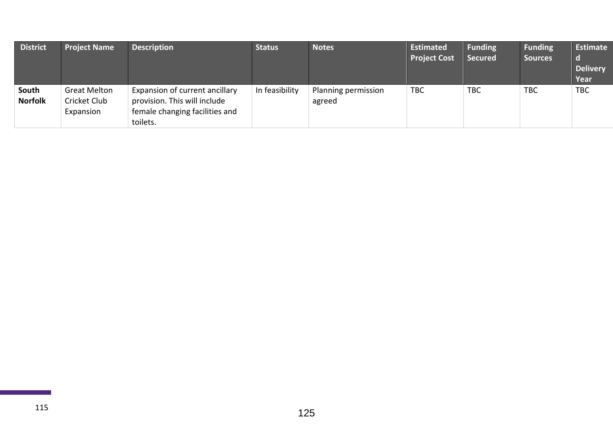| <b>District</b>         | <b>Project Name</b>                              | <b>Description</b>                                                                                           | <b>Status</b>  | <b>Notes</b>                  | <b>Estimated</b><br><b>Project Cost</b> | <b>Funding</b><br><b>Secured</b> | <b>Funding</b><br><b>Sources</b> | Estimate<br><b>Delivery</b><br>Year |
|-------------------------|--------------------------------------------------|--------------------------------------------------------------------------------------------------------------|----------------|-------------------------------|-----------------------------------------|----------------------------------|----------------------------------|-------------------------------------|
| South<br><b>Norfolk</b> | <b>Great Melton</b><br>Cricket Club<br>Expansion | Expansion of current ancillary<br>provision. This will include<br>female changing facilities and<br>toilets. | In feasibility | Planning permission<br>agreed | <b>TBC</b>                              | <b>TBC</b>                       | <b>TBC</b>                       | <b>TBC</b>                          |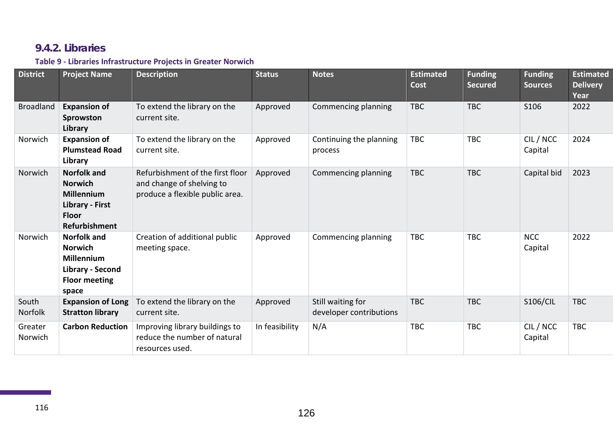## **9.4.2. Libraries**

### **Table 9 - Libraries Infrastructure Projects in Greater Norwich**

| <b>District</b>    | <b>Project Name</b>                                                                                                         | <b>Description</b>                                                                               | <b>Status</b>  | <b>Notes</b>                                 | <b>Estimated</b><br>Cost | <b>Funding</b><br><b>Secured</b> | <b>Funding</b><br><b>Sources</b> | <b>Estimated</b><br><b>Delivery</b><br>Year |
|--------------------|-----------------------------------------------------------------------------------------------------------------------------|--------------------------------------------------------------------------------------------------|----------------|----------------------------------------------|--------------------------|----------------------------------|----------------------------------|---------------------------------------------|
| <b>Broadland</b>   | <b>Expansion of</b><br>Sprowston<br>Library                                                                                 | To extend the library on the<br>current site.                                                    | Approved       | Commencing planning                          | <b>TBC</b>               | <b>TBC</b>                       | S106                             | 2022                                        |
| Norwich            | <b>Expansion of</b><br><b>Plumstead Road</b><br>Library                                                                     | To extend the library on the<br>current site.                                                    | Approved       | Continuing the planning<br>process           | <b>TBC</b>               | <b>TBC</b>                       | CIL / NCC<br>Capital             | 2024                                        |
| Norwich            | <b>Norfolk and</b><br><b>Norwich</b><br><b>Millennium</b><br><b>Library - First</b><br><b>Floor</b><br><b>Refurbishment</b> | Refurbishment of the first floor<br>and change of shelving to<br>produce a flexible public area. | Approved       | Commencing planning                          | <b>TBC</b>               | <b>TBC</b>                       | Capital bid                      | 2023                                        |
| Norwich            | <b>Norfolk and</b><br><b>Norwich</b><br><b>Millennium</b><br>Library - Second<br><b>Floor meeting</b><br>space              | Creation of additional public<br>meeting space.                                                  | Approved       | Commencing planning                          | <b>TBC</b>               | <b>TBC</b>                       | <b>NCC</b><br>Capital            | 2022                                        |
| South<br>Norfolk   | <b>Expansion of Long</b><br><b>Stratton library</b>                                                                         | To extend the library on the<br>current site.                                                    | Approved       | Still waiting for<br>developer contributions | <b>TBC</b>               | <b>TBC</b>                       | <b>S106/CIL</b>                  | <b>TBC</b>                                  |
| Greater<br>Norwich | <b>Carbon Reduction</b>                                                                                                     | Improving library buildings to<br>reduce the number of natural<br>resources used.                | In feasibility | N/A                                          | <b>TBC</b>               | <b>TBC</b>                       | CIL / NCC<br>Capital             | <b>TBC</b>                                  |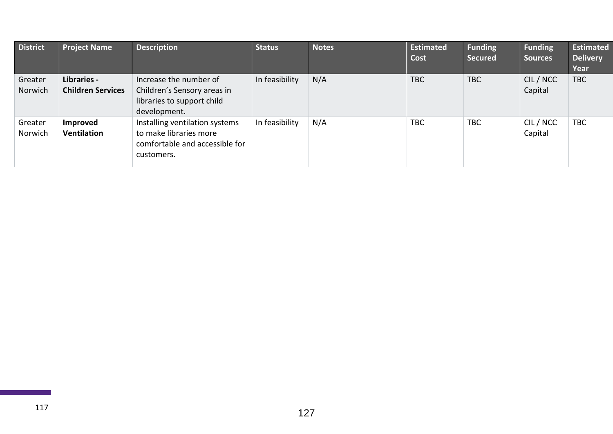| <b>District</b>    | <b>Project Name</b>                     | <b>Description</b>                                                                                       | <b>Status</b>  | <b>Notes</b> | <b>Estimated</b><br>Cost | <b>Funding</b><br><b>Secured</b> | <b>Funding</b><br><b>Sources</b> | <b>Estimated</b><br><b>Delivery</b><br>Year |
|--------------------|-----------------------------------------|----------------------------------------------------------------------------------------------------------|----------------|--------------|--------------------------|----------------------------------|----------------------------------|---------------------------------------------|
| Greater<br>Norwich | Libraries -<br><b>Children Services</b> | Increase the number of<br>Children's Sensory areas in<br>libraries to support child<br>development.      | In feasibility | N/A          | <b>TBC</b>               | <b>TBC</b>                       | CIL / NCC<br>Capital             | <b>TBC</b>                                  |
| Greater<br>Norwich | Improved<br><b>Ventilation</b>          | Installing ventilation systems<br>to make libraries more<br>comfortable and accessible for<br>customers. | In feasibility | N/A          | <b>TBC</b>               | <b>TBC</b>                       | CIL / NCC<br>Capital             | <b>TBC</b>                                  |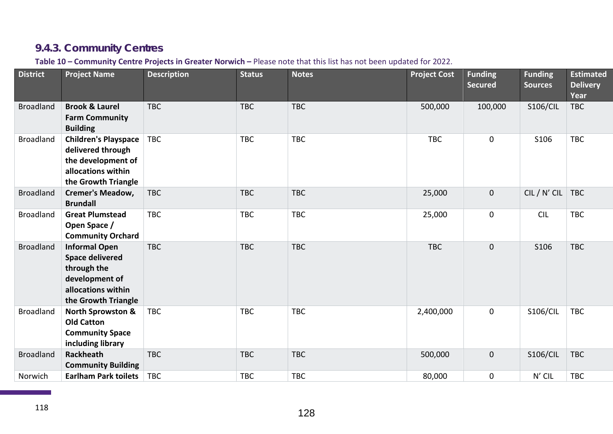# **9.4.3. Community Centres**

#### **Table 10 – Community Centre Projects in Greater Norwich –** Please note that this list has not been updated for 2022.

| <b>District</b>  | <b>Project Name</b>                                                                                                          | <b>Description</b> | <b>Status</b> | <b>Notes</b> | <b>Project Cost</b> | <b>Funding</b><br><b>Secured</b> | <b>Funding</b><br><b>Sources</b> | <b>Estimated</b><br><b>Delivery</b><br>Year |
|------------------|------------------------------------------------------------------------------------------------------------------------------|--------------------|---------------|--------------|---------------------|----------------------------------|----------------------------------|---------------------------------------------|
| <b>Broadland</b> | <b>Brook &amp; Laurel</b><br><b>Farm Community</b><br><b>Building</b>                                                        | <b>TBC</b>         | <b>TBC</b>    | <b>TBC</b>   | 500,000             | 100,000                          | <b>S106/CIL</b>                  | <b>TBC</b>                                  |
| <b>Broadland</b> | <b>Children's Playspace</b><br>delivered through<br>the development of<br>allocations within<br>the Growth Triangle          | <b>TBC</b>         | <b>TBC</b>    | <b>TBC</b>   | <b>TBC</b>          | $\mathbf 0$                      | S106                             | <b>TBC</b>                                  |
| <b>Broadland</b> | <b>Cremer's Meadow,</b><br><b>Brundall</b>                                                                                   | <b>TBC</b>         | <b>TBC</b>    | <b>TBC</b>   | 25,000              | $\mathbf 0$                      | CIL / N' CIL                     | <b>TBC</b>                                  |
| <b>Broadland</b> | <b>Great Plumstead</b><br>Open Space /<br><b>Community Orchard</b>                                                           | <b>TBC</b>         | <b>TBC</b>    | <b>TBC</b>   | 25,000              | $\mathbf 0$                      | <b>CIL</b>                       | <b>TBC</b>                                  |
| <b>Broadland</b> | <b>Informal Open</b><br><b>Space delivered</b><br>through the<br>development of<br>allocations within<br>the Growth Triangle | <b>TBC</b>         | <b>TBC</b>    | <b>TBC</b>   | <b>TBC</b>          | $\mathbf 0$                      | S106                             | <b>TBC</b>                                  |
| <b>Broadland</b> | <b>North Sprowston &amp;</b><br><b>Old Catton</b><br><b>Community Space</b><br>including library                             | <b>TBC</b>         | <b>TBC</b>    | <b>TBC</b>   | 2,400,000           | $\mathbf 0$                      | <b>S106/CIL</b>                  | <b>TBC</b>                                  |
| <b>Broadland</b> | <b>Rackheath</b><br><b>Community Building</b>                                                                                | <b>TBC</b>         | <b>TBC</b>    | <b>TBC</b>   | 500,000             | $\mathbf 0$                      | <b>S106/CIL</b>                  | <b>TBC</b>                                  |
| Norwich          | <b>Earlham Park toilets</b>                                                                                                  | <b>TBC</b>         | <b>TBC</b>    | <b>TBC</b>   | 80,000              | $\mathbf 0$                      | N' CIL                           | <b>TBC</b>                                  |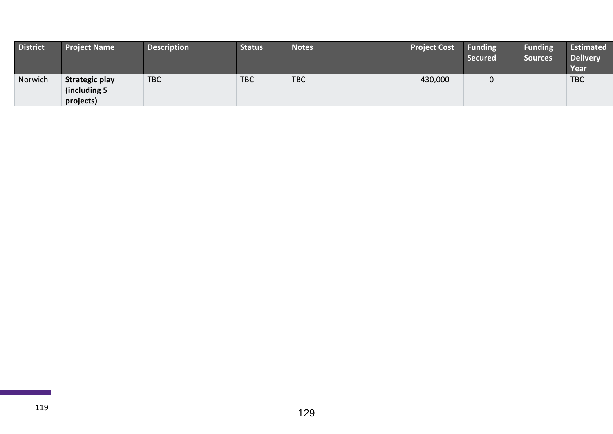| <b>District</b> | <b>Project Name</b>                                 | <b>Description</b> | <b>Status</b> | <b>Notes</b> | <b>Project Cost</b> | <b>Funding</b><br><b>Secured</b> | <b>Funding</b><br><b>Sources</b> | <b>Estimated</b><br><b>Delivery</b><br>Year |
|-----------------|-----------------------------------------------------|--------------------|---------------|--------------|---------------------|----------------------------------|----------------------------------|---------------------------------------------|
| Norwich         | <b>Strategic play</b><br>(including 5)<br>projects) | <b>TBC</b>         | <b>TBC</b>    | <b>TBC</b>   | 430,000             |                                  |                                  | <b>TBC</b>                                  |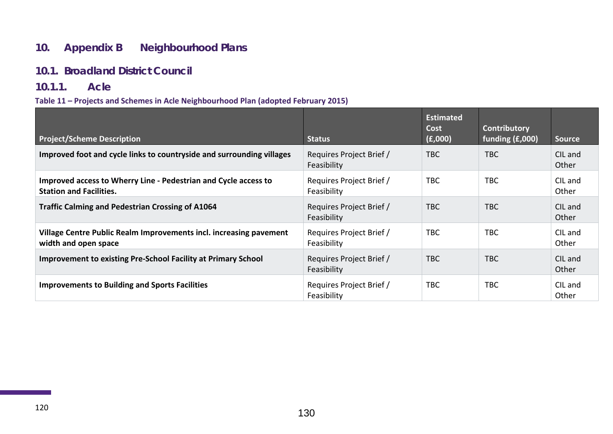## **10. Appendix B Neighbourhood Plans**

#### **10.1. Broadland District Council**

#### **10.1.1. Acle**

#### **Table 11 – Projects and Schemes in Acle Neighbourhood Plan (adopted February 2015)**

| <b>Project/Scheme Description</b>                                                                 | <b>Status</b>                           | <b>Estimated</b><br>Cost<br>(E,000) | Contributory<br>funding (£,000) | <b>Source</b>    |
|---------------------------------------------------------------------------------------------------|-----------------------------------------|-------------------------------------|---------------------------------|------------------|
| Improved foot and cycle links to countryside and surrounding villages                             | Requires Project Brief /<br>Feasibility | <b>TBC</b>                          | <b>TBC</b>                      | CIL and<br>Other |
| Improved access to Wherry Line - Pedestrian and Cycle access to<br><b>Station and Facilities.</b> | Requires Project Brief /<br>Feasibility | <b>TBC</b>                          | <b>TBC</b>                      | CIL and<br>Other |
| <b>Traffic Calming and Pedestrian Crossing of A1064</b>                                           | Requires Project Brief /<br>Feasibility | <b>TBC</b>                          | <b>TBC</b>                      | CIL and<br>Other |
| Village Centre Public Realm Improvements incl. increasing pavement<br>width and open space        | Requires Project Brief /<br>Feasibility | <b>TBC</b>                          | <b>TBC</b>                      | CIL and<br>Other |
| <b>Improvement to existing Pre-School Facility at Primary School</b>                              | Requires Project Brief /<br>Feasibility | <b>TBC</b>                          | <b>TBC</b>                      | CIL and<br>Other |
| <b>Improvements to Building and Sports Facilities</b>                                             | Requires Project Brief /<br>Feasibility | <b>TBC</b>                          | <b>TBC</b>                      | CIL and<br>Other |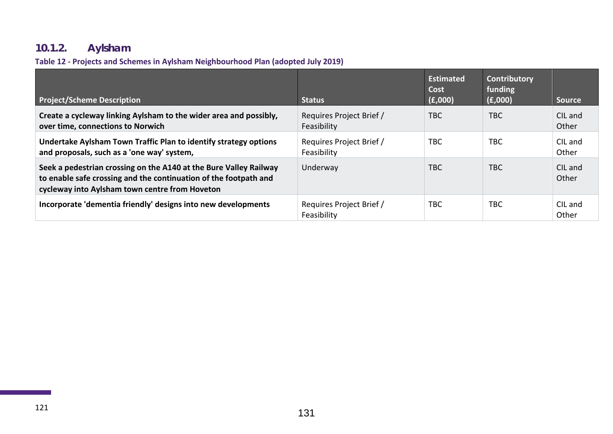# **10.1.2. Aylsham**

### **Table 12 - Projects and Schemes in Aylsham Neighbourhood Plan (adopted July 2019)**

| <b>Project/Scheme Description</b>                                                                                                                                                       | <b>Status</b>                           | <b>Estimated</b><br>Cost<br>(E,000) | <b>Contributory</b><br>funding<br>(E,000) | <b>Source</b>    |
|-----------------------------------------------------------------------------------------------------------------------------------------------------------------------------------------|-----------------------------------------|-------------------------------------|-------------------------------------------|------------------|
| Create a cycleway linking Aylsham to the wider area and possibly,<br>over time, connections to Norwich                                                                                  | Requires Project Brief /<br>Feasibility | TBC.                                | <b>TBC</b>                                | CIL and<br>Other |
| Undertake Aylsham Town Traffic Plan to identify strategy options<br>and proposals, such as a 'one way' system,                                                                          | Requires Project Brief /<br>Feasibility | <b>TBC</b>                          | <b>TBC</b>                                | CIL and<br>Other |
| Seek a pedestrian crossing on the A140 at the Bure Valley Railway<br>to enable safe crossing and the continuation of the footpath and<br>cycleway into Aylsham town centre from Hoveton | Underway                                | <b>TBC</b>                          | <b>TBC</b>                                | CIL and<br>Other |
| Incorporate 'dementia friendly' designs into new developments                                                                                                                           | Requires Project Brief /<br>Feasibility | <b>TBC</b>                          | <b>TBC</b>                                | CIL and<br>Other |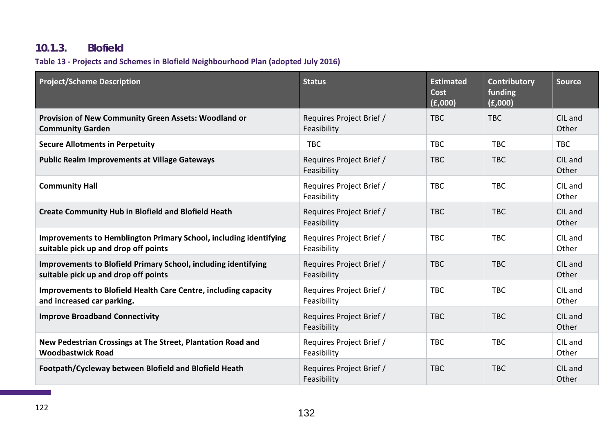## **10.1.3. Blofield**

### **Table 13 - Projects and Schemes in Blofield Neighbourhood Plan (adopted July 2016)**

| <b>Project/Scheme Description</b>                                                                                | <b>Status</b>                           | <b>Estimated</b><br><b>Cost</b><br>(E,000) | <b>Contributory</b><br>funding<br>(E,000) | <b>Source</b>    |
|------------------------------------------------------------------------------------------------------------------|-----------------------------------------|--------------------------------------------|-------------------------------------------|------------------|
| <b>Provision of New Community Green Assets: Woodland or</b><br><b>Community Garden</b>                           | Requires Project Brief /<br>Feasibility | <b>TBC</b>                                 | <b>TBC</b>                                | CIL and<br>Other |
| <b>Secure Allotments in Perpetuity</b>                                                                           | <b>TBC</b>                              | <b>TBC</b>                                 | <b>TBC</b>                                | <b>TBC</b>       |
| <b>Public Realm Improvements at Village Gateways</b>                                                             | Requires Project Brief /<br>Feasibility | <b>TBC</b>                                 | <b>TBC</b>                                | CIL and<br>Other |
| <b>Community Hall</b>                                                                                            | Requires Project Brief /<br>Feasibility | <b>TBC</b>                                 | <b>TBC</b>                                | CIL and<br>Other |
| <b>Create Community Hub in Blofield and Blofield Heath</b>                                                       | Requires Project Brief /<br>Feasibility | <b>TBC</b>                                 | <b>TBC</b>                                | CIL and<br>Other |
| <b>Improvements to Hemblington Primary School, including identifying</b><br>suitable pick up and drop off points | Requires Project Brief /<br>Feasibility | <b>TBC</b>                                 | <b>TBC</b>                                | CIL and<br>Other |
| <b>Improvements to Blofield Primary School, including identifying</b><br>suitable pick up and drop off points    | Requires Project Brief /<br>Feasibility | <b>TBC</b>                                 | <b>TBC</b>                                | CIL and<br>Other |
| <b>Improvements to Blofield Health Care Centre, including capacity</b><br>and increased car parking.             | Requires Project Brief /<br>Feasibility | <b>TBC</b>                                 | <b>TBC</b>                                | CIL and<br>Other |
| <b>Improve Broadband Connectivity</b>                                                                            | Requires Project Brief /<br>Feasibility | <b>TBC</b>                                 | <b>TBC</b>                                | CIL and<br>Other |
| New Pedestrian Crossings at The Street, Plantation Road and<br><b>Woodbastwick Road</b>                          | Requires Project Brief /<br>Feasibility | <b>TBC</b>                                 | <b>TBC</b>                                | CIL and<br>Other |
| Footpath/Cycleway between Blofield and Blofield Heath                                                            | Requires Project Brief /<br>Feasibility | <b>TBC</b>                                 | <b>TBC</b>                                | CIL and<br>Other |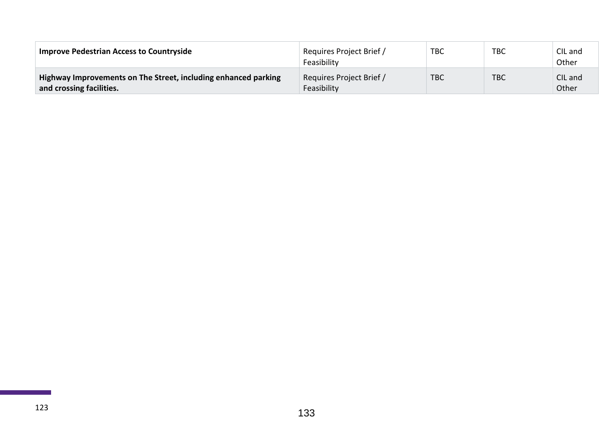| <b>Improve Pedestrian Access to Countryside</b>                                            | Requires Project Brief /<br>Feasibility | <b>TBC</b> | <b>TBC</b> | CIL and<br>Other |
|--------------------------------------------------------------------------------------------|-----------------------------------------|------------|------------|------------------|
| Highway Improvements on The Street, including enhanced parking<br>and crossing facilities. | Requires Project Brief /<br>Feasibility | <b>TBC</b> | <b>TBC</b> | CIL and<br>Other |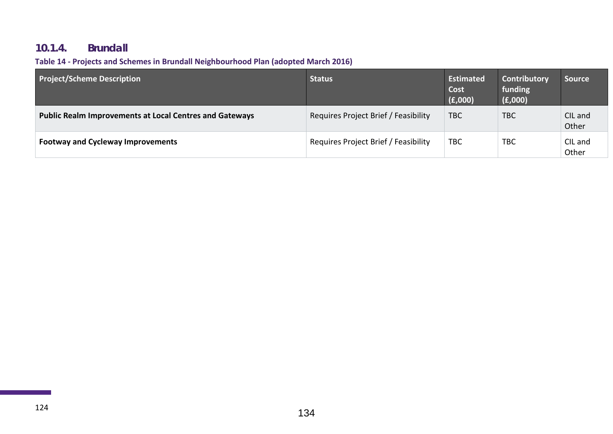## **10.1.4. Brundall**

### **Table 14 - Projects and Schemes in Brundall Neighbourhood Plan (adopted March 2016)**

| <b>Project/Scheme Description</b>                              | Status                               | Estimated<br>Cost<br>(E,000) | Contributory<br>funding<br>(E,000) | <b>Source</b>    |
|----------------------------------------------------------------|--------------------------------------|------------------------------|------------------------------------|------------------|
| <b>Public Realm Improvements at Local Centres and Gateways</b> | Requires Project Brief / Feasibility | <b>TBC</b>                   | <b>TBC</b>                         | CIL and<br>Other |
| <b>Footway and Cycleway Improvements</b>                       | Requires Project Brief / Feasibility | <b>TBC</b>                   | <b>TBC</b>                         | CIL and<br>Other |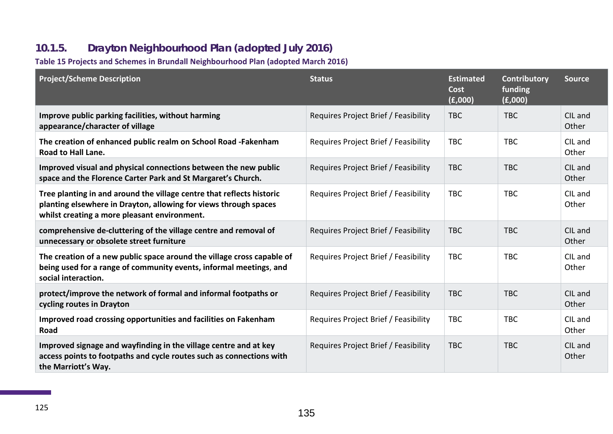# **10.1.5. Drayton Neighbourhood Plan (adopted July 2016)**

### **Table 15 Projects and Schemes in Brundall Neighbourhood Plan (adopted March 2016)**

| <b>Project/Scheme Description</b>                                                                                                                                                         | <b>Status</b>                        | <b>Estimated</b><br><b>Cost</b><br>(E,000) | Contributory<br>funding<br>(f,000) | <b>Source</b>    |
|-------------------------------------------------------------------------------------------------------------------------------------------------------------------------------------------|--------------------------------------|--------------------------------------------|------------------------------------|------------------|
| Improve public parking facilities, without harming<br>appearance/character of village                                                                                                     | Requires Project Brief / Feasibility | <b>TBC</b>                                 | <b>TBC</b>                         | CIL and<br>Other |
| The creation of enhanced public realm on School Road -Fakenham<br><b>Road to Hall Lane.</b>                                                                                               | Requires Project Brief / Feasibility | <b>TBC</b>                                 | <b>TBC</b>                         | CIL and<br>Other |
| Improved visual and physical connections between the new public<br>space and the Florence Carter Park and St Margaret's Church.                                                           | Requires Project Brief / Feasibility | <b>TBC</b>                                 | <b>TBC</b>                         | CIL and<br>Other |
| Tree planting in and around the village centre that reflects historic<br>planting elsewhere in Drayton, allowing for views through spaces<br>whilst creating a more pleasant environment. | Requires Project Brief / Feasibility | <b>TBC</b>                                 | <b>TBC</b>                         | CIL and<br>Other |
| comprehensive de-cluttering of the village centre and removal of<br>unnecessary or obsolete street furniture                                                                              | Requires Project Brief / Feasibility | <b>TBC</b>                                 | <b>TBC</b>                         | CIL and<br>Other |
| The creation of a new public space around the village cross capable of<br>being used for a range of community events, informal meetings, and<br>social interaction.                       | Requires Project Brief / Feasibility | <b>TBC</b>                                 | <b>TBC</b>                         | CIL and<br>Other |
| protect/improve the network of formal and informal footpaths or<br>cycling routes in Drayton                                                                                              | Requires Project Brief / Feasibility | <b>TBC</b>                                 | <b>TBC</b>                         | CIL and<br>Other |
| Improved road crossing opportunities and facilities on Fakenham<br>Road                                                                                                                   | Requires Project Brief / Feasibility | <b>TBC</b>                                 | <b>TBC</b>                         | CIL and<br>Other |
| Improved signage and wayfinding in the village centre and at key<br>access points to footpaths and cycle routes such as connections with<br>the Marriott's Way.                           | Requires Project Brief / Feasibility | <b>TBC</b>                                 | <b>TBC</b>                         | CIL and<br>Other |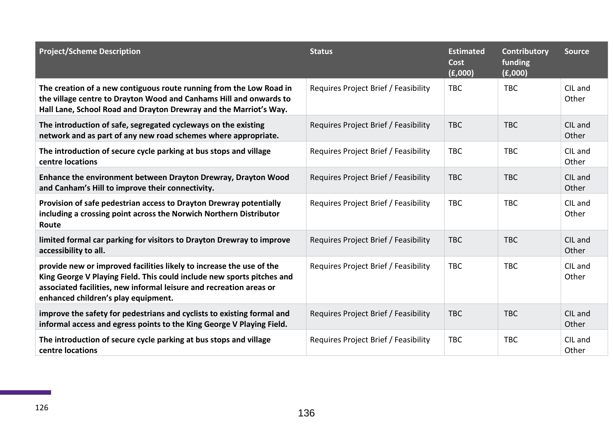| <b>Project/Scheme Description</b>                                                                                                                                                                                                                            | <b>Status</b>                        | <b>Estimated</b><br>Cost<br>(E,000) | Contributory<br>funding<br>(E,000) | <b>Source</b>    |
|--------------------------------------------------------------------------------------------------------------------------------------------------------------------------------------------------------------------------------------------------------------|--------------------------------------|-------------------------------------|------------------------------------|------------------|
| The creation of a new contiguous route running from the Low Road in<br>the village centre to Drayton Wood and Canhams Hill and onwards to<br>Hall Lane, School Road and Drayton Drewray and the Marriot's Way.                                               | Requires Project Brief / Feasibility | <b>TBC</b>                          | <b>TBC</b>                         | CIL and<br>Other |
| The introduction of safe, segregated cycleways on the existing<br>network and as part of any new road schemes where appropriate.                                                                                                                             | Requires Project Brief / Feasibility | <b>TBC</b>                          | <b>TBC</b>                         | CIL and<br>Other |
| The introduction of secure cycle parking at bus stops and village<br>centre locations                                                                                                                                                                        | Requires Project Brief / Feasibility | <b>TBC</b>                          | <b>TBC</b>                         | CIL and<br>Other |
| Enhance the environment between Drayton Drewray, Drayton Wood<br>and Canham's Hill to improve their connectivity.                                                                                                                                            | Requires Project Brief / Feasibility | <b>TBC</b>                          | <b>TBC</b>                         | CIL and<br>Other |
| Provision of safe pedestrian access to Drayton Drewray potentially<br>including a crossing point across the Norwich Northern Distributor<br>Route                                                                                                            | Requires Project Brief / Feasibility | <b>TBC</b>                          | <b>TBC</b>                         | CIL and<br>Other |
| limited formal car parking for visitors to Drayton Drewray to improve<br>accessibility to all.                                                                                                                                                               | Requires Project Brief / Feasibility | <b>TBC</b>                          | <b>TBC</b>                         | CIL and<br>Other |
| provide new or improved facilities likely to increase the use of the<br>King George V Playing Field. This could include new sports pitches and<br>associated facilities, new informal leisure and recreation areas or<br>enhanced children's play equipment. | Requires Project Brief / Feasibility | <b>TBC</b>                          | <b>TBC</b>                         | CIL and<br>Other |
| improve the safety for pedestrians and cyclists to existing formal and<br>informal access and egress points to the King George V Playing Field.                                                                                                              | Requires Project Brief / Feasibility | <b>TBC</b>                          | <b>TBC</b>                         | CIL and<br>Other |
| The introduction of secure cycle parking at bus stops and village<br>centre locations                                                                                                                                                                        | Requires Project Brief / Feasibility | <b>TBC</b>                          | <b>TBC</b>                         | CIL and<br>Other |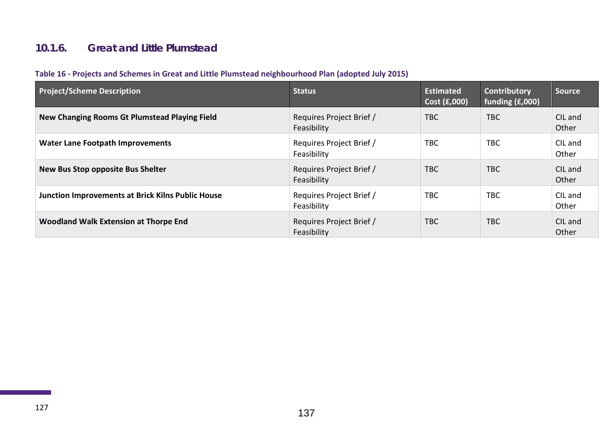## **10.1.6. Great and Little Plumstead**

| Table 16 - Projects and Schemes in Great and Little Plumstead neighbourhood Plan (adopted July 2015) |  |  |  |
|------------------------------------------------------------------------------------------------------|--|--|--|
|------------------------------------------------------------------------------------------------------|--|--|--|

| <b>Project/Scheme Description</b>                        | <b>Status</b>                           | <b>Estimated</b><br>Cost $(E,000)$ | <b>Contributory</b><br>funding (£,000) | <b>Source</b>    |
|----------------------------------------------------------|-----------------------------------------|------------------------------------|----------------------------------------|------------------|
| New Changing Rooms Gt Plumstead Playing Field            | Requires Project Brief /<br>Feasibility | <b>TBC</b>                         | <b>TBC</b>                             | CIL and<br>Other |
| <b>Water Lane Footpath Improvements</b>                  | Requires Project Brief /<br>Feasibility | <b>TBC</b>                         | <b>TBC</b>                             | CIL and<br>Other |
| <b>New Bus Stop opposite Bus Shelter</b>                 | Requires Project Brief /<br>Feasibility | <b>TBC</b>                         | TBC.                                   | CIL and<br>Other |
| <b>Junction Improvements at Brick Kilns Public House</b> | Requires Project Brief /<br>Feasibility | <b>TBC</b>                         | <b>TBC</b>                             | CIL and<br>Other |
| Woodland Walk Extension at Thorpe End                    | Requires Project Brief /<br>Feasibility | <b>TBC</b>                         | <b>TBC</b>                             | CIL and<br>Other |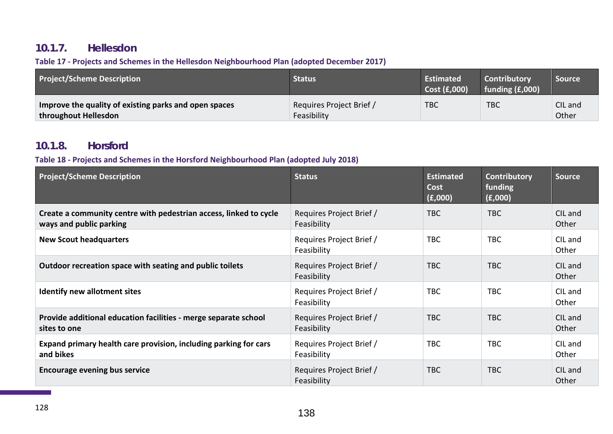### **10.1.7. Hellesdon**

#### **Table 17 - Projects and Schemes in the Hellesdon Neighbourhood Plan (adopted December 2017)**

| <b>Project/Scheme Description</b>                                             | <b>Status</b>                           | <b>Estimated</b><br>Cost (£,000) | <b>Contributory</b><br>funding $(f,000)$ | Source           |
|-------------------------------------------------------------------------------|-----------------------------------------|----------------------------------|------------------------------------------|------------------|
| Improve the quality of existing parks and open spaces<br>throughout Hellesdon | Requires Project Brief /<br>Feasibility | <b>TBC</b>                       | <b>TBC</b>                               | CIL and<br>Other |

### **10.1.8. Horsford**

#### **Table 18 - Projects and Schemes in the Horsford Neighbourhood Plan (adopted July 2018)**

| <b>Project/Scheme Description</b>                                                            | <b>Status</b>                           | <b>Estimated</b><br>Cost<br>(E,000) | <b>Contributory</b><br>funding<br>(£,000) | <b>Source</b>    |
|----------------------------------------------------------------------------------------------|-----------------------------------------|-------------------------------------|-------------------------------------------|------------------|
| Create a community centre with pedestrian access, linked to cycle<br>ways and public parking | Requires Project Brief /<br>Feasibility | <b>TBC</b>                          | <b>TBC</b>                                | CIL and<br>Other |
| <b>New Scout headquarters</b>                                                                | Requires Project Brief /<br>Feasibility | <b>TBC</b>                          | <b>TBC</b>                                | CIL and<br>Other |
| Outdoor recreation space with seating and public toilets                                     | Requires Project Brief /<br>Feasibility | <b>TBC</b>                          | <b>TBC</b>                                | CIL and<br>Other |
| <b>Identify new allotment sites</b>                                                          | Requires Project Brief /<br>Feasibility | <b>TBC</b>                          | <b>TBC</b>                                | CIL and<br>Other |
| Provide additional education facilities - merge separate school<br>sites to one              | Requires Project Brief /<br>Feasibility | TBC                                 | <b>TBC</b>                                | CIL and<br>Other |
| Expand primary health care provision, including parking for cars<br>and bikes                | Requires Project Brief /<br>Feasibility | <b>TBC</b>                          | <b>TBC</b>                                | CIL and<br>Other |
| <b>Encourage evening bus service</b>                                                         | Requires Project Brief /<br>Feasibility | <b>TBC</b>                          | <b>TBC</b>                                | CIL and<br>Other |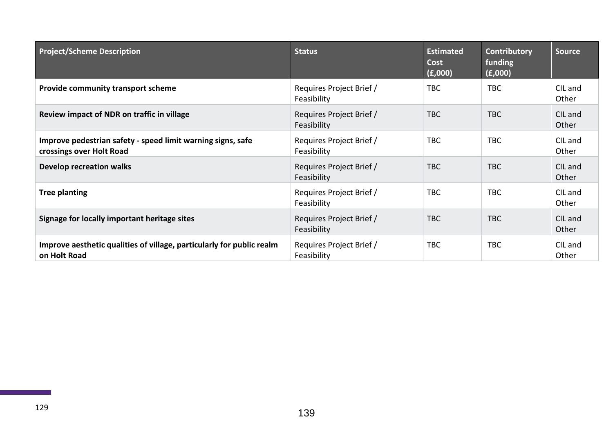| <b>Project/Scheme Description</b>                                                       | <b>Status</b>                           | <b>Estimated</b><br><b>Cost</b><br>(E,000) | Contributory<br>funding<br>(f,000) | <b>Source</b>    |
|-----------------------------------------------------------------------------------------|-----------------------------------------|--------------------------------------------|------------------------------------|------------------|
| <b>Provide community transport scheme</b>                                               | Requires Project Brief /<br>Feasibility | <b>TBC</b>                                 | <b>TBC</b>                         | CIL and<br>Other |
| Review impact of NDR on traffic in village                                              | Requires Project Brief /<br>Feasibility | <b>TBC</b>                                 | <b>TBC</b>                         | CIL and<br>Other |
| Improve pedestrian safety - speed limit warning signs, safe<br>crossings over Holt Road | Requires Project Brief /<br>Feasibility | <b>TBC</b>                                 | <b>TBC</b>                         | CIL and<br>Other |
| <b>Develop recreation walks</b>                                                         | Requires Project Brief /<br>Feasibility | TBC                                        | <b>TBC</b>                         | CIL and<br>Other |
| <b>Tree planting</b>                                                                    | Requires Project Brief /<br>Feasibility | <b>TBC</b>                                 | <b>TBC</b>                         | CIL and<br>Other |
| Signage for locally important heritage sites                                            | Requires Project Brief /<br>Feasibility | <b>TBC</b>                                 | <b>TBC</b>                         | CIL and<br>Other |
| Improve aesthetic qualities of village, particularly for public realm<br>on Holt Road   | Requires Project Brief /<br>Feasibility | <b>TBC</b>                                 | <b>TBC</b>                         | CIL and<br>Other |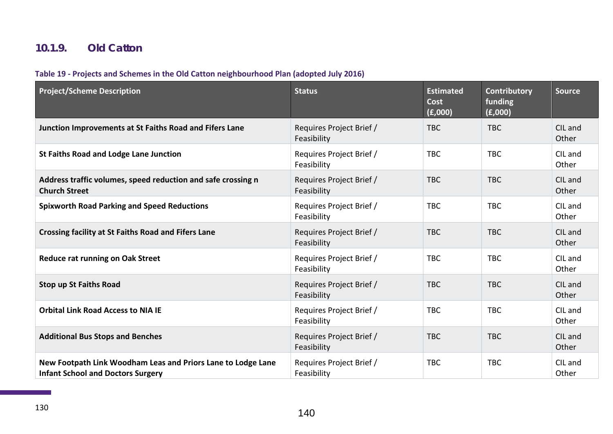## **10.1.9. Old Catton**

### **Table 19 - Projects and Schemes in the Old Catton neighbourhood Plan (adopted July 2016)**

| <b>Project/Scheme Description</b>                                                                        | <b>Status</b>                           | <b>Estimated</b><br>Cost<br>(E,000) | Contributory<br>funding<br>(f,000) | Source           |
|----------------------------------------------------------------------------------------------------------|-----------------------------------------|-------------------------------------|------------------------------------|------------------|
| Junction Improvements at St Faiths Road and Fifers Lane                                                  | Requires Project Brief /<br>Feasibility | <b>TBC</b>                          | <b>TBC</b>                         | CIL and<br>Other |
| <b>St Faiths Road and Lodge Lane Junction</b>                                                            | Requires Project Brief /<br>Feasibility | <b>TBC</b>                          | <b>TBC</b>                         | CIL and<br>Other |
| Address traffic volumes, speed reduction and safe crossing n<br><b>Church Street</b>                     | Requires Project Brief /<br>Feasibility | <b>TBC</b>                          | <b>TBC</b>                         | CIL and<br>Other |
| <b>Spixworth Road Parking and Speed Reductions</b>                                                       | Requires Project Brief /<br>Feasibility | <b>TBC</b>                          | <b>TBC</b>                         | CIL and<br>Other |
| <b>Crossing facility at St Faiths Road and Fifers Lane</b>                                               | Requires Project Brief /<br>Feasibility | <b>TBC</b>                          | <b>TBC</b>                         | CIL and<br>Other |
| Reduce rat running on Oak Street                                                                         | Requires Project Brief /<br>Feasibility | <b>TBC</b>                          | <b>TBC</b>                         | CIL and<br>Other |
| <b>Stop up St Faiths Road</b>                                                                            | Requires Project Brief /<br>Feasibility | <b>TBC</b>                          | <b>TBC</b>                         | CIL and<br>Other |
| <b>Orbital Link Road Access to NIA IE</b>                                                                | Requires Project Brief /<br>Feasibility | <b>TBC</b>                          | <b>TBC</b>                         | CIL and<br>Other |
| <b>Additional Bus Stops and Benches</b>                                                                  | Requires Project Brief /<br>Feasibility | <b>TBC</b>                          | <b>TBC</b>                         | CIL and<br>Other |
| New Footpath Link Woodham Leas and Priors Lane to Lodge Lane<br><b>Infant School and Doctors Surgery</b> | Requires Project Brief /<br>Feasibility | <b>TBC</b>                          | <b>TBC</b>                         | CIL and<br>Other |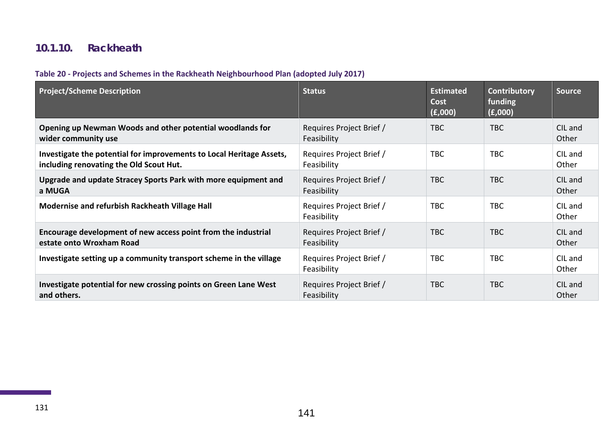## **10.1.10. Rackheath**

#### **Table 20 - Projects and Schemes in the Rackheath Neighbourhood Plan (adopted July 2017)**

| <b>Project/Scheme Description</b>                                                                               | <b>Status</b>                           | <b>Estimated</b><br>Cost<br>(E,000) | Contributory<br>funding<br>(f,000) | <b>Source</b>    |
|-----------------------------------------------------------------------------------------------------------------|-----------------------------------------|-------------------------------------|------------------------------------|------------------|
| Opening up Newman Woods and other potential woodlands for<br>wider community use                                | Requires Project Brief /<br>Feasibility | TBC                                 | <b>TBC</b>                         | CIL and<br>Other |
| Investigate the potential for improvements to Local Heritage Assets,<br>including renovating the Old Scout Hut. | Requires Project Brief /<br>Feasibility | <b>TBC</b>                          | <b>TBC</b>                         | CIL and<br>Other |
| Upgrade and update Stracey Sports Park with more equipment and<br>a MUGA                                        | Requires Project Brief /<br>Feasibility | <b>TBC</b>                          | <b>TBC</b>                         | CIL and<br>Other |
| Modernise and refurbish Rackheath Village Hall                                                                  | Requires Project Brief /<br>Feasibility | <b>TBC</b>                          | <b>TBC</b>                         | CIL and<br>Other |
| Encourage development of new access point from the industrial<br>estate onto Wroxham Road                       | Requires Project Brief /<br>Feasibility | <b>TBC</b>                          | TBC                                | CIL and<br>Other |
| Investigate setting up a community transport scheme in the village                                              | Requires Project Brief /<br>Feasibility | <b>TBC</b>                          | <b>TBC</b>                         | CIL and<br>Other |
| Investigate potential for new crossing points on Green Lane West<br>and others.                                 | Requires Project Brief /<br>Feasibility | <b>TBC</b>                          | <b>TBC</b>                         | CIL and<br>Other |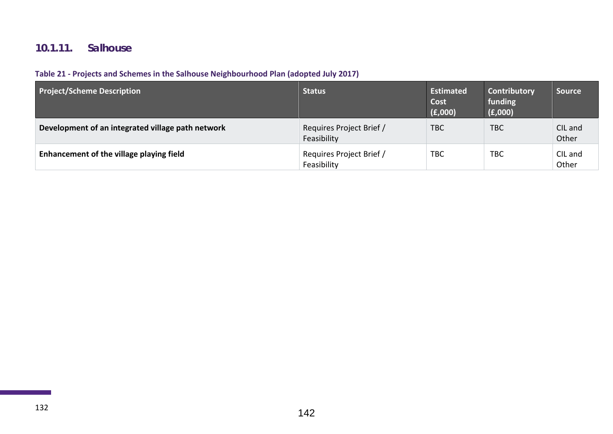## **10.1.11. Salhouse**

### **Table 21 - Projects and Schemes in the Salhouse Neighbourhood Plan (adopted July 2017)**

| <b>Project/Scheme Description</b>                 | <b>Status</b>                           | Estimated<br>Cost<br>(E,000) | Contributory<br>funding<br>(E,000) | <b>Source</b>    |
|---------------------------------------------------|-----------------------------------------|------------------------------|------------------------------------|------------------|
| Development of an integrated village path network | Requires Project Brief /<br>Feasibility | <b>TBC</b>                   | <b>TBC</b>                         | CIL and<br>Other |
| Enhancement of the village playing field          | Requires Project Brief /<br>Feasibility | <b>TBC</b>                   | TBC                                | CIL and<br>Other |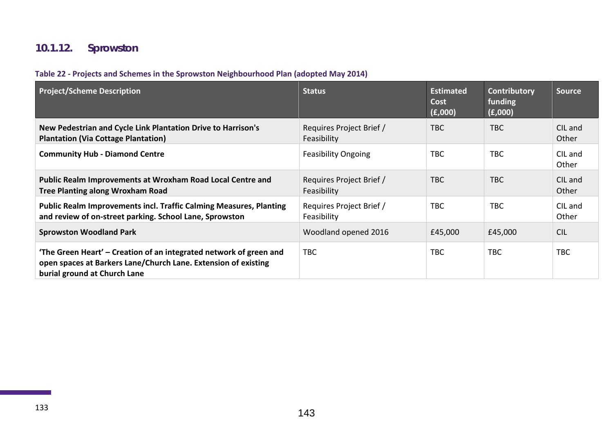# **10.1.12. Sprowston**

#### **Table 22 - Projects and Schemes in the Sprowston Neighbourhood Plan (adopted May 2014)**

| <b>Project/Scheme Description</b>                                                                                                                                    | <b>Status</b>                           | <b>Estimated</b><br>Cost<br>(E,000) | <b>Contributory</b><br>funding<br>(E,000) | <b>Source</b>    |
|----------------------------------------------------------------------------------------------------------------------------------------------------------------------|-----------------------------------------|-------------------------------------|-------------------------------------------|------------------|
| New Pedestrian and Cycle Link Plantation Drive to Harrison's<br><b>Plantation (Via Cottage Plantation)</b>                                                           | Requires Project Brief /<br>Feasibility | TBC                                 | TBC                                       | CIL and<br>Other |
| <b>Community Hub - Diamond Centre</b>                                                                                                                                | <b>Feasibility Ongoing</b>              | <b>TBC</b>                          | <b>TBC</b>                                | CIL and<br>Other |
| Public Realm Improvements at Wroxham Road Local Centre and<br><b>Tree Planting along Wroxham Road</b>                                                                | Requires Project Brief /<br>Feasibility | <b>TBC</b>                          | <b>TBC</b>                                | CIL and<br>Other |
| <b>Public Realm Improvements incl. Traffic Calming Measures, Planting</b><br>and review of on-street parking. School Lane, Sprowston                                 | Requires Project Brief /<br>Feasibility | <b>TBC</b>                          | <b>TBC</b>                                | CIL and<br>Other |
| <b>Sprowston Woodland Park</b>                                                                                                                                       | Woodland opened 2016                    | £45,000                             | £45,000                                   | <b>CIL</b>       |
| 'The Green Heart' – Creation of an integrated network of green and<br>open spaces at Barkers Lane/Church Lane. Extension of existing<br>burial ground at Church Lane | <b>TBC</b>                              | <b>TBC</b>                          | <b>TBC</b>                                | <b>TBC</b>       |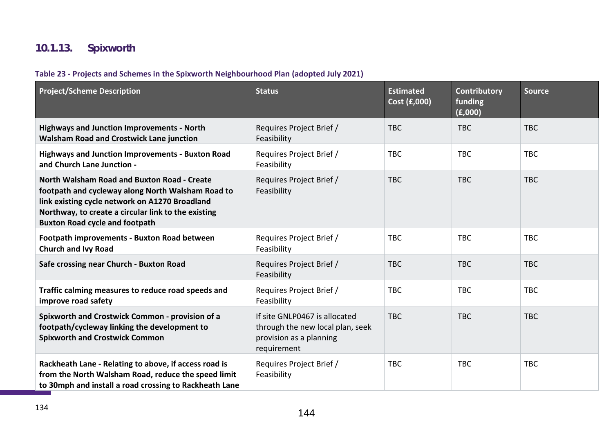# **10.1.13. Spixworth**

### **Table 23 - Projects and Schemes in the Spixworth Neighbourhood Plan (adopted July 2021)**

| <b>Project/Scheme Description</b>                                                                                                                                                                                                                  | <b>Status</b>                                                                                               | <b>Estimated</b><br>Cost (£,000) | Contributory<br>funding<br>(E,000) | <b>Source</b> |
|----------------------------------------------------------------------------------------------------------------------------------------------------------------------------------------------------------------------------------------------------|-------------------------------------------------------------------------------------------------------------|----------------------------------|------------------------------------|---------------|
| <b>Highways and Junction Improvements - North</b><br><b>Walsham Road and Crostwick Lane junction</b>                                                                                                                                               | Requires Project Brief /<br>Feasibility                                                                     | <b>TBC</b>                       | <b>TBC</b>                         | <b>TBC</b>    |
| <b>Highways and Junction Improvements - Buxton Road</b><br>and Church Lane Junction -                                                                                                                                                              | Requires Project Brief /<br>Feasibility                                                                     | <b>TBC</b>                       | <b>TBC</b>                         | <b>TBC</b>    |
| North Walsham Road and Buxton Road - Create<br>footpath and cycleway along North Walsham Road to<br>link existing cycle network on A1270 Broadland<br>Northway, to create a circular link to the existing<br><b>Buxton Road cycle and footpath</b> | Requires Project Brief /<br>Feasibility                                                                     | <b>TBC</b>                       | <b>TBC</b>                         | <b>TBC</b>    |
| <b>Footpath improvements - Buxton Road between</b><br><b>Church and Ivy Road</b>                                                                                                                                                                   | Requires Project Brief /<br>Feasibility                                                                     | <b>TBC</b>                       | <b>TBC</b>                         | <b>TBC</b>    |
| Safe crossing near Church - Buxton Road                                                                                                                                                                                                            | Requires Project Brief /<br>Feasibility                                                                     | <b>TBC</b>                       | <b>TBC</b>                         | <b>TBC</b>    |
| Traffic calming measures to reduce road speeds and<br>improve road safety                                                                                                                                                                          | Requires Project Brief /<br>Feasibility                                                                     | <b>TBC</b>                       | <b>TBC</b>                         | <b>TBC</b>    |
| <b>Spixworth and Crostwick Common - provision of a</b><br>footpath/cycleway linking the development to<br><b>Spixworth and Crostwick Common</b>                                                                                                    | If site GNLP0467 is allocated<br>through the new local plan, seek<br>provision as a planning<br>requirement | <b>TBC</b>                       | <b>TBC</b>                         | <b>TBC</b>    |
| Rackheath Lane - Relating to above, if access road is<br>from the North Walsham Road, reduce the speed limit<br>to 30mph and install a road crossing to Rackheath Lane                                                                             | Requires Project Brief /<br>Feasibility                                                                     | <b>TBC</b>                       | <b>TBC</b>                         | <b>TBC</b>    |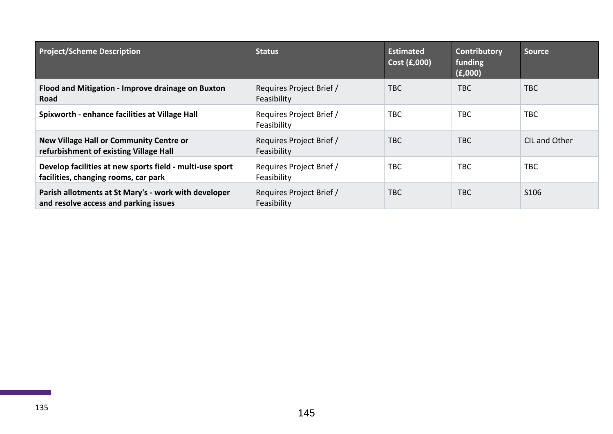| <b>Project/Scheme Description</b>                                                                | <b>Status</b>                           | <b>Estimated</b><br>Cost (£,000) | <b>Contributory</b><br>funding<br>(E,000) | <b>Source</b> |
|--------------------------------------------------------------------------------------------------|-----------------------------------------|----------------------------------|-------------------------------------------|---------------|
| Flood and Mitigation - Improve drainage on Buxton<br>Road                                        | Requires Project Brief /<br>Feasibility | <b>TBC</b>                       | <b>TBC</b>                                | <b>TBC</b>    |
| Spixworth - enhance facilities at Village Hall                                                   | Requires Project Brief /<br>Feasibility | <b>TBC</b>                       | TBC                                       | <b>TBC</b>    |
| <b>New Village Hall or Community Centre or</b><br>refurbishment of existing Village Hall         | Requires Project Brief /<br>Feasibility | <b>TBC</b>                       | <b>TBC</b>                                | CIL and Other |
| Develop facilities at new sports field - multi-use sport<br>facilities, changing rooms, car park | Requires Project Brief /<br>Feasibility | <b>TBC</b>                       | <b>TBC</b>                                | <b>TBC</b>    |
| Parish allotments at St Mary's - work with developer<br>and resolve access and parking issues    | Requires Project Brief /<br>Feasibility | <b>TBC</b>                       | <b>TBC</b>                                | S106          |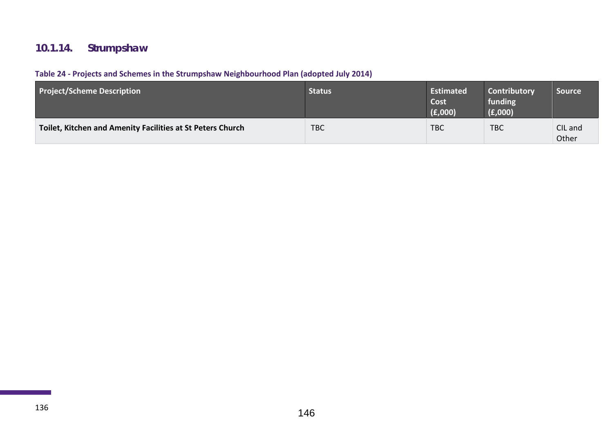# **10.1.14. Strumpshaw**

### **Table 24 - Projects and Schemes in the Strumpshaw Neighbourhood Plan (adopted July 2014)**

| <b>Project/Scheme Description</b>                          | <b>Status</b> | Estimated<br>Cost<br>(E,000) | <b>Contributory</b><br>funding<br>(E,000) | <b>Source</b>    |
|------------------------------------------------------------|---------------|------------------------------|-------------------------------------------|------------------|
| Toilet, Kitchen and Amenity Facilities at St Peters Church | <b>TBC</b>    | <b>TBC</b>                   | <b>TBC</b>                                | CIL and<br>Other |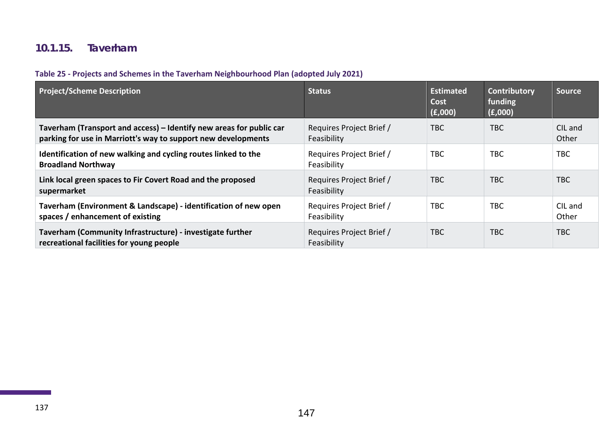## **10.1.15. Taverham**

### **Table 25 - Projects and Schemes in the Taverham Neighbourhood Plan (adopted July 2021)**

| <b>Project/Scheme Description</b>                                                                                                    | <b>Status</b>                           | <b>Estimated</b><br>Cost<br>(E,000) | Contributory<br>funding<br>(E,000) | <b>Source</b>    |
|--------------------------------------------------------------------------------------------------------------------------------------|-----------------------------------------|-------------------------------------|------------------------------------|------------------|
| Taverham (Transport and access) - Identify new areas for public car<br>parking for use in Marriott's way to support new developments | Requires Project Brief /<br>Feasibility | <b>TBC</b>                          | <b>TBC</b>                         | CIL and<br>Other |
| Identification of new walking and cycling routes linked to the<br><b>Broadland Northway</b>                                          | Requires Project Brief /<br>Feasibility | <b>TBC</b>                          | <b>TBC</b>                         | <b>TBC</b>       |
| Link local green spaces to Fir Covert Road and the proposed<br>supermarket                                                           | Requires Project Brief /<br>Feasibility | <b>TBC</b>                          | <b>TBC</b>                         | <b>TBC</b>       |
| Taverham (Environment & Landscape) - identification of new open<br>spaces / enhancement of existing                                  | Requires Project Brief /<br>Feasibility | <b>TBC</b>                          | <b>TBC</b>                         | CIL and<br>Other |
| Taverham (Community Infrastructure) - investigate further<br>recreational facilities for young people                                | Requires Project Brief /<br>Feasibility | <b>TBC</b>                          | TBC                                | <b>TBC</b>       |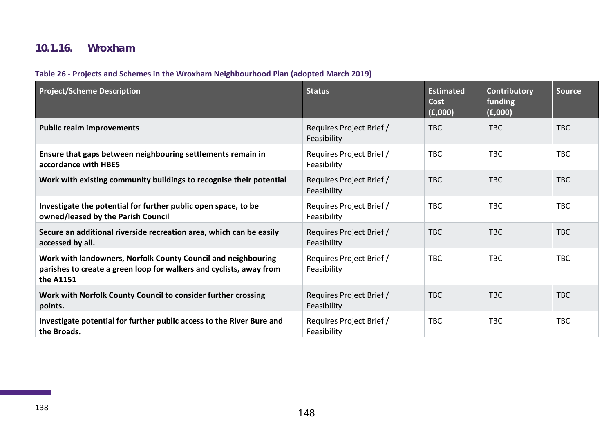## **10.1.16. Wroxham**

### **Table 26 - Projects and Schemes in the Wroxham Neighbourhood Plan (adopted March 2019)**

| <b>Project/Scheme Description</b>                                                                                                                 | <b>Status</b>                           | <b>Estimated</b><br><b>Cost</b><br>(E,000) | Contributory<br>funding<br>(f,000) | <b>Source</b> |
|---------------------------------------------------------------------------------------------------------------------------------------------------|-----------------------------------------|--------------------------------------------|------------------------------------|---------------|
| <b>Public realm improvements</b>                                                                                                                  | Requires Project Brief /<br>Feasibility | <b>TBC</b>                                 | <b>TBC</b>                         | <b>TBC</b>    |
| Ensure that gaps between neighbouring settlements remain in<br>accordance with HBE5                                                               | Requires Project Brief /<br>Feasibility | <b>TBC</b>                                 | <b>TBC</b>                         | <b>TBC</b>    |
| Work with existing community buildings to recognise their potential                                                                               | Requires Project Brief /<br>Feasibility | <b>TBC</b>                                 | <b>TBC</b>                         | <b>TBC</b>    |
| Investigate the potential for further public open space, to be<br>owned/leased by the Parish Council                                              | Requires Project Brief /<br>Feasibility | <b>TBC</b>                                 | <b>TBC</b>                         | <b>TBC</b>    |
| Secure an additional riverside recreation area, which can be easily<br>accessed by all.                                                           | Requires Project Brief /<br>Feasibility | <b>TBC</b>                                 | <b>TBC</b>                         | <b>TBC</b>    |
| Work with landowners, Norfolk County Council and neighbouring<br>parishes to create a green loop for walkers and cyclists, away from<br>the A1151 | Requires Project Brief /<br>Feasibility | <b>TBC</b>                                 | <b>TBC</b>                         | <b>TBC</b>    |
| Work with Norfolk County Council to consider further crossing<br>points.                                                                          | Requires Project Brief /<br>Feasibility | <b>TBC</b>                                 | <b>TBC</b>                         | <b>TBC</b>    |
| Investigate potential for further public access to the River Bure and<br>the Broads.                                                              | Requires Project Brief /<br>Feasibility | <b>TBC</b>                                 | <b>TBC</b>                         | <b>TBC</b>    |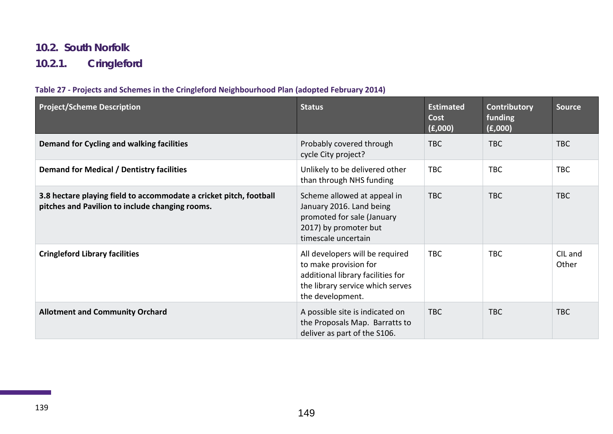### **10.2. South Norfolk**

**10.2.1. Cringleford**

#### **Table 27 - Projects and Schemes in the Cringleford Neighbourhood Plan (adopted February 2014)**

| <b>Project/Scheme Description</b>                                                                                     | <b>Status</b>                                                                                                                                         | <b>Estimated</b><br><b>Cost</b><br>(E,000) | Contributory<br>funding<br>(f,000) | <b>Source</b>    |
|-----------------------------------------------------------------------------------------------------------------------|-------------------------------------------------------------------------------------------------------------------------------------------------------|--------------------------------------------|------------------------------------|------------------|
| Demand for Cycling and walking facilities                                                                             | Probably covered through<br>cycle City project?                                                                                                       | <b>TBC</b>                                 | <b>TBC</b>                         | <b>TBC</b>       |
| Demand for Medical / Dentistry facilities                                                                             | Unlikely to be delivered other<br>than through NHS funding                                                                                            | <b>TBC</b>                                 | <b>TBC</b>                         | <b>TBC</b>       |
| 3.8 hectare playing field to accommodate a cricket pitch, football<br>pitches and Pavilion to include changing rooms. | Scheme allowed at appeal in<br>January 2016. Land being<br>promoted for sale (January<br>2017) by promoter but<br>timescale uncertain                 | <b>TBC</b>                                 | <b>TBC</b>                         | <b>TBC</b>       |
| <b>Cringleford Library facilities</b>                                                                                 | All developers will be required<br>to make provision for<br>additional library facilities for<br>the library service which serves<br>the development. | <b>TBC</b>                                 | <b>TBC</b>                         | CIL and<br>Other |
| <b>Allotment and Community Orchard</b>                                                                                | A possible site is indicated on<br>the Proposals Map. Barratts to<br>deliver as part of the S106.                                                     | <b>TBC</b>                                 | <b>TBC</b>                         | <b>TBC</b>       |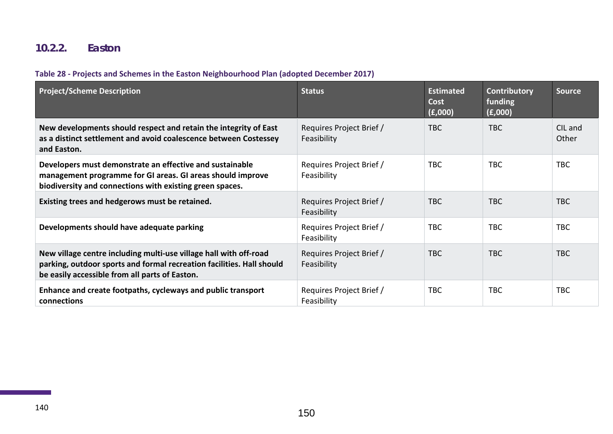## **10.2.2. Easton**

## **Table 28 - Projects and Schemes in the Easton Neighbourhood Plan (adopted December 2017)**

| <b>Project/Scheme Description</b>                                                                                                                                                            | <b>Status</b>                           | <b>Estimated</b><br>Cost<br>(E,000) | Contributory<br>funding<br>(f,000) | <b>Source</b>    |
|----------------------------------------------------------------------------------------------------------------------------------------------------------------------------------------------|-----------------------------------------|-------------------------------------|------------------------------------|------------------|
| New developments should respect and retain the integrity of East<br>as a distinct settlement and avoid coalescence between Costessey<br>and Easton.                                          | Requires Project Brief /<br>Feasibility | <b>TBC</b>                          | <b>TBC</b>                         | CIL and<br>Other |
| Developers must demonstrate an effective and sustainable<br>management programme for GI areas. GI areas should improve<br>biodiversity and connections with existing green spaces.           | Requires Project Brief /<br>Feasibility | <b>TBC</b>                          | <b>TBC</b>                         | <b>TBC</b>       |
| Existing trees and hedgerows must be retained.                                                                                                                                               | Requires Project Brief /<br>Feasibility | <b>TBC</b>                          | <b>TBC</b>                         | <b>TBC</b>       |
| Developments should have adequate parking                                                                                                                                                    | Requires Project Brief /<br>Feasibility | <b>TBC</b>                          | <b>TBC</b>                         | <b>TBC</b>       |
| New village centre including multi-use village hall with off-road<br>parking, outdoor sports and formal recreation facilities. Hall should<br>be easily accessible from all parts of Easton. | Requires Project Brief /<br>Feasibility | <b>TBC</b>                          | <b>TBC</b>                         | <b>TBC</b>       |
| Enhance and create footpaths, cycleways and public transport<br>connections                                                                                                                  | Requires Project Brief /<br>Feasibility | <b>TBC</b>                          | TBC                                | <b>TBC</b>       |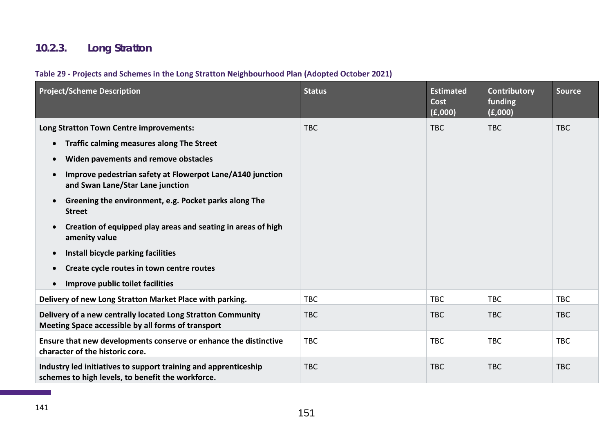# **10.2.3. Long Stratton**

### **Table 29 - Projects and Schemes in the Long Stratton Neighbourhood Plan (Adopted October 2021)**

| <b>Project/Scheme Description</b>                                                                                                                                                                                                                                                                                                                                                                                                                                                                                                                                                                                              | <b>Status</b> | <b>Estimated</b><br>Cost<br>(E,000) | <b>Contributory</b><br>funding<br>(E,000) | <b>Source</b> |
|--------------------------------------------------------------------------------------------------------------------------------------------------------------------------------------------------------------------------------------------------------------------------------------------------------------------------------------------------------------------------------------------------------------------------------------------------------------------------------------------------------------------------------------------------------------------------------------------------------------------------------|---------------|-------------------------------------|-------------------------------------------|---------------|
| Long Stratton Town Centre improvements:<br><b>Traffic calming measures along The Street</b><br>$\bullet$<br>Widen pavements and remove obstacles<br>$\bullet$<br>Improve pedestrian safety at Flowerpot Lane/A140 junction<br>$\bullet$<br>and Swan Lane/Star Lane junction<br>Greening the environment, e.g. Pocket parks along The<br>$\bullet$<br><b>Street</b><br>Creation of equipped play areas and seating in areas of high<br>$\bullet$<br>amenity value<br>Install bicycle parking facilities<br>$\bullet$<br>Create cycle routes in town centre routes<br>$\bullet$<br>Improve public toilet facilities<br>$\bullet$ | <b>TBC</b>    | <b>TBC</b>                          | <b>TBC</b>                                | <b>TBC</b>    |
| Delivery of new Long Stratton Market Place with parking.                                                                                                                                                                                                                                                                                                                                                                                                                                                                                                                                                                       | <b>TBC</b>    | <b>TBC</b>                          | <b>TBC</b>                                | <b>TBC</b>    |
| Delivery of a new centrally located Long Stratton Community<br>Meeting Space accessible by all forms of transport                                                                                                                                                                                                                                                                                                                                                                                                                                                                                                              | <b>TBC</b>    | <b>TBC</b>                          | <b>TBC</b>                                | <b>TBC</b>    |
| Ensure that new developments conserve or enhance the distinctive<br>character of the historic core.                                                                                                                                                                                                                                                                                                                                                                                                                                                                                                                            | <b>TBC</b>    | <b>TBC</b>                          | <b>TBC</b>                                | <b>TBC</b>    |
| Industry led initiatives to support training and apprenticeship<br>schemes to high levels, to benefit the workforce.                                                                                                                                                                                                                                                                                                                                                                                                                                                                                                           | <b>TBC</b>    | <b>TBC</b>                          | <b>TBC</b>                                | <b>TBC</b>    |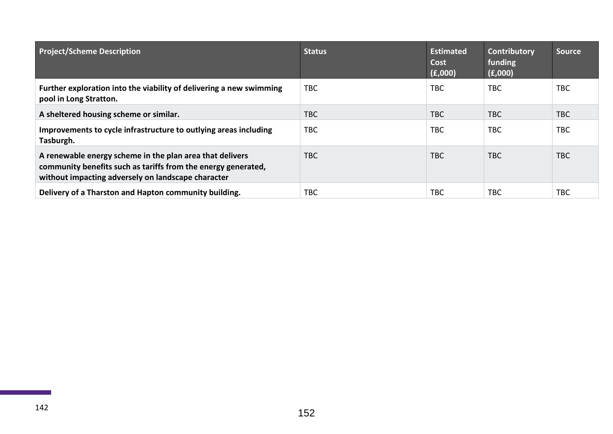| <b>Project/Scheme Description</b>                                                                                                                                               | <b>Status</b> | <b>Estimated</b><br>Cost<br>(E,000) | Contributory<br>funding<br>(E,000) | <b>Source</b> |
|---------------------------------------------------------------------------------------------------------------------------------------------------------------------------------|---------------|-------------------------------------|------------------------------------|---------------|
| Further exploration into the viability of delivering a new swimming<br>pool in Long Stratton.                                                                                   | TBC           | TBC                                 | <b>TBC</b>                         | <b>TBC</b>    |
| A sheltered housing scheme or similar.                                                                                                                                          | <b>TBC</b>    | TBC.                                | <b>TBC</b>                         | <b>TBC</b>    |
| Improvements to cycle infrastructure to outlying areas including<br>Tasburgh.                                                                                                   | TBC           | TBC.                                | <b>TBC</b>                         | <b>TBC</b>    |
| A renewable energy scheme in the plan area that delivers<br>community benefits such as tariffs from the energy generated,<br>without impacting adversely on landscape character | <b>TBC</b>    | TBC                                 | <b>TBC</b>                         | <b>TBC</b>    |
| Delivery of a Tharston and Hapton community building.                                                                                                                           | TBC           | TBC                                 | <b>TBC</b>                         | <b>TBC</b>    |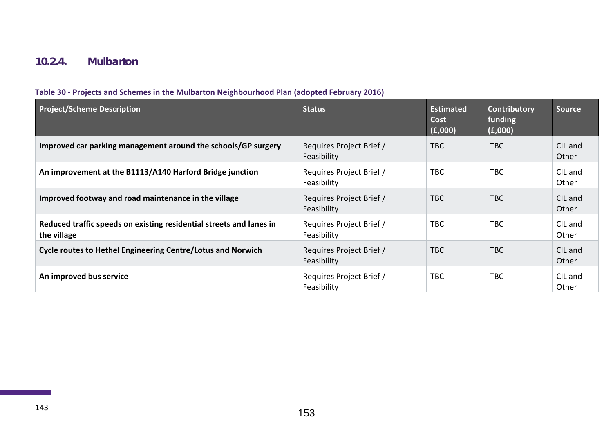### **10.2.4. Mulbarton**

#### **Table 30 - Projects and Schemes in the Mulbarton Neighbourhood Plan (adopted February 2016)**

| <b>Project/Scheme Description</b>                                                  | <b>Status</b>                           | <b>Estimated</b><br>Cost<br>(E,000) | Contributory<br>funding<br>(E,000) | <b>Source</b>    |
|------------------------------------------------------------------------------------|-----------------------------------------|-------------------------------------|------------------------------------|------------------|
| Improved car parking management around the schools/GP surgery                      | Requires Project Brief /<br>Feasibility | TBC                                 | <b>TBC</b>                         | CIL and<br>Other |
| An improvement at the B1113/A140 Harford Bridge junction                           | Requires Project Brief /<br>Feasibility | <b>TBC</b>                          | <b>TBC</b>                         | CIL and<br>Other |
| Improved footway and road maintenance in the village                               | Requires Project Brief /<br>Feasibility | <b>TBC</b>                          | <b>TBC</b>                         | CIL and<br>Other |
| Reduced traffic speeds on existing residential streets and lanes in<br>the village | Requires Project Brief /<br>Feasibility | <b>TBC</b>                          | <b>TBC</b>                         | CIL and<br>Other |
| <b>Cycle routes to Hethel Engineering Centre/Lotus and Norwich</b>                 | Requires Project Brief /<br>Feasibility | <b>TBC</b>                          | <b>TBC</b>                         | CIL and<br>Other |
| An improved bus service                                                            | Requires Project Brief /<br>Feasibility | <b>TBC</b>                          | <b>TBC</b>                         | CIL and<br>Other |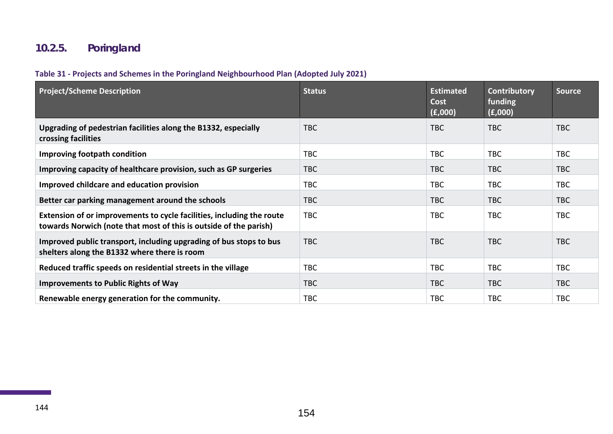# **10.2.5. Poringland**

#### **Table 31 - Projects and Schemes in the Poringland Neighbourhood Plan (Adopted July 2021)**

| <b>Project/Scheme Description</b>                                                                                                          | <b>Status</b> | <b>Estimated</b><br>Cost<br>(f,000) | Contributory<br>funding<br>(f,000) | <b>Source</b> |
|--------------------------------------------------------------------------------------------------------------------------------------------|---------------|-------------------------------------|------------------------------------|---------------|
| Upgrading of pedestrian facilities along the B1332, especially<br>crossing facilities                                                      | <b>TBC</b>    | <b>TBC</b>                          | <b>TBC</b>                         | <b>TBC</b>    |
| <b>Improving footpath condition</b>                                                                                                        | <b>TBC</b>    | <b>TBC</b>                          | <b>TBC</b>                         | <b>TBC</b>    |
| Improving capacity of healthcare provision, such as GP surgeries                                                                           | <b>TBC</b>    | <b>TBC</b>                          | <b>TBC</b>                         | <b>TBC</b>    |
| Improved childcare and education provision                                                                                                 | <b>TBC</b>    | <b>TBC</b>                          | <b>TBC</b>                         | <b>TBC</b>    |
| Better car parking management around the schools                                                                                           | <b>TBC</b>    | TBC                                 | <b>TBC</b>                         | <b>TBC</b>    |
| Extension of or improvements to cycle facilities, including the route<br>towards Norwich (note that most of this is outside of the parish) | <b>TBC</b>    | <b>TBC</b>                          | <b>TBC</b>                         | <b>TBC</b>    |
| Improved public transport, including upgrading of bus stops to bus<br>shelters along the B1332 where there is room                         | <b>TBC</b>    | <b>TBC</b>                          | <b>TBC</b>                         | <b>TBC</b>    |
| Reduced traffic speeds on residential streets in the village                                                                               | <b>TBC</b>    | <b>TBC</b>                          | <b>TBC</b>                         | <b>TBC</b>    |
| <b>Improvements to Public Rights of Way</b>                                                                                                | <b>TBC</b>    | <b>TBC</b>                          | <b>TBC</b>                         | <b>TBC</b>    |
| Renewable energy generation for the community.                                                                                             | <b>TBC</b>    | <b>TBC</b>                          | <b>TBC</b>                         | <b>TBC</b>    |